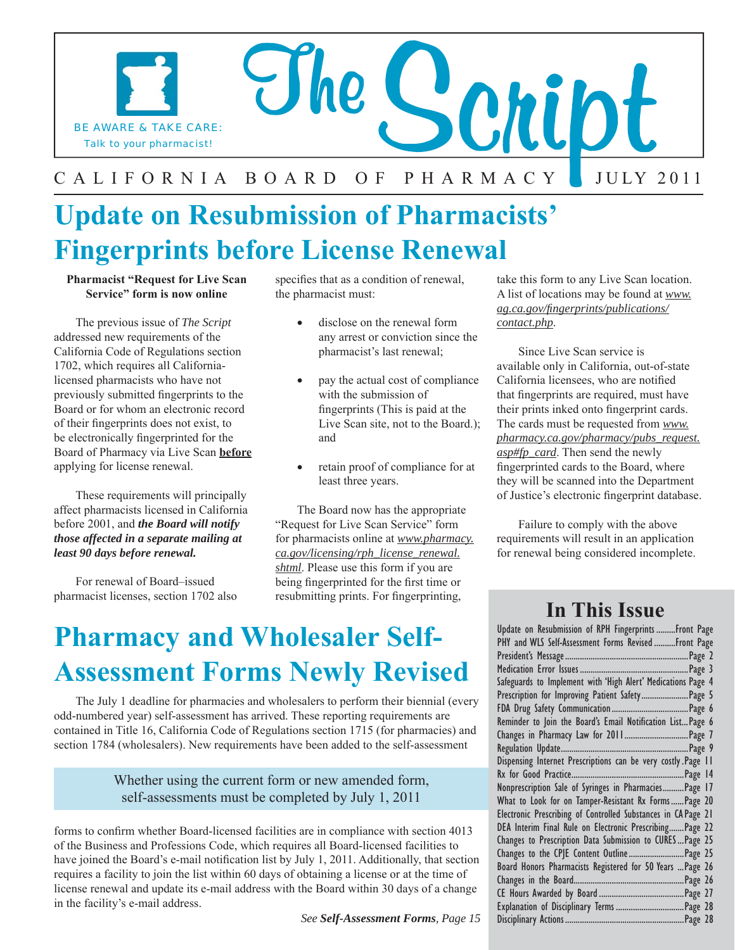

### J U LY 2 0 1 1

### **Update on Resubmission of Pharmacists' Fingerprints before License Renewal**

#### **Pharmacist "Request for Live Scan Service" form is now online**

The previous issue of *The Script*  addressed new requirements of the California Code of Regulations section 1702, which requires all Californialicensed pharmacists who have not previously submitted fingerprints to the Board or for whom an electronic record of their fingerprints does not exist, to be electronically fingerprinted for the Board of Pharmacy via Live Scan **before**  applying for license renewal.

These requirements will principally affect pharmacists licensed in California before 2001, and *the Board will notify those affected in a separate mailing at least 90 days before renewal.* 

For renewal of Board–issued pharmacist licenses, section 1702 also specifies that as a condition of renewal, the pharmacist must:

- disclose on the renewal form any arrest or conviction since the pharmacist's last renewal;
- pay the actual cost of compliance with the submission of fingerprints (This is paid at the Live Scan site, not to the Board.); and
- retain proof of compliance for at least three years.

The Board now has the appropriate "Request for Live Scan Service" form for pharmacists online at *www.pharmacy. ca.gov/licensing/rph\_license\_renewal. shtml*. Please use this form if you are being fingerprinted for the first time or resubmitting prints. For fingerprinting,

### **Pharmacy and Wholesaler Self-Assessment Forms Newly Revised**

The July 1 deadline for pharmacies and wholesalers to perform their biennial (every odd-numbered year) self-assessment has arrived. These reporting requirements are contained in Title 16, California Code of Regulations section 1715 (for pharmacies) and section 1784 (wholesalers). New requirements have been added to the self-assessment

#### Whether using the current form or new amended form, self-assessments must be completed by July 1, 2011

forms to confirm whether Board-licensed facilities are in compliance with section 4013 of the Business and Professions Code, which requires all Board-licensed facilities to have joined the Board's e-mail notification list by July 1, 2011. Additionally, that section requires a facility to join the list within 60 days of obtaining a license or at the time of license renewal and update its e-mail address with the Board within 30 days of a change in the facility's e-mail address.

*See Self-Assessment Forms, Page 15* 

take this form to any Live Scan location. A list of locations may be found at *www. ag.ca.gov/fingerprints/publications/ contact.php*.

Since Live Scan service is available only in California, out-of-state California licensees, who are notified that fingerprints are required, must have their prints inked onto fingerprint cards. The cards must be requested from *www. pharmacy.ca.gov/pharmacy/pubs\_request. asp#fp\_card*. Then send the newly fingerprinted cards to the Board, where they will be scanned into the Department of Justice's electronic fingerprint database.

Failure to comply with the above requirements will result in an application for renewal being considered incomplete.

### **In This Issue**

| Update on Resubmission of RPH Fingerprints  Front Page        |
|---------------------------------------------------------------|
| PHY and WLS Self-Assessment Forms Revised  Front Page         |
|                                                               |
|                                                               |
| Safeguards to Implement with 'High Alert' Medications Page 4  |
| Prescription for Improving Patient Safety Page 5              |
|                                                               |
| Reminder to Join the Board's Email Notification List Page 6   |
|                                                               |
|                                                               |
| Dispensing Internet Prescriptions can be very costly.Page 11  |
|                                                               |
| Nonprescription Sale of Syringes in PharmaciesPage 17         |
| What to Look for on Tamper-Resistant Rx FormsPage 20          |
| Electronic Prescribing of Controlled Substances in CA Page 21 |
| DEA Interim Final Rule on Electronic Prescribing Page 22      |
| Changes to Prescription Data Submission to CURESPage 25       |
| Changes to the CPJE Content Outline Page 25                   |
| Board Honors Pharmacists Registered for 50 Years  Page 26     |
|                                                               |
|                                                               |
|                                                               |
|                                                               |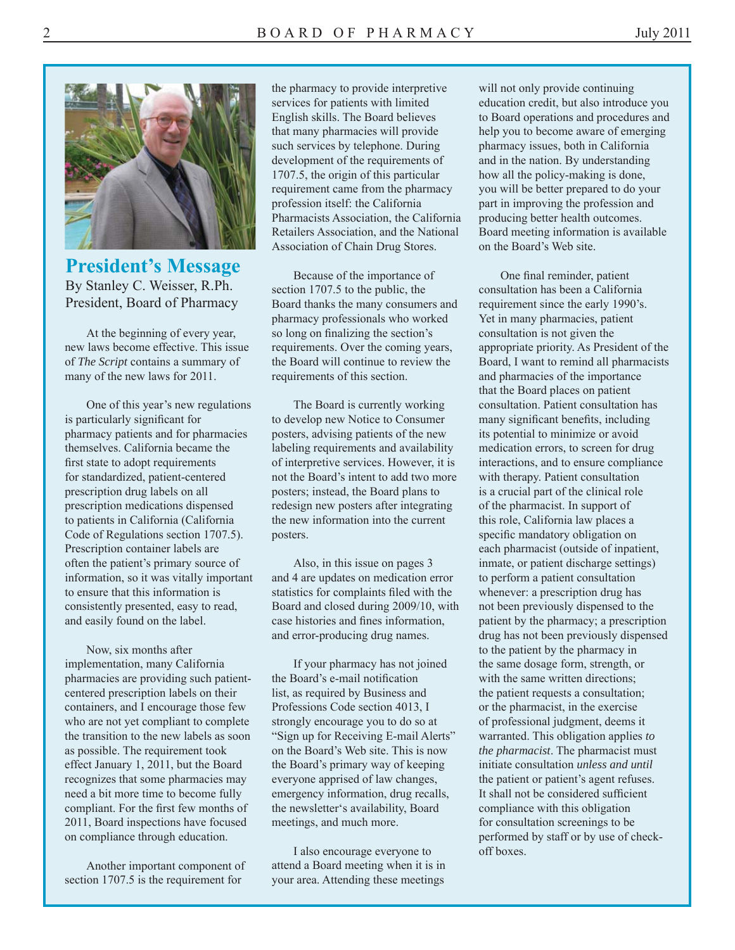

**President's Message**  By Stanley C. Weisser, R.Ph. President, Board of Pharmacy

At the beginning of every year, new laws become effective. This issue of *The Script* contains a summary of many of the new laws for 2011.

One of this year's new regulations is particularly significant for pharmacy patients and for pharmacies themselves. California became the first state to adopt requirements for standardized, patient-centered prescription drug labels on all prescription medications dispensed to patients in California (California Code of Regulations section 1707.5). Prescription container labels are often the patient's primary source of information, so it was vitally important to ensure that this information is consistently presented, easy to read, and easily found on the label.

Now, six months after implementation, many California pharmacies are providing such patientcentered prescription labels on their containers, and I encourage those few who are not yet compliant to complete the transition to the new labels as soon as possible. The requirement took effect January 1, 2011, but the Board recognizes that some pharmacies may need a bit more time to become fully compliant. For the first few months of 2011, Board inspections have focused on compliance through education.

Another important component of section 1707.5 is the requirement for

the pharmacy to provide interpretive services for patients with limited English skills. The Board believes that many pharmacies will provide such services by telephone. During development of the requirements of 1707.5, the origin of this particular requirement came from the pharmacy profession itself: the California Pharmacists Association, the California Retailers Association, and the National Association of Chain Drug Stores.

Because of the importance of section 1707.5 to the public, the Board thanks the many consumers and pharmacy professionals who worked so long on finalizing the section's requirements. Over the coming years, the Board will continue to review the requirements of this section.

The Board is currently working to develop new Notice to Consumer posters, advising patients of the new labeling requirements and availability of interpretive services. However, it is not the Board's intent to add two more posters; instead, the Board plans to redesign new posters after integrating the new information into the current posters.

Also, in this issue on pages 3 and 4 are updates on medication error statistics for complaints filed with the Board and closed during 2009/10, with case histories and fines information, and error-producing drug names.

If your pharmacy has not joined the Board's e-mail notification list, as required by Business and Professions Code section 4013, I strongly encourage you to do so at "Sign up for Receiving E-mail Alerts" on the Board's Web site. This is now the Board's primary way of keeping everyone apprised of law changes, emergency information, drug recalls, the newsletter's availability, Board meetings, and much more.

I also encourage everyone to attend a Board meeting when it is in your area. Attending these meetings

will not only provide continuing education credit, but also introduce you to Board operations and procedures and help you to become aware of emerging pharmacy issues, both in California and in the nation. By understanding how all the policy-making is done, you will be better prepared to do your part in improving the profession and producing better health outcomes. Board meeting information is available on the Board's Web site.

One final reminder, patient consultation has been a California requirement since the early 1990's. Yet in many pharmacies, patient consultation is not given the appropriate priority. As President of the Board, I want to remind all pharmacists and pharmacies of the importance that the Board places on patient consultation. Patient consultation has many significant benefits, including its potential to minimize or avoid medication errors, to screen for drug interactions, and to ensure compliance with therapy. Patient consultation is a crucial part of the clinical role of the pharmacist. In support of this role, California law places a specific mandatory obligation on each pharmacist (outside of inpatient, inmate, or patient discharge settings) to perform a patient consultation whenever: a prescription drug has not been previously dispensed to the patient by the pharmacy; a prescription drug has not been previously dispensed to the patient by the pharmacy in the same dosage form, strength, or with the same written directions; the patient requests a consultation; or the pharmacist, in the exercise of professional judgment, deems it warranted. This obligation applies *to the pharmacist*. The pharmacist must initiate consultation *unless and until*  the patient or patient's agent refuses. It shall not be considered sufficient compliance with this obligation for consultation screenings to be performed by staff or by use of checkoff boxes.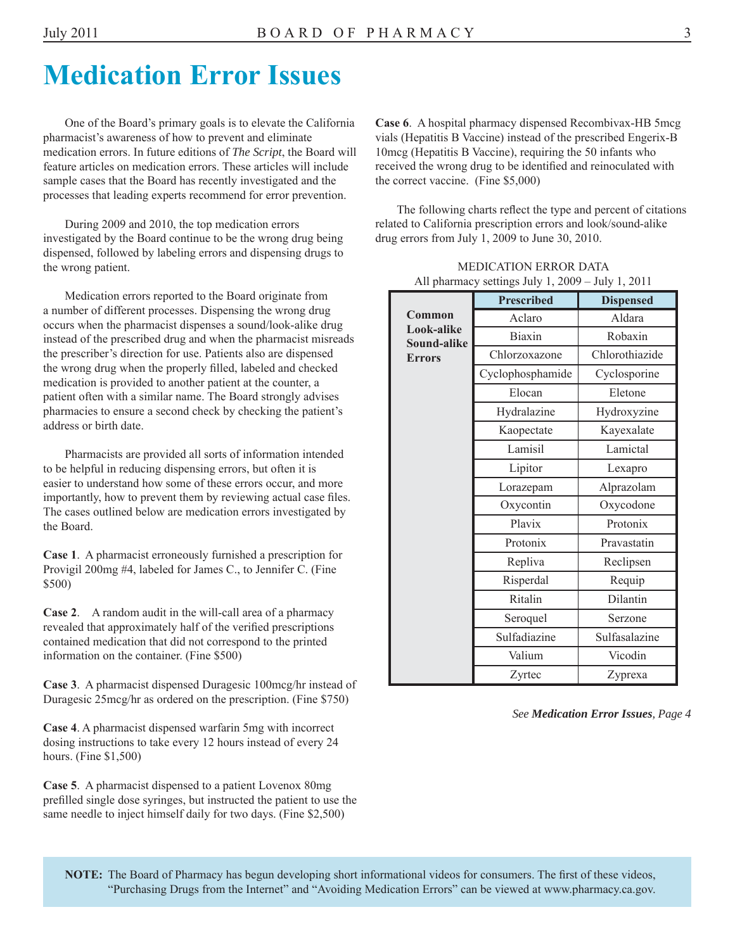### **Medication Error Issues**

One of the Board's primary goals is to elevate the California pharmacist's awareness of how to prevent and eliminate medication errors. In future editions of *The Script*, the Board will feature articles on medication errors. These articles will include sample cases that the Board has recently investigated and the processes that leading experts recommend for error prevention.

During 2009 and 2010, the top medication errors investigated by the Board continue to be the wrong drug being dispensed, followed by labeling errors and dispensing drugs to the wrong patient.

Medication errors reported to the Board originate from a number of different processes. Dispensing the wrong drug occurs when the pharmacist dispenses a sound/look-alike drug instead of the prescribed drug and when the pharmacist misreads the prescriber's direction for use. Patients also are dispensed the wrong drug when the properly filled, labeled and checked medication is provided to another patient at the counter, a patient often with a similar name. The Board strongly advises pharmacies to ensure a second check by checking the patient's address or birth date.

Pharmacists are provided all sorts of information intended to be helpful in reducing dispensing errors, but often it is easier to understand how some of these errors occur, and more importantly, how to prevent them by reviewing actual case files. The cases outlined below are medication errors investigated by the Board.

**Case 1**. A pharmacist erroneously furnished a prescription for Provigil 200mg #4, labeled for James C., to Jennifer C. (Fine \$500)

**Case 2**. A random audit in the will-call area of a pharmacy revealed that approximately half of the verified prescriptions contained medication that did not correspond to the printed information on the container. (Fine \$500)

**Case 3**. A pharmacist dispensed Duragesic 100mcg/hr instead of Duragesic 25mcg/hr as ordered on the prescription. (Fine \$750)

**Case 4**. A pharmacist dispensed warfarin 5mg with incorrect dosing instructions to take every 12 hours instead of every 24 hours. (Fine \$1,500)

**Case 5**. A pharmacist dispensed to a patient Lovenox 80mg prefilled single dose syringes, but instructed the patient to use the same needle to inject himself daily for two days. (Fine \$2,500)

**Case 6**. A hospital pharmacy dispensed Recombivax-HB 5mcg vials (Hepatitis B Vaccine) instead of the prescribed Engerix-B 10mcg (Hepatitis B Vaccine), requiring the 50 infants who received the wrong drug to be identified and reinoculated with the correct vaccine. (Fine \$5,000)

The following charts reflect the type and percent of citations related to California prescription errors and look/sound-alike drug errors from July 1, 2009 to June 30, 2010.

|                           | <b>Prescribed</b> | <b>Dispensed</b> |
|---------------------------|-------------------|------------------|
| Common                    | Aclaro            | Aldara           |
| Look-alike<br>Sound-alike | <b>Biaxin</b>     | Robaxin          |
| <b>Errors</b>             | Chlorzoxazone     | Chlorothiazide   |
|                           | Cyclophosphamide  | Cyclosporine     |
|                           | Elocan            | Eletone          |
|                           | Hydralazine       | Hydroxyzine      |
|                           | Kaopectate        | Kayexalate       |
|                           | Lamisil           | Lamictal         |
|                           | Lipitor           | Lexapro          |
|                           | Lorazepam         | Alprazolam       |
|                           | Oxycontin         | Oxycodone        |
|                           | Plavix            | Protonix         |
|                           | Protonix          | Pravastatin      |
|                           | Repliva           | Reclipsen        |
|                           | Risperdal         | Requip           |
|                           | Ritalin           | Dilantin         |
|                           | Seroquel          | Serzone          |
|                           | Sulfadiazine      | Sulfasalazine    |
|                           | Valium            | Vicodin          |
|                           | Zyrtec            | Zyprexa          |

MEDICATION ERROR DATA All pharmacy settings July 1, 2009 – July 1, 2011

*See Medication Error Issues, Page 4*

**NOTE:** The Board of Pharmacy has begun developing short informational videos for consumers. The first of these videos, "Purchasing Drugs from the Internet" and "Avoiding Medication Errors" can be viewed at www.pharmacy.ca.gov.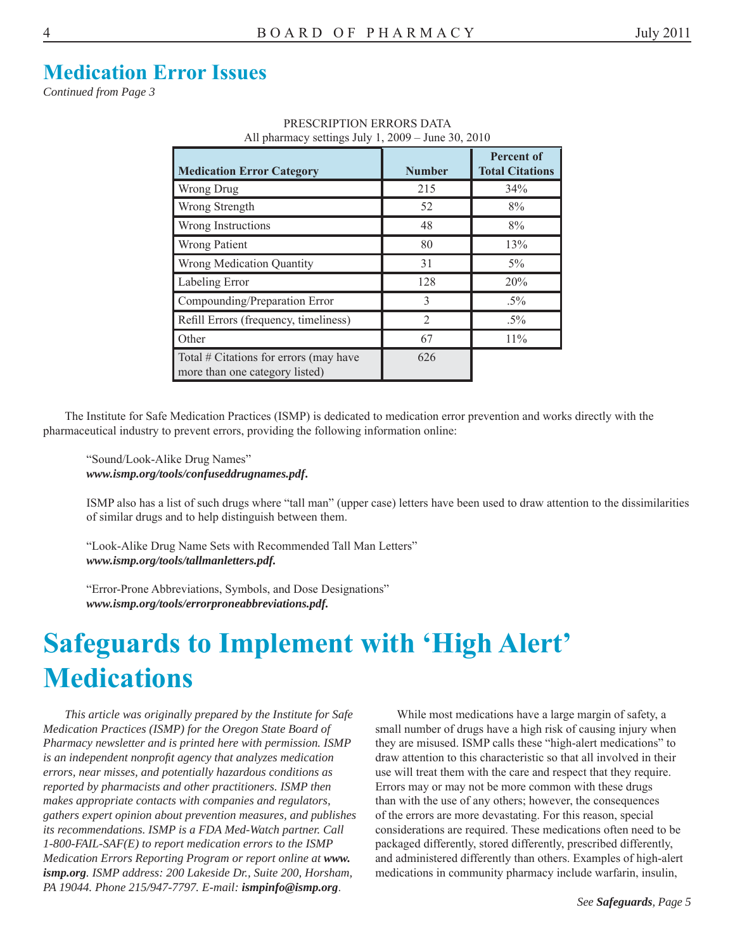### **Medication Error Issues**

*Continued from Page 3* 

| All pharmacy settings $Jury_1$ , $2009 - June_20$ , $2010$               |                |                                      |  |
|--------------------------------------------------------------------------|----------------|--------------------------------------|--|
| <b>Medication Error Category</b>                                         | <b>Number</b>  | Percent of<br><b>Total Citations</b> |  |
| Wrong Drug                                                               | 215            | 34%                                  |  |
| Wrong Strength                                                           | 52             | 8%                                   |  |
| Wrong Instructions                                                       | 48             | 8%                                   |  |
| <b>Wrong Patient</b>                                                     | 80             | 13%                                  |  |
| <b>Wrong Medication Quantity</b>                                         | 31             | $5\%$                                |  |
| Labeling Error                                                           | 128            | 20%                                  |  |
| Compounding/Preparation Error                                            | 3              | $.5\%$                               |  |
| Refill Errors (frequency, timeliness)                                    | $\overline{2}$ | $.5\%$                               |  |
| Other                                                                    | 67             | 11%                                  |  |
| Total # Citations for errors (may have<br>more than one category listed) | 626            |                                      |  |

PRESCRIPTION ERRORS DATA  $\alpha_{\rm g}$  July 1, 2009 – June 30, 2010

The Institute for Safe Medication Practices (ISMP) is dedicated to medication error prevention and works directly with the pharmaceutical industry to prevent errors, providing the following information online:

"Sound/Look-Alike Drug Names" *www.ismp.org/tools/confuseddrugnames.pdf***.** 

ISMP also has a list of such drugs where "tall man" (upper case) letters have been used to draw attention to the dissimilarities of similar drugs and to help distinguish between them.

"Look-Alike Drug Name Sets with Recommended Tall Man Letters" *www.ismp.org/tools/tallmanletters.pdf.* 

"Error-Prone Abbreviations, Symbols, and Dose Designations" *www.ismp.org/tools/errorproneabbreviations.pdf.* 

### **Safeguards to Implement with 'High Alert' Medications**

*This article was originally prepared by the Institute for Safe Medication Practices (ISMP) for the Oregon State Board of Pharmacy newsletter and is printed here with permission. ISMP is an independent nonprofit agency that analyzes medication errors, near misses, and potentially hazardous conditions as reported by pharmacists and other practitioners. ISMP then makes appropriate contacts with companies and regulators, gathers expert opinion about prevention measures, and publishes its recommendations. ISMP is a FDA Med-Watch partner. Call 1-800-FAIL-SAF(E) to report medication errors to the ISMP Medication Errors Reporting Program or report online at www. ismp.org. ISMP address: 200 Lakeside Dr., Suite 200, Horsham, PA 19044. Phone 215/947-7797. E-mail: ismpinfo@ismp.org*.

While most medications have a large margin of safety, a small number of drugs have a high risk of causing injury when they are misused. ISMP calls these "high-alert medications" to draw attention to this characteristic so that all involved in their use will treat them with the care and respect that they require. Errors may or may not be more common with these drugs than with the use of any others; however, the consequences of the errors are more devastating. For this reason, special considerations are required. These medications often need to be packaged differently, stored differently, prescribed differently, and administered differently than others. Examples of high-alert medications in community pharmacy include warfarin, insulin,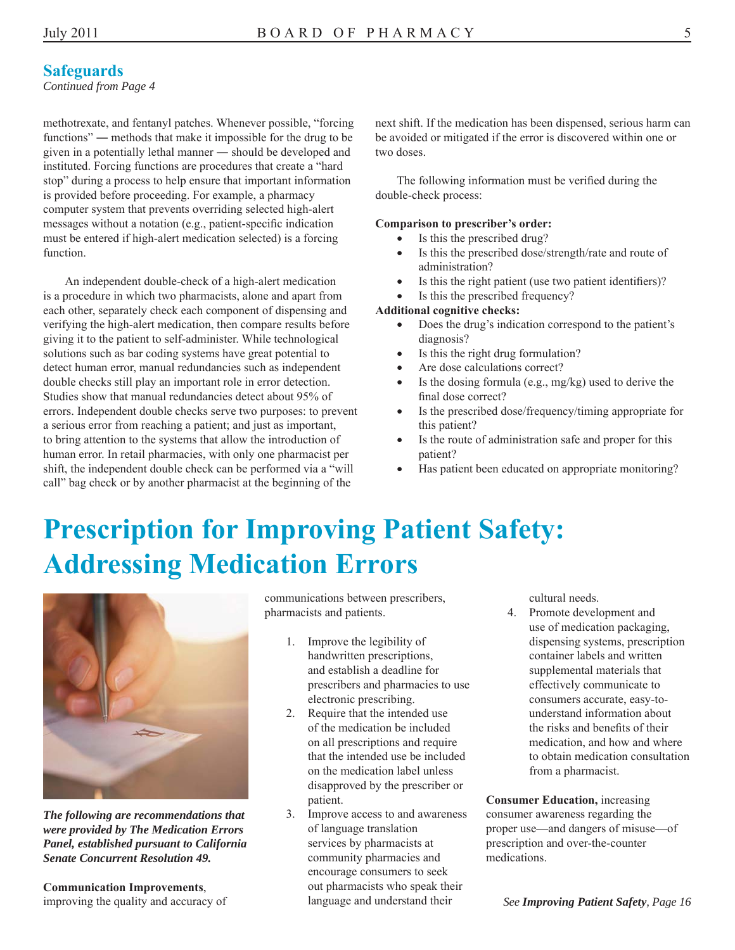#### **Safeguards**

*Continued from Page 4* 

functions" — methods that make it impossible for the drug to be be avoided or mitigated if the error is discovered within one or given in a potentially lethal manner — should be developed and two doses. instituted. Forcing functions are procedures that create a "hard stop" during a process to help ensure that important information The following information must be verified during the is provided before proceeding. For example, a pharmacy double-check process: computer system that prevents overriding selected high-alert messages without a notation (e.g., patient-specific indication **Comparison to prescriber's order:** must be entered if high-alert medication selected) is a forcing  $\bullet$  Is this the prescribed drug? function.  $\bullet$  Is this the prescribed dose/strength/rate and route of

An independent double-check of a high-alert medication  $\bullet$  Is this the right patient (use two patient identifiers)? is a procedure in which two pharmacists, alone and apart from  $\bullet$  Is this the prescribed frequency? each other, separately check each component of dispensing and **Additional cognitive checks:** verifying the high-alert medication, then compare results before **Does** the drug's indication correspond to the patient's giving it to the patient to self-administer. While technological diagnosis? solutions such as bar coding systems have great potential to  $\bullet$  Is this the right drug formulation? detect human error, manual redundancies such as independent • Are dose calculations correct? double checks still play an important role in error detection.  $\bullet$  Is the dosing formula (e.g., mg/kg) used to derive the Studies show that manual redundancies detect about 95% of final dose correct? errors. Independent double checks serve two purposes: to prevent **I**s the prescribed dose/frequency/timing appropriate for a serious error from reaching a patient; and just as important, this patient? to bring attention to the systems that allow the introduction of Is the route of administration safe and proper for this human error. In retail pharmacies, with only one pharmacist per patient? shift, the independent double check can be performed via a "will  $\bullet$  Has patient been educated on appropriate monitoring? call" bag check or by another pharmacist at the beginning of the

methotrexate, and fentanyl patches. Whenever possible, "forcing next shift. If the medication has been dispensed, serious harm can

- 
- administration?
- 
- 

- 
- 
- 
- 
- 
- 
- 

### **Prescription for Improving Patient Safety: Addressing Medication Errors**



*The following are recommendations that were provided by The Medication Errors Panel, established pursuant to California Senate Concurrent Resolution 49.* 

**Communication Improvements**, improving the quality and accuracy of communications between prescribers, pharmacists and patients.

- 1. Improve the legibility of handwritten prescriptions. and establish a deadline for prescribers and pharmacies to use electronic prescribing.
- 2. Require that the intended use of the medication be included on all prescriptions and require that the intended use be included on the medication label unless disapproved by the prescriber or patient.
- 3. Improve access to and awareness of language translation services by pharmacists at community pharmacies and encourage consumers to seek out pharmacists who speak their language and understand their

cultural needs.

4. Promote development and use of medication packaging, dispensing systems, prescription container labels and written supplemental materials that effectively communicate to consumers accurate, easy-tounderstand information about the risks and benefits of their medication, and how and where to obtain medication consultation from a pharmacist.

**Consumer Education,** increasing consumer awareness regarding the proper use—and dangers of misuse—of prescription and over-the-counter medications.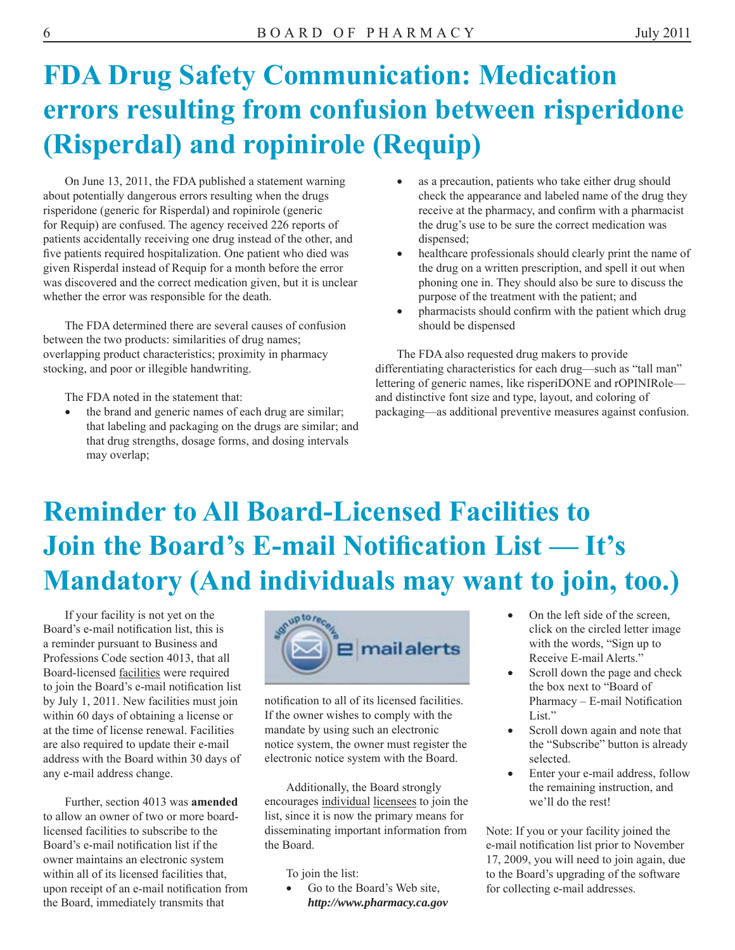# **FDA Drug Safety Communication: Medication errors resulting from confusion between risperidone (Risperdal) and ropinirole (Requip)**

On June 13, 2011, the FDA published a statement warning **able as a precaution**, patients who take either drug should about potentially dangerous errors resulting when the drugs check the appearance and labeled name of the drug they risperidone (generic for Risperdal) and ropinirole (generic receive at the pharmacy, and confirm with a pharmacist for Requip) are confused. The agency received 226 reports of the drug's use to be sure the correct medication was patients accidentally receiving one drug instead of the other, and dispensed; five patients required hospitalization. One patient who died was **•** healthcare professionals should clearly print the name of given Risperdal instead of Requip for a month before the error the drug on a written prescription, and spell it out when was discovered and the correct medication given, but it is unclear phoning one in. They should also be sure to discuss the whether the error was responsible for the death. purpose of the treatment with the patient; and

The FDA determined there are several causes of confusion should be dispensed between the two products: similarities of drug names; overlapping product characteristics; proximity in pharmacy The FDA also requested drug makers to provide

that labeling and packaging on the drugs are similar; and that drug strengths, dosage forms, and dosing intervals may overlap;

- 
- 
- pharmacists should confirm with the patient which drug

stocking, and poor or illegible handwriting. differentiating characteristics for each drug—such as "tall man" lettering of generic names, like risperiDONE and rOPINIRole— The FDA noted in the statement that: and distinctive font size and type, layout, and coloring of the brand and generic names of each drug are similar; packaging—as additional preventive measures against confusion.

# **Reminder to All Board-Licensed Facilities to Join the Board's E-mail Notification List — It's Mandatory (And individuals may want to join, too.)**

to join the Board's e-mail notification list the box next to "Board of the box next to "Board of by July 1, 2011. New facilities must join notification to all of its licensed facilities. Pharmacy – E-mail Notification address with the Board within 30 days of electronic notice system with the Board. selected. any e-mail address change. Enter your e-mail address, follow

to allow an owner of two or more board- list, since it is now the primary means for owner maintains an electronic system 17, 2009, you will need to join again, due within all of its licensed facilities that, To join the list: to the Board's upgrading of the software upon receipt of an e-mail notification from  $\bullet$  Go to the Board's Web site, for collecting e-mail addresses. the Board, immediately transmits that *http://www.pharmacy.ca.gov* 



within 60 days of obtaining a license or If the owner wishes to comply with the List." at the time of license renewal. Facilities mandate by using such an electronic **Scroll down again and note that** are also required to update their e-mail notice system, the owner must register the the "Subscribe" button is already

Additionally, the Board strongly the remaining instruction, and Further, section 4013 was **amended** encourages individual licensees to join the we'll do the rest! licensed facilities to subscribe to the disseminating important information from Note: If you or your facility joined the Board's e-mail notification list if the the Board. e-mail notification list prior to November

- 
- 
- 
-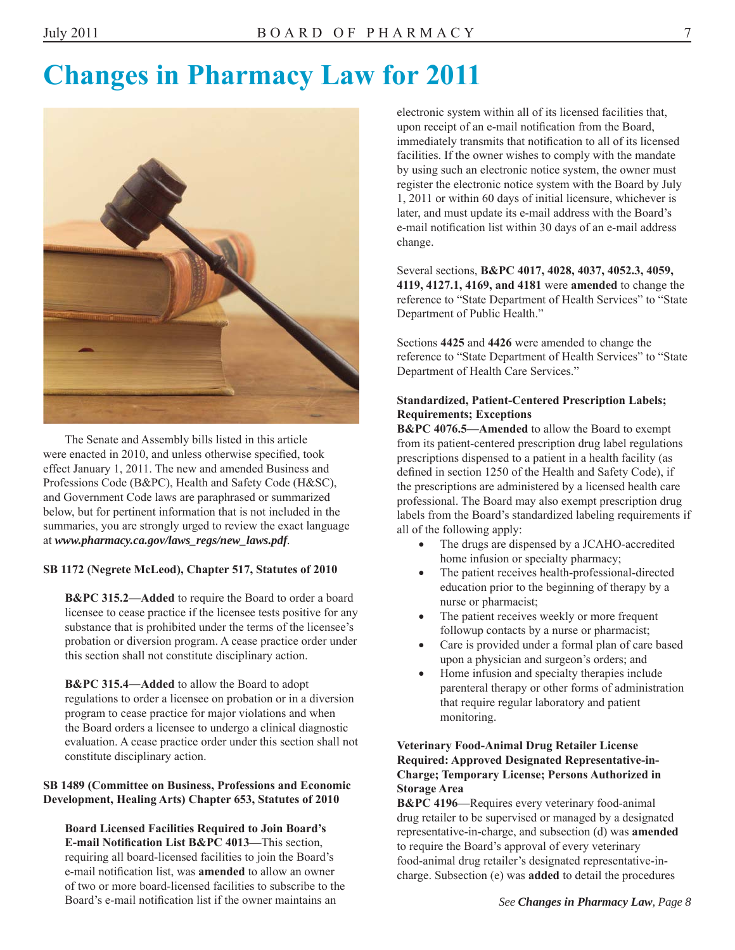### **Changes in Pharmacy Law for 2011**



The Senate and Assembly bills listed in this article were enacted in 2010, and unless otherwise specified, took effect January 1, 2011. The new and amended Business and Professions Code (B&PC), Health and Safety Code (H&SC), and Government Code laws are paraphrased or summarized below, but for pertinent information that is not included in the summaries, you are strongly urged to review the exact language at *www.pharmacy.ca.gov/laws\_regs/new\_laws.pdf.* 

#### **SB 1172 (Negrete McLeod), Chapter 517, Statutes of 2010**

**B&PC 315.2—Added** to require the Board to order a board licensee to cease practice if the licensee tests positive for any substance that is prohibited under the terms of the licensee's probation or diversion program. A cease practice order under this section shall not constitute disciplinary action.

**B&PC 315.4―Added** to allow the Board to adopt regulations to order a licensee on probation or in a diversion program to cease practice for major violations and when the Board orders a licensee to undergo a clinical diagnostic evaluation. A cease practice order under this section shall not constitute disciplinary action.

#### **SB 1489 (Committee on Business, Professions and Economic Development, Healing Arts) Chapter 653, Statutes of 2010**

**Board Licensed Facilities Required to Join Board's E-mail Notification List B&PC 4013—This section.** requiring all board-licensed facilities to join the Board's e-mail notification list, was **amended** to allow an owner of two or more board-licensed facilities to subscribe to the Board's e-mail notification list if the owner maintains an

electronic system within all of its licensed facilities that, upon receipt of an e-mail notification from the Board, immediately transmits that notification to all of its licensed facilities. If the owner wishes to comply with the mandate by using such an electronic notice system, the owner must register the electronic notice system with the Board by July 1, 2011 or within 60 days of initial licensure, whichever is later, and must update its e-mail address with the Board's e-mail notification list within 30 days of an e-mail address change.

Several sections, **B&PC 4017, 4028, 4037, 4052.3, 4059, 4119, 4127.1, 4169, and 4181** were **amended** to change the reference to "State Department of Health Services" to "State Department of Public Health."

Sections **4425** and **4426** were amended to change the reference to "State Department of Health Services" to "State Department of Health Care Services."

#### **Standardized, Patient-Centered Prescription Labels; Requirements; Exceptions**

**B&PC 4076.5—Amended** to allow the Board to exempt from its patient-centered prescription drug label regulations prescriptions dispensed to a patient in a health facility (as defined in section 1250 of the Health and Safety Code), if the prescriptions are administered by a licensed health care professional. The Board may also exempt prescription drug labels from the Board's standardized labeling requirements if all of the following apply:

- The drugs are dispensed by a JCAHO-accredited home infusion or specialty pharmacy;
- The patient receives health-professional-directed education prior to the beginning of therapy by a nurse or pharmacist;
- The patient receives weekly or more frequent followup contacts by a nurse or pharmacist;
- Care is provided under a formal plan of care based upon a physician and surgeon's orders; and
- Home infusion and specialty therapies include parenteral therapy or other forms of administration that require regular laboratory and patient monitoring.

#### **Veterinary Food-Animal Drug Retailer License Required: Approved Designated Representative-in-Charge; Temporary License; Persons Authorized in Storage Area**

**B&PC 4196—**Requires every veterinary food-animal drug retailer to be supervised or managed by a designated representative-in-charge, and subsection (d) was **amended**  to require the Board's approval of every veterinary food-animal drug retailer's designated representative-incharge. Subsection (e) was **added** to detail the procedures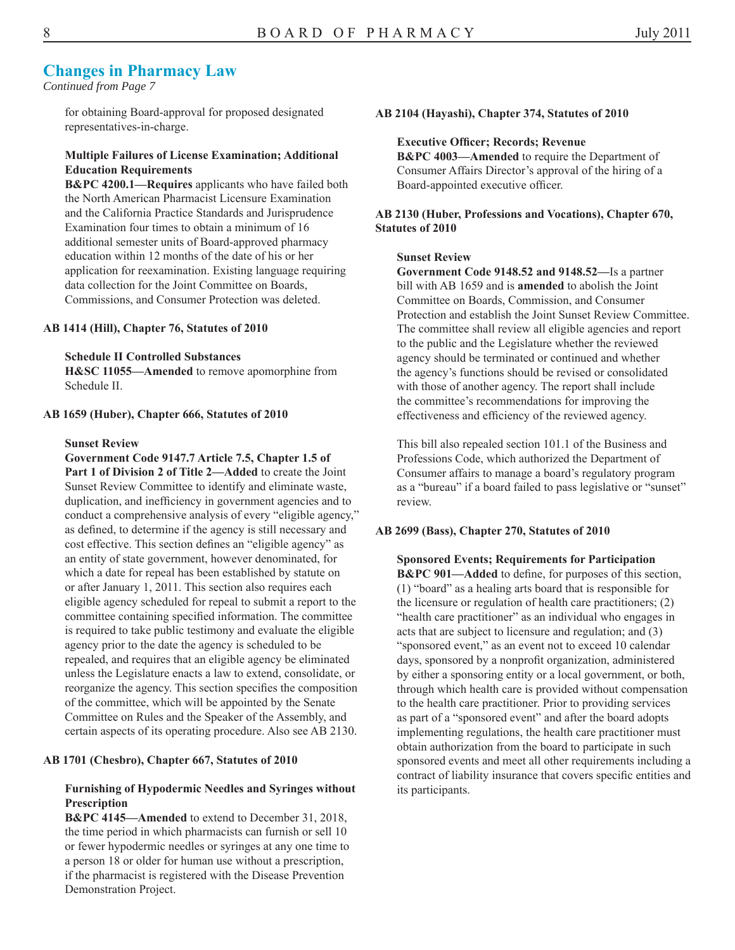#### **Changes in Pharmacy Law**

*Continued from Page 7* 

for obtaining Board-approval for proposed designated representatives-in-charge.

#### **Multiple Failures of License Examination; Additional Education Requirements**

**B&PC 4200.1—Requires** applicants who have failed both the North American Pharmacist Licensure Examination and the California Practice Standards and Jurisprudence Examination four times to obtain a minimum of 16 additional semester units of Board-approved pharmacy education within 12 months of the date of his or her application for reexamination. Existing language requiring data collection for the Joint Committee on Boards, Commissions, and Consumer Protection was deleted.

#### **AB 1414 (Hill), Chapter 76, Statutes of 2010**

#### **Schedule II Controlled Substances**

**H&SC 11055—Amended** to remove apomorphine from Schedule II.

#### **AB 1659 (Huber), Chapter 666, Statutes of 2010**

#### **Sunset Review**

**Government Code 9147.7 Article 7.5, Chapter 1.5 of Part 1 of Division 2 of Title 2—Added** to create the Joint Sunset Review Committee to identify and eliminate waste, duplication, and inefficiency in government agencies and to conduct a comprehensive analysis of every "eligible agency," as defined, to determine if the agency is still necessary and cost effective. This section defines an "eligible agency" as an entity of state government, however denominated, for which a date for repeal has been established by statute on or after January 1, 2011. This section also requires each eligible agency scheduled for repeal to submit a report to the committee containing specified information. The committee is required to take public testimony and evaluate the eligible agency prior to the date the agency is scheduled to be repealed, and requires that an eligible agency be eliminated unless the Legislature enacts a law to extend, consolidate, or reorganize the agency. This section specifies the composition of the committee, which will be appointed by the Senate Committee on Rules and the Speaker of the Assembly, and certain aspects of its operating procedure. Also see AB 2130.

#### **AB 1701 (Chesbro), Chapter 667, Statutes of 2010**

#### **Furnishing of Hypodermic Needles and Syringes without Prescription**

**B&PC 4145—Amended** to extend to December 31, 2018, the time period in which pharmacists can furnish or sell 10 or fewer hypodermic needles or syringes at any one time to a person 18 or older for human use without a prescription, if the pharmacist is registered with the Disease Prevention Demonstration Project.

#### **AB 2104 (Hayashi), Chapter 374, Statutes of 2010**

#### **Executive Officer; Records; Revenue**

**B&PC 4003—Amended** to require the Department of Consumer Affairs Director's approval of the hiring of a Board-appointed executive officer.

#### **AB 2130 (Huber, Professions and Vocations), Chapter 670, Statutes of 2010**

#### **Sunset Review**

**Government Code 9148.52 and 9148.52—**Is a partner bill with AB 1659 and is **amended** to abolish the Joint Committee on Boards, Commission, and Consumer Protection and establish the Joint Sunset Review Committee. The committee shall review all eligible agencies and report to the public and the Legislature whether the reviewed agency should be terminated or continued and whether the agency's functions should be revised or consolidated with those of another agency. The report shall include the committee's recommendations for improving the effectiveness and efficiency of the reviewed agency.

This bill also repealed section 101.1 of the Business and Professions Code, which authorized the Department of Consumer affairs to manage a board's regulatory program as a "bureau" if a board failed to pass legislative or "sunset" review.

#### **AB 2699 (Bass), Chapter 270, Statutes of 2010**

**Sponsored Events; Requirements for Participation B&PC 901—Added** to define, for purposes of this section, (1) "board" as a healing arts board that is responsible for the licensure or regulation of health care practitioners; (2) "health care practitioner" as an individual who engages in acts that are subject to licensure and regulation; and (3) "sponsored event," as an event not to exceed 10 calendar days, sponsored by a nonprofit organization, administered by either a sponsoring entity or a local government, or both, through which health care is provided without compensation to the health care practitioner. Prior to providing services as part of a "sponsored event" and after the board adopts implementing regulations, the health care practitioner must obtain authorization from the board to participate in such sponsored events and meet all other requirements including a contract of liability insurance that covers specific entities and its participants.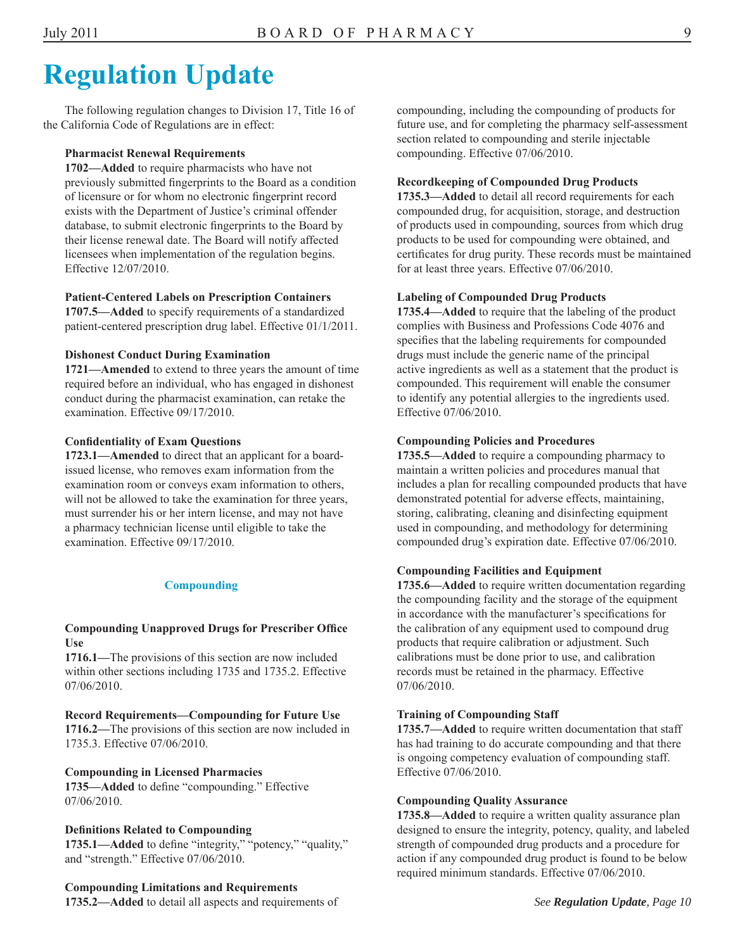### **Regulation Update**

The following regulation changes to Division 17, Title 16 of the California Code of Regulations are in effect:

#### **Pharmacist Renewal Requirements**

**1702—Added** to require pharmacists who have not previously submitted fingerprints to the Board as a condition of licensure or for whom no electronic fingerprint record exists with the Department of Justice's criminal offender database, to submit electronic fingerprints to the Board by their license renewal date. The Board will notify affected licensees when implementation of the regulation begins. Effective 12/07/2010.

#### **Patient-Centered Labels on Prescription Containers**

**1707.5—Added** to specify requirements of a standardized patient-centered prescription drug label. Effective 01/1/2011.

#### **Dishonest Conduct During Examination**

**1721—Amended** to extend to three years the amount of time required before an individual, who has engaged in dishonest conduct during the pharmacist examination, can retake the examination. Effective 09/17/2010.

#### **Confidentiality of Exam Questions**

**1723.1—Amended** to direct that an applicant for a boardissued license, who removes exam information from the examination room or conveys exam information to others, will not be allowed to take the examination for three years, must surrender his or her intern license, and may not have a pharmacy technician license until eligible to take the examination. Effective 09/17/2010.

#### **Compounding**

#### **Compounding Unapproved Drugs for Prescriber Office Use**

**1716.1—**The provisions of this section are now included within other sections including 1735 and 1735.2. Effective 07/06/2010.

#### **Record Requirements—Compounding for Future Use**

**1716.2—**The provisions of this section are now included in 1735.3. Effective 07/06/2010.

#### **Compounding in Licensed Pharmacies**

**1735—Added** to define "compounding." Effective 07/06/2010.

#### **Definitions Related to Compounding**

**1735.1—Added** to define "integrity," "potency," "quality," and "strength." Effective 07/06/2010.

#### **Compounding Limitations and Requirements**

**1735.2—Added** to detail all aspects and requirements of

compounding, including the compounding of products for future use, and for completing the pharmacy self-assessment section related to compounding and sterile injectable compounding. Effective 07/06/2010.

#### **Recordkeeping of Compounded Drug Products**

**1735.3—Added** to detail all record requirements for each compounded drug, for acquisition, storage, and destruction of products used in compounding, sources from which drug products to be used for compounding were obtained, and certificates for drug purity. These records must be maintained for at least three years. Effective 07/06/2010.

#### **Labeling of Compounded Drug Products**

**1735.4—Added** to require that the labeling of the product complies with Business and Professions Code 4076 and specifies that the labeling requirements for compounded drugs must include the generic name of the principal active ingredients as well as a statement that the product is compounded. This requirement will enable the consumer to identify any potential allergies to the ingredients used. Effective 07/06/2010.

#### **Compounding Policies and Procedures**

**1735.5—Added** to require a compounding pharmacy to maintain a written policies and procedures manual that includes a plan for recalling compounded products that have demonstrated potential for adverse effects, maintaining, storing, calibrating, cleaning and disinfecting equipment used in compounding, and methodology for determining compounded drug's expiration date. Effective 07/06/2010.

#### **Compounding Facilities and Equipment**

**1735.6—Added** to require written documentation regarding the compounding facility and the storage of the equipment in accordance with the manufacturer's specifications for the calibration of any equipment used to compound drug products that require calibration or adjustment. Such calibrations must be done prior to use, and calibration records must be retained in the pharmacy. Effective 07/06/2010.

#### **Training of Compounding Staff**

**1735.7—Added** to require written documentation that staff has had training to do accurate compounding and that there is ongoing competency evaluation of compounding staff. Effective 07/06/2010.

#### **Compounding Quality Assurance**

**1735.8—Added** to require a written quality assurance plan designed to ensure the integrity, potency, quality, and labeled strength of compounded drug products and a procedure for action if any compounded drug product is found to be below required minimum standards. Effective 07/06/2010.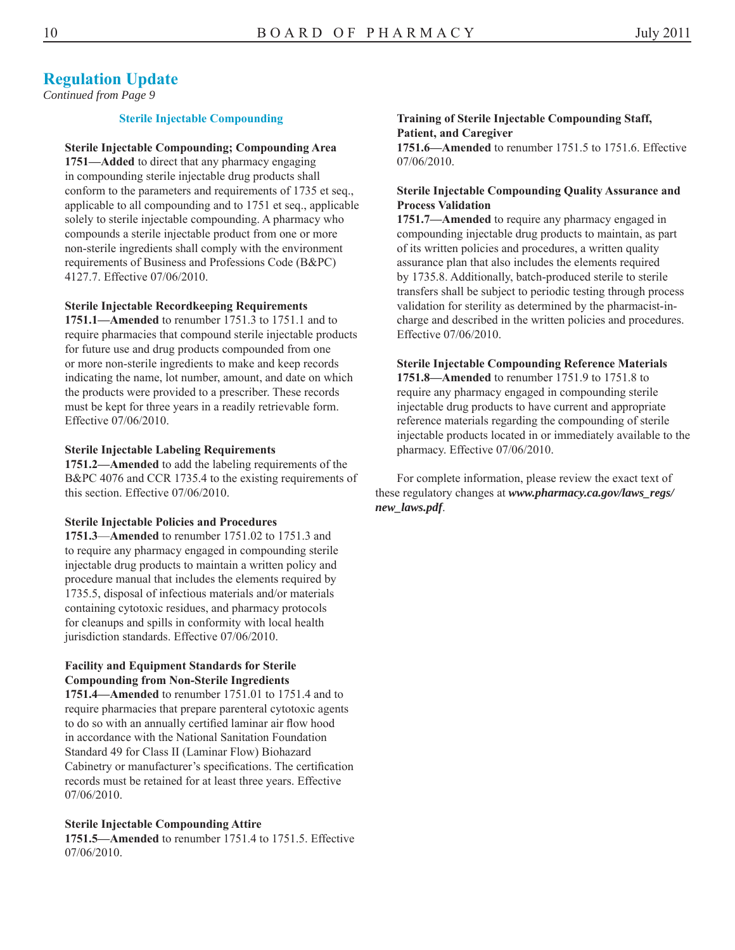#### **Regulation Update**

*Continued from Page 9* 

#### **Sterile Injectable Compounding**

#### **Sterile Injectable Compounding; Compounding Area**

**1751—Added** to direct that any pharmacy engaging in compounding sterile injectable drug products shall conform to the parameters and requirements of 1735 et seq., applicable to all compounding and to 1751 et seq., applicable solely to sterile injectable compounding. A pharmacy who compounds a sterile injectable product from one or more non-sterile ingredients shall comply with the environment requirements of Business and Professions Code (B&PC) 4127.7. Effective 07/06/2010.

#### **Sterile Injectable Recordkeeping Requirements**

**1751.1—Amended** to renumber 1751.3 to 1751.1 and to require pharmacies that compound sterile injectable products for future use and drug products compounded from one or more non-sterile ingredients to make and keep records indicating the name, lot number, amount, and date on which the products were provided to a prescriber. These records must be kept for three years in a readily retrievable form. Effective 07/06/2010.

#### **Sterile Injectable Labeling Requirements**

**1751.2—Amended** to add the labeling requirements of the B&PC 4076 and CCR 1735.4 to the existing requirements of this section. Effective 07/06/2010.

#### **Sterile Injectable Policies and Procedures**

**1751.3**—**Amended** to renumber 1751.02 to 1751.3 and to require any pharmacy engaged in compounding sterile injectable drug products to maintain a written policy and procedure manual that includes the elements required by 1735.5, disposal of infectious materials and/or materials containing cytotoxic residues, and pharmacy protocols for cleanups and spills in conformity with local health jurisdiction standards. Effective 07/06/2010.

#### **Facility and Equipment Standards for Sterile Compounding from Non-Sterile Ingredients**

**1751.4—Amended** to renumber 1751.01 to 1751.4 and to require pharmacies that prepare parenteral cytotoxic agents to do so with an annually certified laminar air flow hood in accordance with the National Sanitation Foundation Standard 49 for Class II (Laminar Flow) Biohazard Cabinetry or manufacturer's specifications. The certification records must be retained for at least three years. Effective 07/06/2010.

#### **Sterile Injectable Compounding Attire**

**1751.5—Amended** to renumber 1751.4 to 1751.5. Effective 07/06/2010.

#### **Training of Sterile Injectable Compounding Staff, Patient, and Caregiver 1751.6—Amended** to renumber 1751.5 to 1751.6. Effective 07/06/2010.

#### **Sterile Injectable Compounding Quality Assurance and Process Validation**

**1751.7—Amended** to require any pharmacy engaged in compounding injectable drug products to maintain, as part of its written policies and procedures, a written quality assurance plan that also includes the elements required by 1735.8. Additionally, batch-produced sterile to sterile transfers shall be subject to periodic testing through process validation for sterility as determined by the pharmacist-incharge and described in the written policies and procedures. Effective 07/06/2010.

#### **Sterile Injectable Compounding Reference Materials**

**1751.8—Amended** to renumber 1751.9 to 1751.8 to require any pharmacy engaged in compounding sterile injectable drug products to have current and appropriate reference materials regarding the compounding of sterile injectable products located in or immediately available to the pharmacy. Effective 07/06/2010.

For complete information, please review the exact text of these regulatory changes at *www.pharmacy.ca.gov/laws\_regs/ new\_laws.pdf*.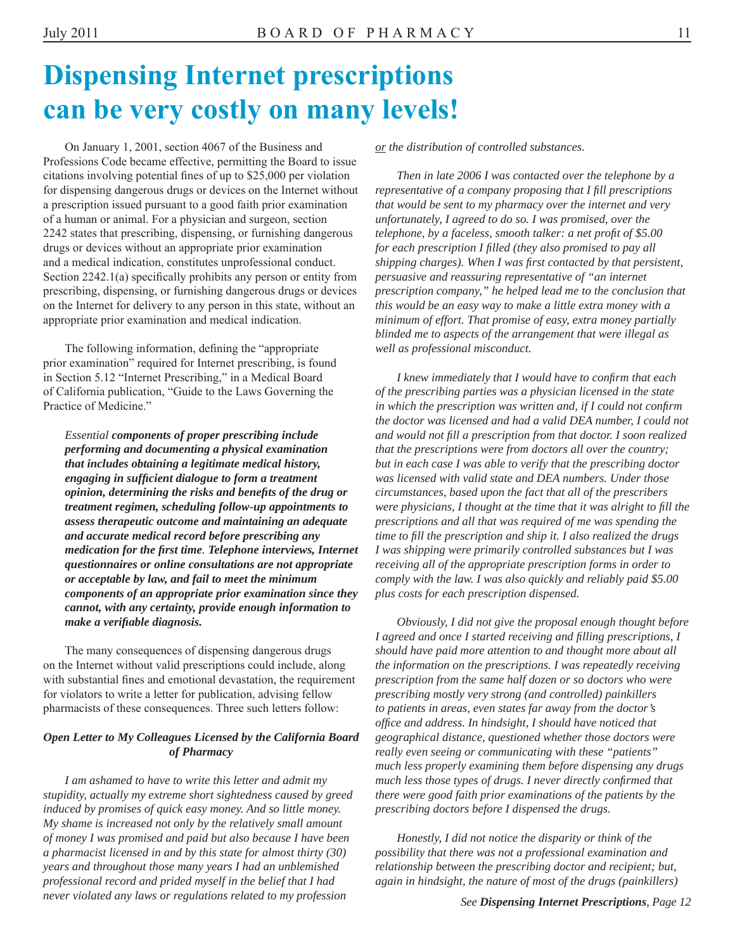### **Dispensing Internet prescriptions can be very costly on many levels!**

On January 1, 2001, section 4067 of the Business and Professions Code became effective, permitting the Board to issue citations involving potential fines of up to \$25,000 per violation for dispensing dangerous drugs or devices on the Internet without a prescription issued pursuant to a good faith prior examination of a human or animal. For a physician and surgeon, section 2242 states that prescribing, dispensing, or furnishing dangerous drugs or devices without an appropriate prior examination and a medical indication, constitutes unprofessional conduct. Section 2242.1(a) specifically prohibits any person or entity from prescribing, dispensing, or furnishing dangerous drugs or devices on the Internet for delivery to any person in this state, without an appropriate prior examination and medical indication.

The following information, defining the "appropriate prior examination" required for Internet prescribing, is found in Section 5.12 "Internet Prescribing," in a Medical Board of California publication, "Guide to the Laws Governing the Practice of Medicine."

*Essential components of proper prescribing include performing and documenting a physical examination that includes obtaining a legitimate medical history, engaging in sufficient dialogue to form a treatment opinion, determining the risks and benefits of the drug or treatment regimen, scheduling follow-up appointments to assess therapeutic outcome and maintaining an adequate and accurate medical record before prescribing any medication for the fi rst time. Telephone interviews, Internet questionnaires or online consultations are not appropriate or acceptable by law, and fail to meet the minimum components of an appropriate prior examination since they cannot, with any certainty, provide enough information to make a verifiable diagnosis.* 

The many consequences of dispensing dangerous drugs on the Internet without valid prescriptions could include, along with substantial fines and emotional devastation, the requirement for violators to write a letter for publication, advising fellow pharmacists of these consequences. Three such letters follow:

#### *Open Letter to My Colleagues Licensed by the California Board of Pharmacy*

*I am ashamed to have to write this letter and admit my stupidity, actually my extreme short sightedness caused by greed induced by promises of quick easy money. And so little money. My shame is increased not only by the relatively small amount of money I was promised and paid but also because I have been a pharmacist licensed in and by this state for almost thirty (30) years and throughout those many years I had an unblemished professional record and prided myself in the belief that I had never violated any laws or regulations related to my profession* 

*or the distribution of controlled substances.* 

*Then in late 2006 I was contacted over the telephone by a representative of a company proposing that I fill prescriptions that would be sent to my pharmacy over the internet and very unfortunately, I agreed to do so. I was promised, over the telephone, by a faceless, smooth talker: a net profit of \$5.00 for each prescription I filled (they also promised to pay all shipping charges). When I was first contacted by that persistent, persuasive and reassuring representative of "an internet prescription company," he helped lead me to the conclusion that this would be an easy way to make a little extra money with a minimum of effort. That promise of easy, extra money partially blinded me to aspects of the arrangement that were illegal as well as professional misconduct.* 

*I knew immediately that I would have to confirm that each of the prescribing parties was a physician licensed in the state in which the prescription was written and, if I could not confirm the doctor was licensed and had a valid DEA number, I could not and would not fi ll a prescription from that doctor. I soon realized that the prescriptions were from doctors all over the country; but in each case I was able to verify that the prescribing doctor was licensed with valid state and DEA numbers. Under those circumstances, based upon the fact that all of the prescribers were physicians, I thought at the time that it was alright to fill the prescriptions and all that was required of me was spending the time to fi ll the prescription and ship it. I also realized the drugs I was shipping were primarily controlled substances but I was receiving all of the appropriate prescription forms in order to comply with the law. I was also quickly and reliably paid \$5.00 plus costs for each prescription dispensed.* 

*Obviously, I did not give the proposal enough thought before I agreed and once I started receiving and fi lling prescriptions, I should have paid more attention to and thought more about all the information on the prescriptions. I was repeatedly receiving prescription from the same half dozen or so doctors who were prescribing mostly very strong (and controlled) painkillers to patients in areas, even states far away from the doctor's offi ce and address. In hindsight, I should have noticed that geographical distance, questioned whether those doctors were really even seeing or communicating with these "patients" much less properly examining them before dispensing any drugs much less those types of drugs. I never directly confirmed that there were good faith prior examinations of the patients by the prescribing doctors before I dispensed the drugs.* 

*Honestly, I did not notice the disparity or think of the possibility that there was not a professional examination and relationship between the prescribing doctor and recipient; but, again in hindsight, the nature of most of the drugs (painkillers)*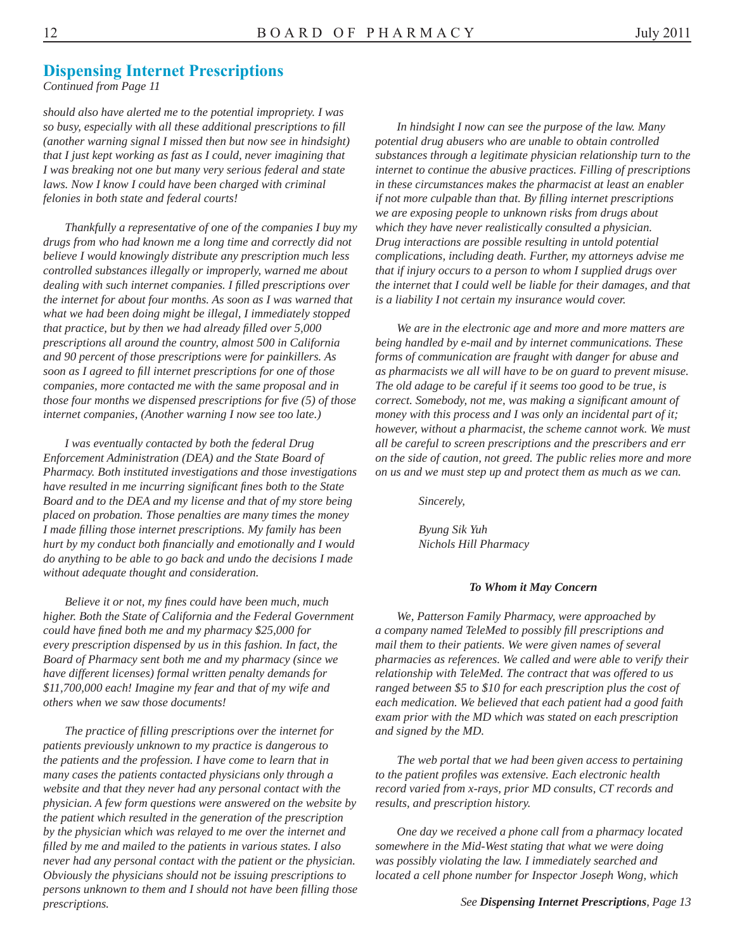#### **Dispensing Internet Prescriptions**

*Continued from Page 11* 

*should also have alerted me to the potential impropriety. I was so busy, especially with all these additional prescriptions to fill (another warning signal I missed then but now see in hindsight) that I just kept working as fast as I could, never imagining that I was breaking not one but many very serious federal and state laws. Now I know I could have been charged with criminal felonies in both state and federal courts!* 

*Thankfully a representative of one of the companies I buy my drugs from who had known me a long time and correctly did not believe I would knowingly distribute any prescription much less controlled substances illegally or improperly, warned me about dealing with such internet companies. I fi lled prescriptions over the internet for about four months. As soon as I was warned that what we had been doing might be illegal, I immediately stopped that practice, but by then we had already filled over 5,000 prescriptions all around the country, almost 500 in California and 90 percent of those prescriptions were for painkillers. As soon as I agreed to fi ll internet prescriptions for one of those companies, more contacted me with the same proposal and in those four months we dispensed prescriptions for five (5) of those internet companies, (Another warning I now see too late.)* 

*I was eventually contacted by both the federal Drug Enforcement Administration (DEA) and the State Board of Pharmacy. Both instituted investigations and those investigations have resulted in me incurring significant fines both to the State Board and to the DEA and my license and that of my store being placed on probation. Those penalties are many times the money I made fi lling those internet prescriptions. My family has been hurt by my conduct both financially and emotionally and I would do anything to be able to go back and undo the decisions I made without adequate thought and consideration.* 

*Believe it or not, my fines could have been much, much higher. Both the State of California and the Federal Government could have fined both me and my pharmacy \$25,000 for every prescription dispensed by us in this fashion. In fact, the Board of Pharmacy sent both me and my pharmacy (since we have different licenses) formal written penalty demands for \$11,700,000 each! Imagine my fear and that of my wife and others when we saw those documents!* 

*The practice of fi lling prescriptions over the internet for patients previously unknown to my practice is dangerous to the patients and the profession. I have come to learn that in many cases the patients contacted physicians only through a website and that they never had any personal contact with the physician. A few form questions were answered on the website by the patient which resulted in the generation of the prescription by the physician which was relayed to me over the internet and filled by me and mailed to the patients in various states. I also never had any personal contact with the patient or the physician. Obviously the physicians should not be issuing prescriptions to persons unknown to them and I should not have been filling those prescriptions.* 

*In hindsight I now can see the purpose of the law. Many potential drug abusers who are unable to obtain controlled substances through a legitimate physician relationship turn to the internet to continue the abusive practices. Filling of prescriptions in these circumstances makes the pharmacist at least an enabler if not more culpable than that. By fi lling internet prescriptions we are exposing people to unknown risks from drugs about which they have never realistically consulted a physician. Drug interactions are possible resulting in untold potential complications, including death. Further, my attorneys advise me that if injury occurs to a person to whom I supplied drugs over the internet that I could well be liable for their damages, and that is a liability I not certain my insurance would cover.* 

*We are in the electronic age and more and more matters are being handled by e-mail and by internet communications. These forms of communication are fraught with danger for abuse and as pharmacists we all will have to be on guard to prevent misuse. The old adage to be careful if it seems too good to be true, is correct. Somebody, not me, was making a significant amount of money with this process and I was only an incidental part of it; however, without a pharmacist, the scheme cannot work. We must all be careful to screen prescriptions and the prescribers and err on the side of caution, not greed. The public relies more and more on us and we must step up and protect them as much as we can.* 

*Sincerely,* 

*Byung Sik Yuh Nichols Hill Pharmacy*

#### *To Whom it May Concern*

*We, Patterson Family Pharmacy, were approached by a company named TeleMed to possibly fi ll prescriptions and mail them to their patients. We were given names of several pharmacies as references. We called and were able to verify their relationship with TeleMed. The contract that was offered to us ranged between \$5 to \$10 for each prescription plus the cost of each medication. We believed that each patient had a good faith exam prior with the MD which was stated on each prescription and signed by the MD.* 

*The web portal that we had been given access to pertaining to the patient profi les was extensive. Each electronic health record varied from x-rays, prior MD consults, CT records and results, and prescription history.* 

*One day we received a phone call from a pharmacy located somewhere in the Mid-West stating that what we were doing was possibly violating the law. I immediately searched and located a cell phone number for Inspector Joseph Wong, which*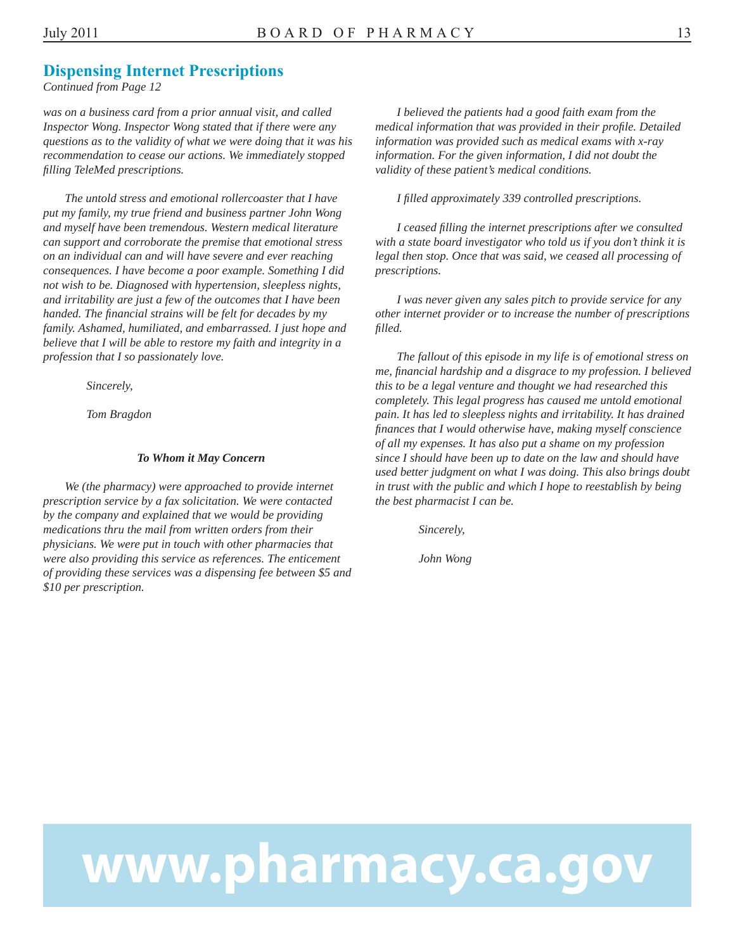#### **Dispensing Internet Prescriptions**

*Continued from Page 12* 

*was on a business card from a prior annual visit, and called Inspector Wong. Inspector Wong stated that if there were any questions as to the validity of what we were doing that it was his recommendation to cease our actions. We immediately stopped fi lling TeleMed prescriptions.* 

*The untold stress and emotional rollercoaster that I have put my family, my true friend and business partner John Wong and myself have been tremendous. Western medical literature can support and corroborate the premise that emotional stress on an individual can and will have severe and ever reaching consequences. I have become a poor example. Something I did not wish to be. Diagnosed with hypertension, sleepless nights, and irritability are just a few of the outcomes that I have been handed. The financial strains will be felt for decades by my family. Ashamed, humiliated, and embarrassed. I just hope and believe that I will be able to restore my faith and integrity in a profession that I so passionately love.* 

*Sincerely,* 

*Tom Bragdon* 

#### *To Whom it May Concern*

*We (the pharmacy) were approached to provide internet prescription service by a fax solicitation. We were contacted by the company and explained that we would be providing medications thru the mail from written orders from their physicians. We were put in touch with other pharmacies that were also providing this service as references. The enticement of providing these services was a dispensing fee between \$5 and \$10 per prescription.* 

*I believed the patients had a good faith exam from the medical information that was provided in their profile. Detailed information was provided such as medical exams with x-ray information. For the given information, I did not doubt the validity of these patient's medical conditions.* 

*I fi lled approximately 339 controlled prescriptions.* 

*I ceased fi lling the internet prescriptions after we consulted with a state board investigator who told us if you don't think it is legal then stop. Once that was said, we ceased all processing of prescriptions.* 

*I was never given any sales pitch to provide service for any other internet provider or to increase the number of prescriptions filled.* 

*The fallout of this episode in my life is of emotional stress on me, fi nancial hardship and a disgrace to my profession. I believed this to be a legal venture and thought we had researched this completely. This legal progress has caused me untold emotional pain. It has led to sleepless nights and irritability. It has drained finances that I would otherwise have, making myself conscience of all my expenses. It has also put a shame on my profession since I should have been up to date on the law and should have used better judgment on what I was doing. This also brings doubt in trust with the public and which I hope to reestablish by being the best pharmacist I can be.* 

*Sincerely,* 

*John Wong* 

# www.pharmacy.ca.gov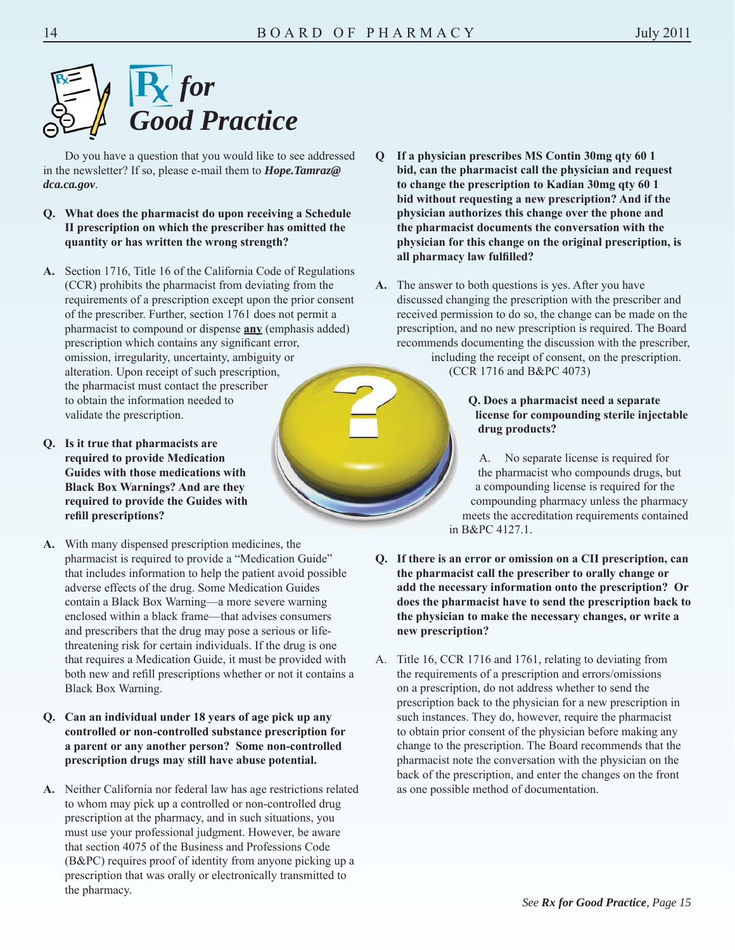

Do you have a question that you would like to see addressed in the newsletter? If so, please e-mail them to *Hope.Tamraz@ dca.ca.gov*.

- **Q. What does the pharmacist do upon receiving a Schedule II prescription on which the prescriber has omitted the quantity or has written the wrong strength?**
- **A.** Section 1716, Title 16 of the California Code of Regulations (CCR) prohibits the pharmacist from deviating from the requirements of a prescription except upon the prior consent of the prescriber. Further, section 1761 does not permit a pharmacist to compound or dispense **any** (emphasis added) prescription which contains any significant error, omission, irregularity, uncertainty, ambiguity or alteration. Upon receipt of such prescription, the pharmacist must contact the prescriber to obtain the information needed to validate the prescription.
- **Q. Is it true that pharmacists are required to provide Medication Guides with those medications with Black Box Warnings? And are they required to provide the Guides with refi ll prescriptions?**
- **A.** With many dispensed prescription medicines, the pharmacist is required to provide a "Medication Guide" that includes information to help the patient avoid possible adverse effects of the drug. Some Medication Guides contain a Black Box Warning—a more severe warning enclosed within a black frame—that advises consumers and prescribers that the drug may pose a serious or lifethreatening risk for certain individuals. If the drug is one that requires a Medication Guide, it must be provided with both new and refill prescriptions whether or not it contains a Black Box Warning.
- **Q. Can an individual under 18 years of age pick up any controlled or non-controlled substance prescription for a parent or any another person? Some non-controlled prescription drugs may still have abuse potential.**
- **A.** Neither California nor federal law has age restrictions related to whom may pick up a controlled or non-controlled drug prescription at the pharmacy, and in such situations, you must use your professional judgment. However, be aware that section 4075 of the Business and Professions Code (B&PC) requires proof of identity from anyone picking up a prescription that was orally or electronically transmitted to the pharmacy.
- **Q If a physician prescribes MS Contin 30mg qty 60 1 bid, can the pharmacist call the physician and request to change the prescription to Kadian 30mg qty 60 1 bid without requesting a new prescription? And if the physician authorizes this change over the phone and the pharmacist documents the conversation with the physician for this change on the original prescription, is all pharmacy law fulfilled?**
- **A.** The answer to both questions is yes. After you have discussed changing the prescription with the prescriber and received permission to do so, the change can be made on the prescription, and no new prescription is required. The Board recommends documenting the discussion with the prescriber, including the receipt of consent, on the prescription.

(CCR 1716 and B&PC 4073)

#### **Q. Does a pharmacist need a separate license for compounding sterile injectable drug products?**

A. No separate license is required for the pharmacist who compounds drugs, but a compounding license is required for the compounding pharmacy unless the pharmacy meets the accreditation requirements contained in B&PC 4127.1.

- **Q. If there is an error or omission on a CII prescription, can the pharmacist call the prescriber to orally change or add the necessary information onto the prescription? Or does the pharmacist have to send the prescription back to the physician to make the necessary changes, or write a new prescription?**
- A. Title 16, CCR 1716 and 1761, relating to deviating from the requirements of a prescription and errors/omissions on a prescription, do not address whether to send the prescription back to the physician for a new prescription in such instances. They do, however, require the pharmacist to obtain prior consent of the physician before making any change to the prescription. The Board recommends that the pharmacist note the conversation with the physician on the back of the prescription, and enter the changes on the front as one possible method of documentation.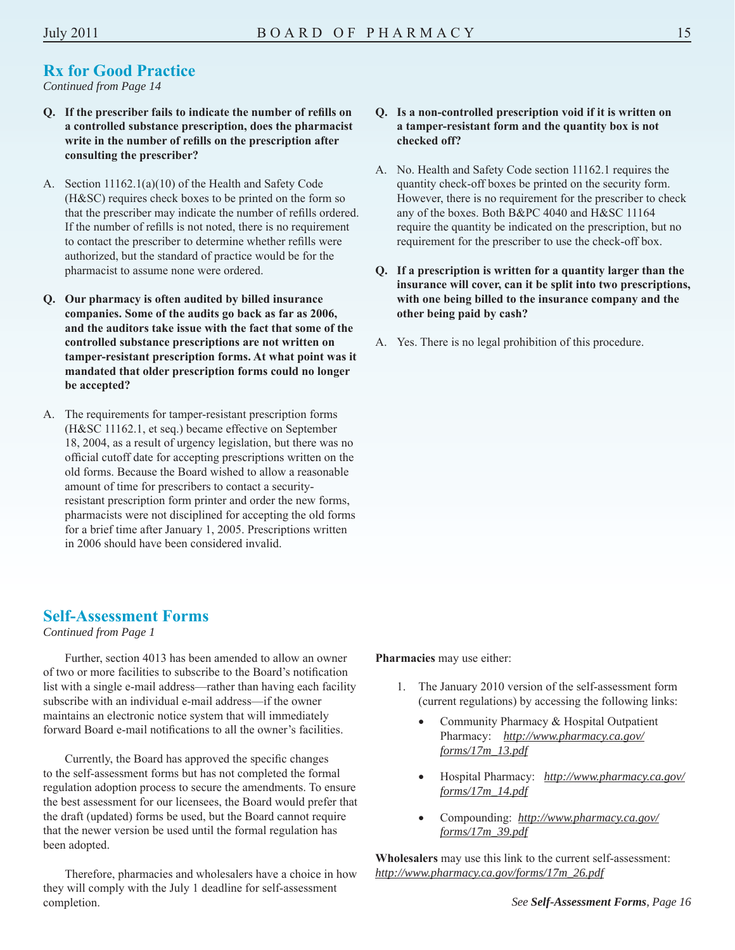*Continued from Page 14* 

- **Q. If the prescriber fails to indicate the number of refi lls on a controlled substance prescription, does the pharmacist write in the number of refills on the prescription after consulting the prescriber?**
- A. Section 11162.1(a)(10) of the Health and Safety Code (H&SC) requires check boxes to be printed on the form so that the prescriber may indicate the number of refills ordered. If the number of refills is not noted, there is no requirement to contact the prescriber to determine whether refills were authorized, but the standard of practice would be for the pharmacist to assume none were ordered.
- **Q. Our pharmacy is often audited by billed insurance companies. Some of the audits go back as far as 2006, and the auditors take issue with the fact that some of the controlled substance prescriptions are not written on tamper-resistant prescription forms. At what point was it mandated that older prescription forms could no longer be accepted?**
- A. The requirements for tamper-resistant prescription forms (H&SC 11162.1, et seq.) became effective on September 18, 2004, as a result of urgency legislation, but there was no official cutoff date for accepting prescriptions written on the old forms. Because the Board wished to allow a reasonable amount of time for prescribers to contact a securityresistant prescription form printer and order the new forms, pharmacists were not disciplined for accepting the old forms for a brief time after January 1, 2005. Prescriptions written in 2006 should have been considered invalid.

#### **Self-Assessment Forms**

*Continued from Page 1* 

Further, section 4013 has been amended to allow an owner of two or more facilities to subscribe to the Board's notification list with a single e-mail address—rather than having each facility subscribe with an individual e-mail address—if the owner maintains an electronic notice system that will immediately forward Board e-mail notifications to all the owner's facilities.

Currently, the Board has approved the specific changes to the self-assessment forms but has not completed the formal regulation adoption process to secure the amendments. To ensure the best assessment for our licensees, the Board would prefer that the draft (updated) forms be used, but the Board cannot require that the newer version be used until the formal regulation has been adopted.

Therefore, pharmacies and wholesalers have a choice in how they will comply with the July 1 deadline for self-assessment completion.

#### **Q. Is a non-controlled prescription void if it is written on a tamper-resistant form and the quantity box is not checked off?**

- A. No. Health and Safety Code section 11162.1 requires the quantity check-off boxes be printed on the security form. However, there is no requirement for the prescriber to check any of the boxes. Both B&PC 4040 and H&SC 11164 require the quantity be indicated on the prescription, but no requirement for the prescriber to use the check-off box.
- **Q. If a prescription is written for a quantity larger than the insurance will cover, can it be split into two prescriptions, with one being billed to the insurance company and the other being paid by cash?**
- A. Yes. There is no legal prohibition of this procedure.

**Pharmacies** may use either:

- 1. The January 2010 version of the self-assessment form (current regulations) by accessing the following links:
	- Community Pharmacy & Hospital Outpatient Pharmacy: *http://www.pharmacy.ca.gov/ forms/17m\_13.pdf*
	- Hospital Pharmacy: *http://www.pharmacy.ca.gov/ forms/17m\_14.pdf*
	- Compounding: *http://www.pharmacy.ca.gov/ forms/17m\_39.pdf*

 *http://www.pharmacy.ca.gov/forms/17m\_26.pdf See Self-Assessment Forms, Page 16* **Wholesalers** may use this link to the current self-assessment: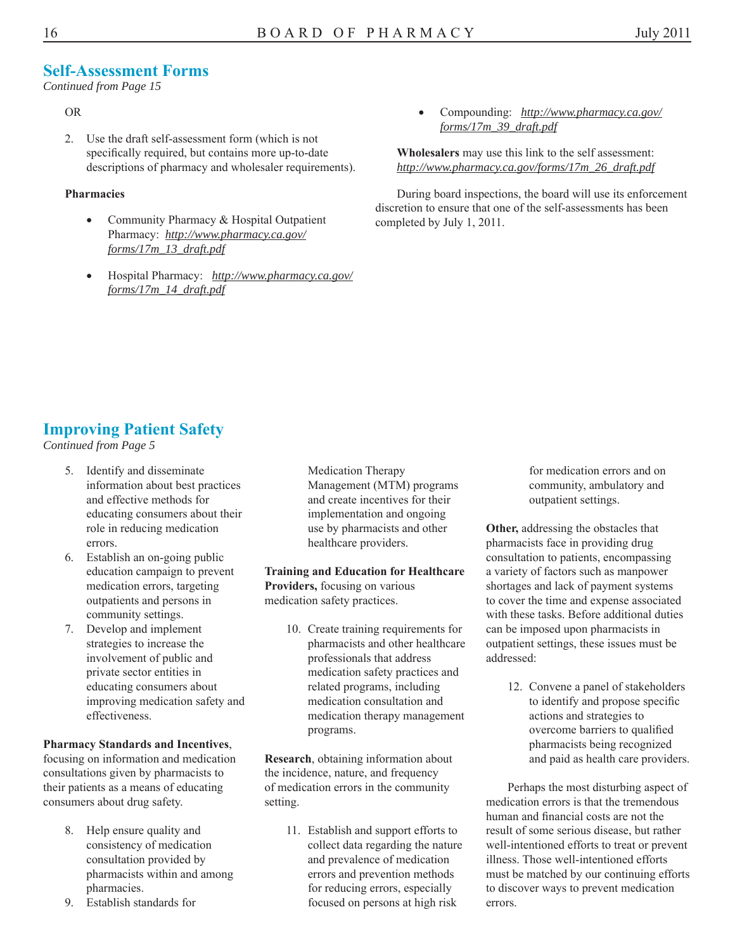#### **Self-Assessment Forms**

*Continued from Page 15* 

#### OR

2. Use the draft self-assessment form (which is not specifically required, but contains more up-to-date descriptions of pharmacy and wholesaler requirements).

#### **Pharmacies**

- Community Pharmacy & Hospital Outpatient Pharmacy: *http://www.pharmacy.ca.gov/ forms/17m\_13\_draft.pdf*
- Hospital Pharmacy: *http://www.pharmacy.ca.gov/ forms/17m\_14\_draft.pdf*

 Compounding: *http://www.pharmacy.ca.gov/ forms/17m\_39\_draft.pdf* 

**Wholesalers** may use this link to the self assessment: *http://www.pharmacy.ca.gov/forms/17m\_26\_draft.pdf* 

During board inspections, the board will use its enforcement discretion to ensure that one of the self-assessments has been completed by July 1, 2011.

### **Improving Patient Safety**

*Continued from Page 5* 

- 5. Identify and disseminate information about best practices and effective methods for educating consumers about their role in reducing medication errors.
- 6. Establish an on-going public education campaign to prevent medication errors, targeting outpatients and persons in community settings.
- 7. Develop and implement strategies to increase the involvement of public and private sector entities in educating consumers about improving medication safety and effectiveness.

#### **Pharmacy Standards and Incentives**,

focusing on information and medication consultations given by pharmacists to their patients as a means of educating consumers about drug safety.

- 8. Help ensure quality and consistency of medication consultation provided by pharmacists within and among pharmacies.
- 9. Establish standards for

Medication Therapy Management (MTM) programs and create incentives for their implementation and ongoing use by pharmacists and other healthcare providers.

**Training and Education for Healthcare Providers,** focusing on various medication safety practices.

> 10. Create training requirements for pharmacists and other healthcare professionals that address medication safety practices and related programs, including medication consultation and medication therapy management programs.

**Research**, obtaining information about the incidence, nature, and frequency of medication errors in the community setting.

> 11. Establish and support efforts to collect data regarding the nature and prevalence of medication errors and prevention methods for reducing errors, especially focused on persons at high risk

for medication errors and on community, ambulatory and outpatient settings.

**Other,** addressing the obstacles that pharmacists face in providing drug consultation to patients, encompassing a variety of factors such as manpower shortages and lack of payment systems to cover the time and expense associated with these tasks. Before additional duties can be imposed upon pharmacists in outpatient settings, these issues must be addressed:

> 12. Convene a panel of stakeholders to identify and propose specific actions and strategies to overcome barriers to qualified pharmacists being recognized and paid as health care providers.

Perhaps the most disturbing aspect of medication errors is that the tremendous human and financial costs are not the result of some serious disease, but rather well-intentioned efforts to treat or prevent illness. Those well-intentioned efforts must be matched by our continuing efforts to discover ways to prevent medication errors.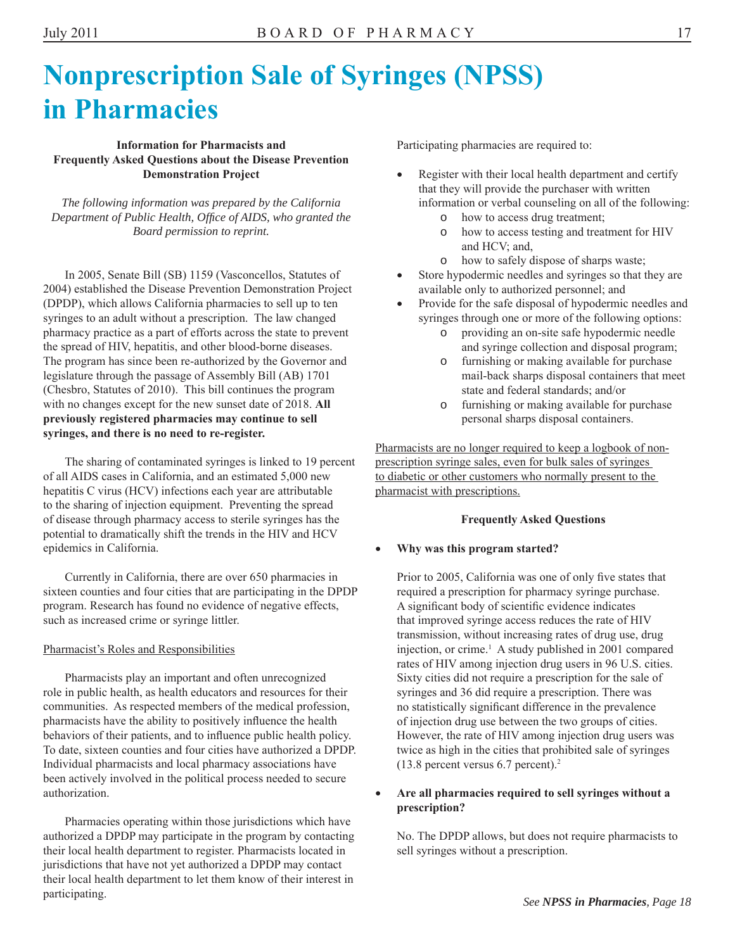### **Nonprescription Sale of Syringes (NPSS) in Pharmacies**

#### **Information for Pharmacists and Frequently Asked Questions about the Disease Prevention Demonstration Project**

*The following information was prepared by the California*  Department of Public Health, Office of AIDS, who granted the *Board permission to reprint.* 

In 2005, Senate Bill (SB) 1159 (Vasconcellos, Statutes of 2004) established the Disease Prevention Demonstration Project (DPDP), which allows California pharmacies to sell up to ten syringes to an adult without a prescription. The law changed pharmacy practice as a part of efforts across the state to prevent the spread of HIV, hepatitis, and other blood-borne diseases. The program has since been re-authorized by the Governor and legislature through the passage of Assembly Bill (AB) 1701 (Chesbro, Statutes of 2010). This bill continues the program with no changes except for the new sunset date of 2018. **All previously registered pharmacies may continue to sell syringes, and there is no need to re-register.** 

The sharing of contaminated syringes is linked to 19 percent of all AIDS cases in California, and an estimated 5,000 new hepatitis C virus (HCV) infections each year are attributable to the sharing of injection equipment. Preventing the spread of disease through pharmacy access to sterile syringes has the potential to dramatically shift the trends in the HIV and HCV epidemics in California.

Currently in California, there are over 650 pharmacies in sixteen counties and four cities that are participating in the DPDP program. Research has found no evidence of negative effects, such as increased crime or syringe littler.

#### Pharmacist's Roles and Responsibilities

Pharmacists play an important and often unrecognized role in public health, as health educators and resources for their communities. As respected members of the medical profession, pharmacists have the ability to positively influence the health behaviors of their patients, and to influence public health policy. To date, sixteen counties and four cities have authorized a DPDP. Individual pharmacists and local pharmacy associations have been actively involved in the political process needed to secure authorization.

Pharmacies operating within those jurisdictions which have authorized a DPDP may participate in the program by contacting their local health department to register. Pharmacists located in jurisdictions that have not yet authorized a DPDP may contact their local health department to let them know of their interest in participating.

Participating pharmacies are required to:

- Register with their local health department and certify that they will provide the purchaser with written information or verbal counseling on all of the following:
	- o how to access drug treatment;
	- o how to access testing and treatment for HIV and HCV; and,
	- o how to safely dispose of sharps waste;
- Store hypodermic needles and syringes so that they are available only to authorized personnel; and
- Provide for the safe disposal of hypodermic needles and syringes through one or more of the following options:
	- o providing an on-site safe hypodermic needle and syringe collection and disposal program;
	- o furnishing or making available for purchase mail-back sharps disposal containers that meet state and federal standards; and/or
	- o furnishing or making available for purchase personal sharps disposal containers.

Pharmacists are no longer required to keep a logbook of nonprescription syringe sales, even for bulk sales of syringes to diabetic or other customers who normally present to the pharmacist with prescriptions.

#### **Frequently Asked Questions**

#### **Why was this program started?**

injection, or crime.<sup>1</sup> A study published in 2001 compared Prior to 2005, California was one of only five states that required a prescription for pharmacy syringe purchase. A significant body of scientific evidence indicates that improved syringe access reduces the rate of HIV transmission, without increasing rates of drug use, drug rates of HIV among injection drug users in 96 U.S. cities. Sixty cities did not require a prescription for the sale of syringes and 36 did require a prescription. There was no statistically significant difference in the prevalence of injection drug use between the two groups of cities. However, the rate of HIV among injection drug users was twice as high in the cities that prohibited sale of syringes (13.8 percent versus 6.7 percent).2

#### **Are all pharmacies required to sell syringes without a prescription?**

No. The DPDP allows, but does not require pharmacists to sell syringes without a prescription.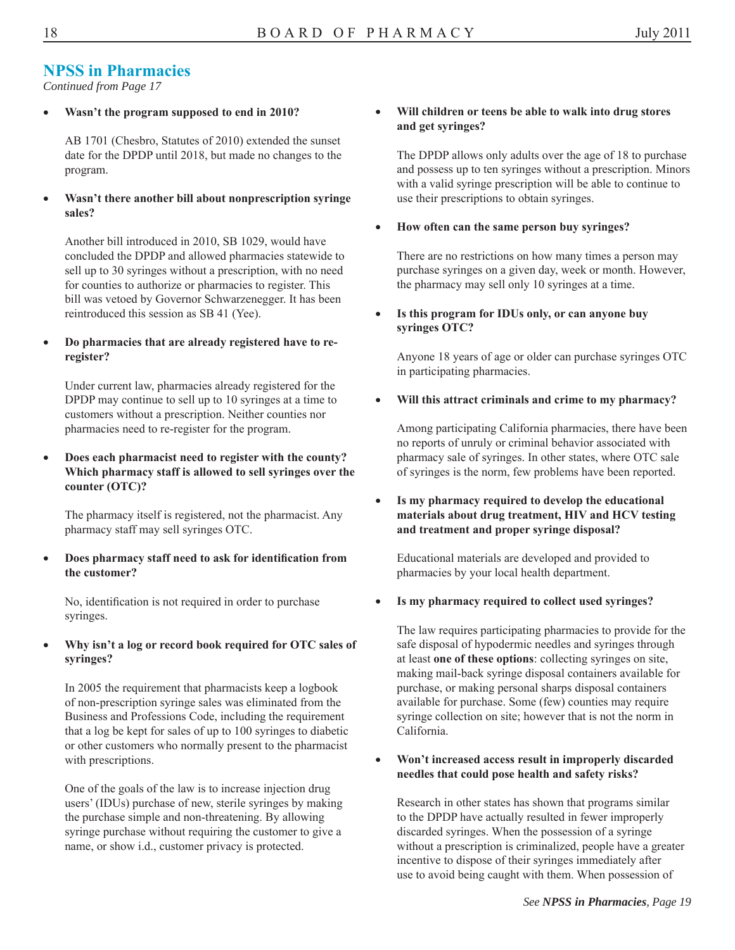#### **NPSS in Pharmacies**

*Continued from Page 17* 

**Wasn't the program supposed to end in 2010?** 

AB 1701 (Chesbro, Statutes of 2010) extended the sunset date for the DPDP until 2018, but made no changes to the program.

 **Wasn't there another bill about nonprescription syringe sales?** 

Another bill introduced in 2010, SB 1029, would have concluded the DPDP and allowed pharmacies statewide to sell up to 30 syringes without a prescription, with no need for counties to authorize or pharmacies to register. This bill was vetoed by Governor Schwarzenegger. It has been reintroduced this session as SB 41 (Yee).

 **Do pharmacies that are already registered have to reregister?** 

Under current law, pharmacies already registered for the DPDP may continue to sell up to 10 syringes at a time to customers without a prescription. Neither counties nor pharmacies need to re-register for the program.

 **Does each pharmacist need to register with the county? Which pharmacy staff is allowed to sell syringes over the counter (OTC)?** 

The pharmacy itself is registered, not the pharmacist. Any pharmacy staff may sell syringes OTC.

 **Does pharmacy staff need to ask for identifi cation from the customer?** 

No, identification is not required in order to purchase syringes.

 **Why isn't a log or record book required for OTC sales of syringes?** 

In 2005 the requirement that pharmacists keep a logbook of non-prescription syringe sales was eliminated from the Business and Professions Code, including the requirement that a log be kept for sales of up to 100 syringes to diabetic or other customers who normally present to the pharmacist with prescriptions.

One of the goals of the law is to increase injection drug users' (IDUs) purchase of new, sterile syringes by making the purchase simple and non-threatening. By allowing syringe purchase without requiring the customer to give a name, or show i.d., customer privacy is protected.

#### **Will children or teens be able to walk into drug stores and get syringes?**

The DPDP allows only adults over the age of 18 to purchase and possess up to ten syringes without a prescription. Minors with a valid syringe prescription will be able to continue to use their prescriptions to obtain syringes.

#### **How often can the same person buy syringes?**

There are no restrictions on how many times a person may purchase syringes on a given day, week or month. However, the pharmacy may sell only 10 syringes at a time.

 **Is this program for IDUs only, or can anyone buy syringes OTC?** 

Anyone 18 years of age or older can purchase syringes OTC in participating pharmacies.

**Will this attract criminals and crime to my pharmacy?** 

Among participating California pharmacies, there have been no reports of unruly or criminal behavior associated with pharmacy sale of syringes. In other states, where OTC sale of syringes is the norm, few problems have been reported.

 **Is my pharmacy required to develop the educational materials about drug treatment, HIV and HCV testing and treatment and proper syringe disposal?** 

Educational materials are developed and provided to pharmacies by your local health department.

**Is my pharmacy required to collect used syringes?** 

The law requires participating pharmacies to provide for the safe disposal of hypodermic needles and syringes through at least **one of these options**: collecting syringes on site, making mail-back syringe disposal containers available for purchase, or making personal sharps disposal containers available for purchase. Some (few) counties may require syringe collection on site; however that is not the norm in California.

#### **Won't increased access result in improperly discarded needles that could pose health and safety risks?**

Research in other states has shown that programs similar to the DPDP have actually resulted in fewer improperly discarded syringes. When the possession of a syringe without a prescription is criminalized, people have a greater incentive to dispose of their syringes immediately after use to avoid being caught with them. When possession of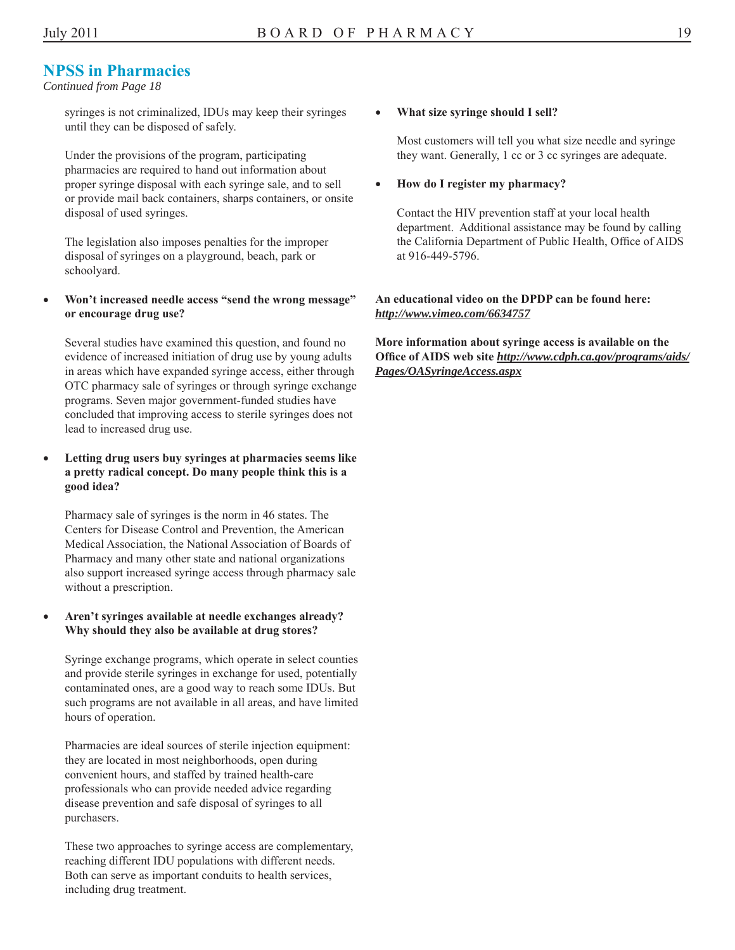#### **NPSS in Pharmacies**

#### *Continued from Page 18*

syringes is not criminalized, IDUs may keep their syringes until they can be disposed of safely.

Under the provisions of the program, participating pharmacies are required to hand out information about proper syringe disposal with each syringe sale, and to sell or provide mail back containers, sharps containers, or onsite disposal of used syringes.

The legislation also imposes penalties for the improper disposal of syringes on a playground, beach, park or schoolyard.

 **Won't increased needle access "send the wrong message" or encourage drug use?** 

Several studies have examined this question, and found no evidence of increased initiation of drug use by young adults in areas which have expanded syringe access, either through OTC pharmacy sale of syringes or through syringe exchange programs. Seven major government-funded studies have concluded that improving access to sterile syringes does not lead to increased drug use.

 **Letting drug users buy syringes at pharmacies seems like a pretty radical concept. Do many people think this is a good idea?** 

Pharmacy sale of syringes is the norm in 46 states. The Centers for Disease Control and Prevention, the American Medical Association, the National Association of Boards of Pharmacy and many other state and national organizations also support increased syringe access through pharmacy sale without a prescription.

#### **Aren't syringes available at needle exchanges already? Why should they also be available at drug stores?**

Syringe exchange programs, which operate in select counties and provide sterile syringes in exchange for used, potentially contaminated ones, are a good way to reach some IDUs. But such programs are not available in all areas, and have limited hours of operation.

Pharmacies are ideal sources of sterile injection equipment: they are located in most neighborhoods, open during convenient hours, and staffed by trained health-care professionals who can provide needed advice regarding disease prevention and safe disposal of syringes to all purchasers.

These two approaches to syringe access are complementary, reaching different IDU populations with different needs. Both can serve as important conduits to health services, including drug treatment.

#### **What size syringe should I sell?**

Most customers will tell you what size needle and syringe they want. Generally, 1 cc or 3 cc syringes are adequate.

 **How do I register my pharmacy?** 

Contact the HIV prevention staff at your local health department. Additional assistance may be found by calling the California Department of Public Health, Office of AIDS at 916-449-5796.

#### **An educational video on the DPDP can be found here:**  *http://www.vimeo.com/6634757*

**More information about syringe access is available on the Office of AIDS web site** *http://www.cdph.ca.gov/programs/aids/ Pages/OASyringeAccess.aspx*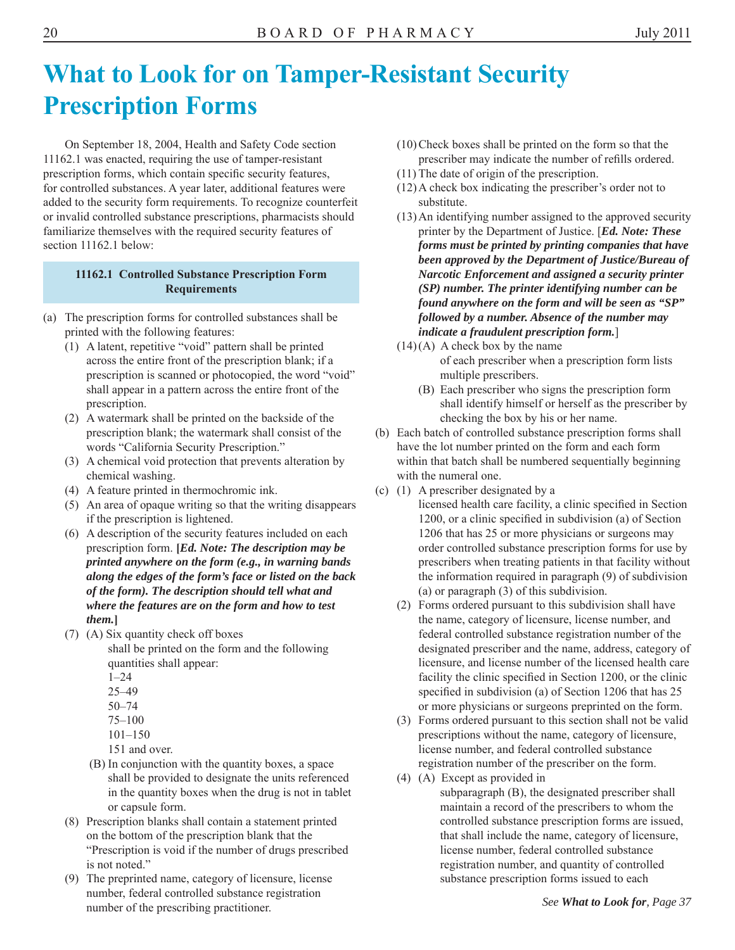### **What to Look for on Tamper-Resistant Security Prescription Forms**

On September 18, 2004, Health and Safety Code section 11162.1 was enacted, requiring the use of tamper-resistant prescription forms, which contain specific security features, for controlled substances. A year later, additional features were added to the security form requirements. To recognize counterfeit or invalid controlled substance prescriptions, pharmacists should familiarize themselves with the required security features of section 11162.1 below:

#### **11162.1 Controlled Substance Prescription Form Requirements**

- (a) The prescription forms for controlled substances shall be printed with the following features:
	- (1) A latent, repetitive "void" pattern shall be printed across the entire front of the prescription blank; if a prescription is scanned or photocopied, the word "void" shall appear in a pattern across the entire front of the prescription.
	- (2) A watermark shall be printed on the backside of the prescription blank; the watermark shall consist of the words "California Security Prescription."
	- (3) A chemical void protection that prevents alteration by chemical washing.
	- (4) A feature printed in thermochromic ink.
	- (5) An area of opaque writing so that the writing disappears if the prescription is lightened.
	- (6) A description of the security features included on each prescription form. **[***Ed. Note: The description may be printed anywhere on the form (e.g., in warning bands along the edges of the form's face or listed on the back of the form). The description should tell what and where the features are on the form and how to test them.***]**
	- (7) (A) Six quantity check off boxes
		- shall be printed on the form and the following quantities shall appear:
			- 1–24
			- 25–49
			- 50–74
			- 75–100
			- 101–150
		- 151 and over.
		- (B) In conjunction with the quantity boxes, a space shall be provided to designate the units referenced in the quantity boxes when the drug is not in tablet or capsule form.
	- (8) Prescription blanks shall contain a statement printed on the bottom of the prescription blank that the "Prescription is void if the number of drugs prescribed is not noted."
	- (9) The preprinted name, category of licensure, license number, federal controlled substance registration number of the prescribing practitioner.
- (10) Check boxes shall be printed on the form so that the prescriber may indicate the number of refills ordered.
- (11) The date of origin of the prescription.
- (12) A check box indicating the prescriber's order not to substitute.
- (13) An identifying number assigned to the approved security printer by the Department of Justice. [*Ed. Note: These forms must be printed by printing companies that have been approved by the Department of Justice/Bureau of Narcotic Enforcement and assigned a security printer (SP) number. The printer identifying number can be found anywhere on the form and will be seen as "SP" followed by a number. Absence of the number may indicate a fraudulent prescription form.*]
- $(14)(A)$  A check box by the name of each prescriber when a prescription form lists multiple prescribers.
	- (B) Each prescriber who signs the prescription form shall identify himself or herself as the prescriber by checking the box by his or her name.
- (b) Each batch of controlled substance prescription forms shall have the lot number printed on the form and each form within that batch shall be numbered sequentially beginning with the numeral one.
- (c) (1) A prescriber designated by a
	- licensed health care facility, a clinic specified in Section 1200, or a clinic specified in subdivision (a) of Section 1206 that has 25 or more physicians or surgeons may order controlled substance prescription forms for use by prescribers when treating patients in that facility without the information required in paragraph (9) of subdivision (a) or paragraph (3) of this subdivision.
	- (2) Forms ordered pursuant to this subdivision shall have the name, category of licensure, license number, and federal controlled substance registration number of the designated prescriber and the name, address, category of licensure, and license number of the licensed health care facility the clinic specified in Section 1200, or the clinic specified in subdivision (a) of Section 1206 that has 25 or more physicians or surgeons preprinted on the form.
	- (3) Forms ordered pursuant to this section shall not be valid prescriptions without the name, category of licensure, license number, and federal controlled substance registration number of the prescriber on the form.
	- (4) (A) Except as provided in
		- subparagraph (B), the designated prescriber shall maintain a record of the prescribers to whom the controlled substance prescription forms are issued, that shall include the name, category of licensure, license number, federal controlled substance registration number, and quantity of controlled substance prescription forms issued to each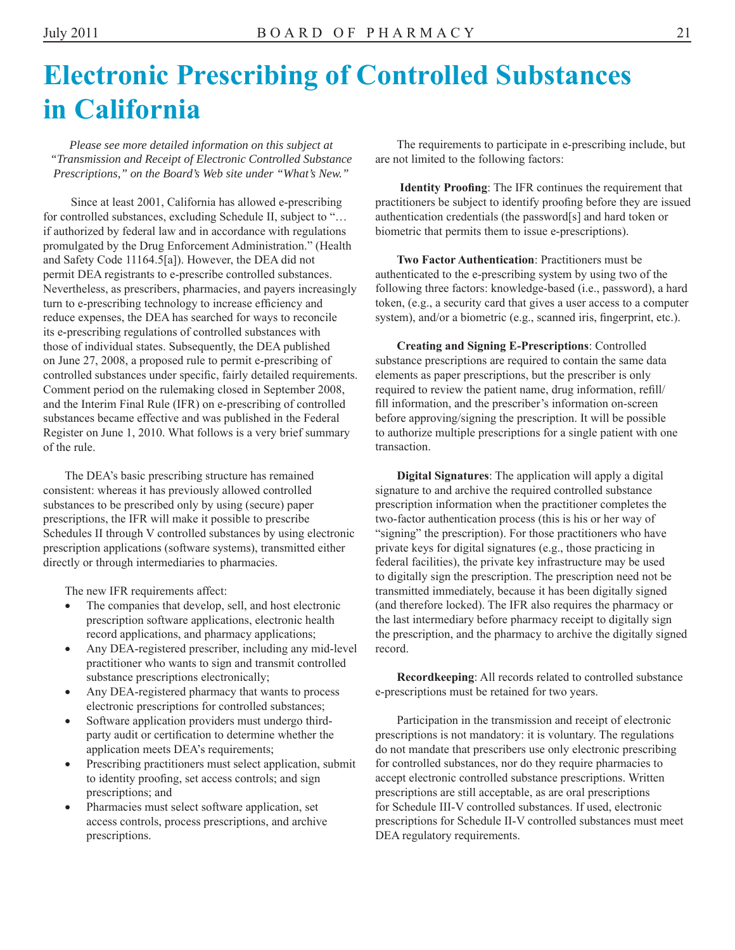### **Electronic Prescribing of Controlled Substances in California**

*Please see more detailed information on this subject at "Transmission and Receipt of Electronic Controlled Substance Prescriptions," on the Board's Web site under "What's New."*

 Since at least 2001, California has allowed e-prescribing for controlled substances, excluding Schedule II, subject to "… if authorized by federal law and in accordance with regulations promulgated by the Drug Enforcement Administration." (Health and Safety Code 11164.5[a]). However, the DEA did not permit DEA registrants to e-prescribe controlled substances. Nevertheless, as prescribers, pharmacies, and payers increasingly turn to e-prescribing technology to increase efficiency and reduce expenses, the DEA has searched for ways to reconcile its e-prescribing regulations of controlled substances with those of individual states. Subsequently, the DEA published on June 27, 2008, a proposed rule to permit e-prescribing of controlled substances under specific, fairly detailed requirements. Comment period on the rulemaking closed in September 2008, and the Interim Final Rule (IFR) on e-prescribing of controlled substances became effective and was published in the Federal Register on June 1, 2010. What follows is a very brief summary of the rule.

The DEA's basic prescribing structure has remained consistent: whereas it has previously allowed controlled substances to be prescribed only by using (secure) paper prescriptions, the IFR will make it possible to prescribe Schedules II through V controlled substances by using electronic prescription applications (software systems), transmitted either directly or through intermediaries to pharmacies.

The new IFR requirements affect:

- The companies that develop, sell, and host electronic prescription software applications, electronic health record applications, and pharmacy applications;
- Any DEA-registered prescriber, including any mid-level practitioner who wants to sign and transmit controlled substance prescriptions electronically;
- Any DEA-registered pharmacy that wants to process electronic prescriptions for controlled substances;
- Software application providers must undergo thirdparty audit or certification to determine whether the application meets DEA's requirements;
- Prescribing practitioners must select application, submit to identity proofing, set access controls; and sign prescriptions; and
- Pharmacies must select software application, set access controls, process prescriptions, and archive prescriptions.

The requirements to participate in e-prescribing include, but are not limited to the following factors:

**Identity Proofing**: The IFR continues the requirement that practitioners be subject to identify proofing before they are issued authentication credentials (the password[s] and hard token or biometric that permits them to issue e-prescriptions).

**Two Factor Authentication**: Practitioners must be authenticated to the e-prescribing system by using two of the following three factors: knowledge-based (i.e., password), a hard token, (e.g., a security card that gives a user access to a computer system), and/or a biometric (e.g., scanned iris, fingerprint, etc.).

**Creating and Signing E-Prescriptions**: Controlled substance prescriptions are required to contain the same data elements as paper prescriptions, but the prescriber is only required to review the patient name, drug information, refill/ fill information, and the prescriber's information on-screen before approving/signing the prescription. It will be possible to authorize multiple prescriptions for a single patient with one transaction.

**Digital Signatures**: The application will apply a digital signature to and archive the required controlled substance prescription information when the practitioner completes the two-factor authentication process (this is his or her way of "signing" the prescription). For those practitioners who have private keys for digital signatures (e.g., those practicing in federal facilities), the private key infrastructure may be used to digitally sign the prescription. The prescription need not be transmitted immediately, because it has been digitally signed (and therefore locked). The IFR also requires the pharmacy or the last intermediary before pharmacy receipt to digitally sign the prescription, and the pharmacy to archive the digitally signed record.

**Recordkeeping**: All records related to controlled substance e-prescriptions must be retained for two years.

Participation in the transmission and receipt of electronic prescriptions is not mandatory: it is voluntary. The regulations do not mandate that prescribers use only electronic prescribing for controlled substances, nor do they require pharmacies to accept electronic controlled substance prescriptions. Written prescriptions are still acceptable, as are oral prescriptions for Schedule III-V controlled substances. If used, electronic prescriptions for Schedule II-V controlled substances must meet DEA regulatory requirements.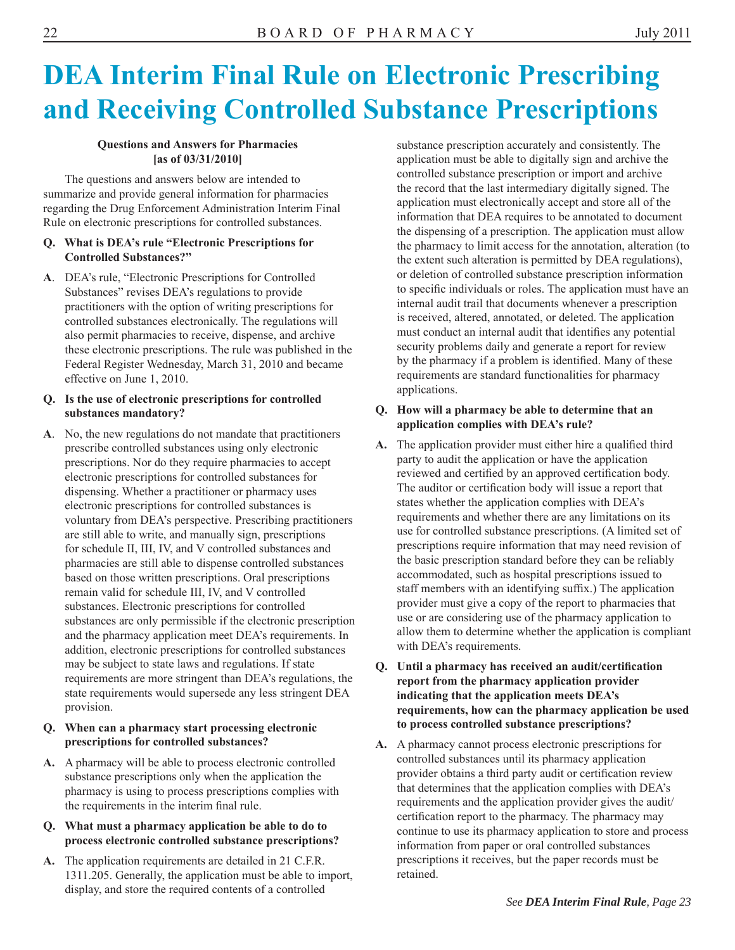# **DEA Interim Final Rule on Electronic Prescribing and Receiving Controlled Substance Prescriptions**

#### **Questions and Answers for Pharmacies [as of 03/31/2010]**

The questions and answers below are intended to summarize and provide general information for pharmacies regarding the Drug Enforcement Administration Interim Final Rule on electronic prescriptions for controlled substances.

#### **Q. What is DEA's rule "Electronic Prescriptions for Controlled Substances?"**

**A**. DEA's rule, "Electronic Prescriptions for Controlled Substances" revises DEA's regulations to provide practitioners with the option of writing prescriptions for controlled substances electronically. The regulations will also permit pharmacies to receive, dispense, and archive these electronic prescriptions. The rule was published in the Federal Register Wednesday, March 31, 2010 and became effective on June 1, 2010.

#### **Q. Is the use of electronic prescriptions for controlled substances mandatory?**

**A**. No, the new regulations do not mandate that practitioners prescribe controlled substances using only electronic prescriptions. Nor do they require pharmacies to accept electronic prescriptions for controlled substances for dispensing. Whether a practitioner or pharmacy uses electronic prescriptions for controlled substances is voluntary from DEA's perspective. Prescribing practitioners are still able to write, and manually sign, prescriptions for schedule II, III, IV, and V controlled substances and pharmacies are still able to dispense controlled substances based on those written prescriptions. Oral prescriptions remain valid for schedule III, IV, and V controlled substances. Electronic prescriptions for controlled substances are only permissible if the electronic prescription and the pharmacy application meet DEA's requirements. In addition, electronic prescriptions for controlled substances may be subject to state laws and regulations. If state requirements are more stringent than DEA's regulations, the state requirements would supersede any less stringent DEA provision.

#### **Q. When can a pharmacy start processing electronic prescriptions for controlled substances?**

A. A pharmacy will be able to process electronic controlled substance prescriptions only when the application the pharmacy is using to process prescriptions complies with the requirements in the interim final rule.

#### **Q. What must a pharmacy application be able to do to process electronic controlled substance prescriptions?**

A. The application requirements are detailed in 21 C.F.R. 1311.205. Generally, the application must be able to import, display, and store the required contents of a controlled

substance prescription accurately and consistently. The application must be able to digitally sign and archive the controlled substance prescription or import and archive the record that the last intermediary digitally signed. The application must electronically accept and store all of the information that DEA requires to be annotated to document the dispensing of a prescription. The application must allow the pharmacy to limit access for the annotation, alteration (to the extent such alteration is permitted by DEA regulations), or deletion of controlled substance prescription information to specific individuals or roles. The application must have an internal audit trail that documents whenever a prescription is received, altered, annotated, or deleted. The application must conduct an internal audit that identifies any potential security problems daily and generate a report for review by the pharmacy if a problem is identified. Many of these requirements are standard functionalities for pharmacy applications.

#### **Q. How will a pharmacy be able to determine that an application complies with DEA's rule?**

- A. The application provider must either hire a qualified third party to audit the application or have the application reviewed and certified by an approved certification body. The auditor or certification body will issue a report that states whether the application complies with DEA's requirements and whether there are any limitations on its use for controlled substance prescriptions. (A limited set of prescriptions require information that may need revision of the basic prescription standard before they can be reliably accommodated, such as hospital prescriptions issued to staff members with an identifying suffix.) The application provider must give a copy of the report to pharmacies that use or are considering use of the pharmacy application to allow them to determine whether the application is compliant with DEA's requirements.
- **Q. Until a pharmacy has received an audit/certification report from the pharmacy application provider indicating that the application meets DEA's requirements, how can the pharmacy application be used to process controlled substance prescriptions?**
- **A.** A pharmacy cannot process electronic prescriptions for controlled substances until its pharmacy application provider obtains a third party audit or certification review that determines that the application complies with DEA's requirements and the application provider gives the audit/ certification report to the pharmacy. The pharmacy may continue to use its pharmacy application to store and process information from paper or oral controlled substances prescriptions it receives, but the paper records must be retained.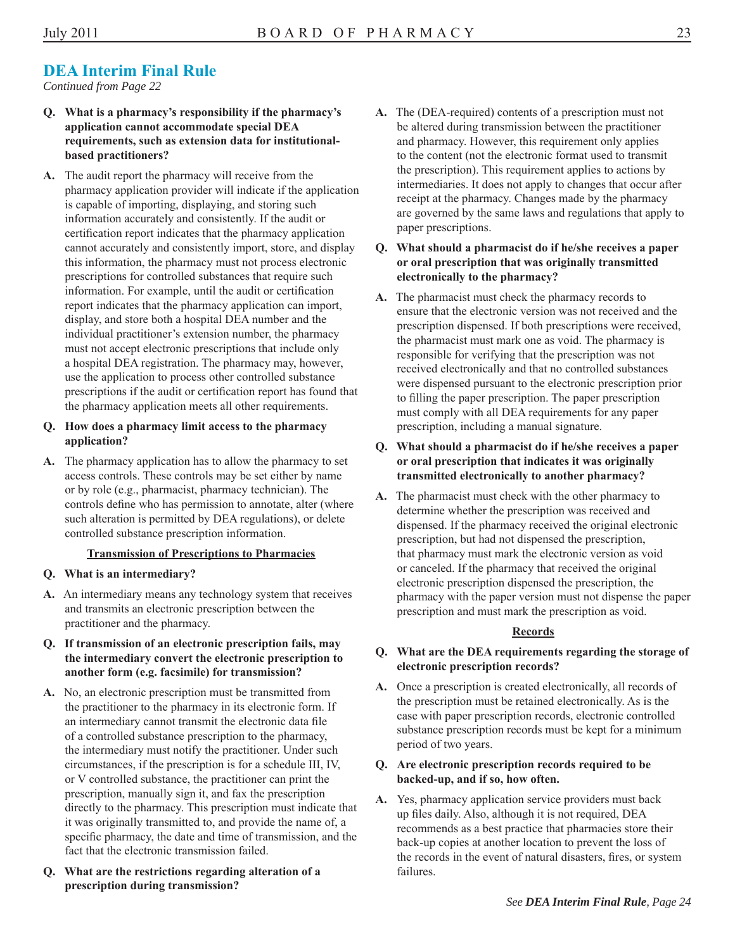### **DEA Interim Final Rule**

*Continued from Page 22* 

- **Q. What is a pharmacy's responsibility if the pharmacy's application cannot accommodate special DEA requirements, such as extension data for institutionalbased practitioners?**
- **A.** The audit report the pharmacy will receive from the pharmacy application provider will indicate if the application is capable of importing, displaying, and storing such information accurately and consistently. If the audit or certification report indicates that the pharmacy application cannot accurately and consistently import, store, and display this information, the pharmacy must not process electronic prescriptions for controlled substances that require such information. For example, until the audit or certification report indicates that the pharmacy application can import, display, and store both a hospital DEA number and the individual practitioner's extension number, the pharmacy must not accept electronic prescriptions that include only a hospital DEA registration. The pharmacy may, however, use the application to process other controlled substance prescriptions if the audit or certification report has found that the pharmacy application meets all other requirements.

#### **Q. How does a pharmacy limit access to the pharmacy application?**

**A.** The pharmacy application has to allow the pharmacy to set access controls. These controls may be set either by name or by role (e.g., pharmacist, pharmacy technician). The controls define who has permission to annotate, alter (where such alteration is permitted by DEA regulations), or delete controlled substance prescription information.

#### **Transmission of Prescriptions to Pharmacies**

- **Q. What is an intermediary?**
- **A.** An intermediary means any technology system that receives and transmits an electronic prescription between the practitioner and the pharmacy.
- **Q. If transmission of an electronic prescription fails, may the intermediary convert the electronic prescription to another form (e.g. facsimile) for transmission?**
- **A.** No, an electronic prescription must be transmitted from the practitioner to the pharmacy in its electronic form. If an intermediary cannot transmit the electronic data file of a controlled substance prescription to the pharmacy, the intermediary must notify the practitioner. Under such circumstances, if the prescription is for a schedule III, IV, or V controlled substance, the practitioner can print the prescription, manually sign it, and fax the prescription directly to the pharmacy. This prescription must indicate that it was originally transmitted to, and provide the name of, a specific pharmacy, the date and time of transmission, and the fact that the electronic transmission failed.
- **Q. What are the restrictions regarding alteration of a prescription during transmission?**
- **A.** The (DEA-required) contents of a prescription must not be altered during transmission between the practitioner and pharmacy. However, this requirement only applies to the content (not the electronic format used to transmit the prescription). This requirement applies to actions by intermediaries. It does not apply to changes that occur after receipt at the pharmacy. Changes made by the pharmacy are governed by the same laws and regulations that apply to paper prescriptions.
- **Q. What should a pharmacist do if he/she receives a paper or oral prescription that was originally transmitted electronically to the pharmacy?**
- **A.** The pharmacist must check the pharmacy records to ensure that the electronic version was not received and the prescription dispensed. If both prescriptions were received, the pharmacist must mark one as void. The pharmacy is responsible for verifying that the prescription was not received electronically and that no controlled substances were dispensed pursuant to the electronic prescription prior to filling the paper prescription. The paper prescription must comply with all DEA requirements for any paper prescription, including a manual signature.
- **Q. What should a pharmacist do if he/she receives a paper or oral prescription that indicates it was originally transmitted electronically to another pharmacy?**
- **A.** The pharmacist must check with the other pharmacy to determine whether the prescription was received and dispensed. If the pharmacy received the original electronic prescription, but had not dispensed the prescription, that pharmacy must mark the electronic version as void or canceled. If the pharmacy that received the original electronic prescription dispensed the prescription, the pharmacy with the paper version must not dispense the paper prescription and must mark the prescription as void.

#### **Records**

- **Q. What are the DEA requirements regarding the storage of electronic prescription records?**
- **A.** Once a prescription is created electronically, all records of the prescription must be retained electronically. As is the case with paper prescription records, electronic controlled substance prescription records must be kept for a minimum period of two years.

#### **Q. Are electronic prescription records required to be backed-up, and if so, how often.**

**A.** Yes, pharmacy application service providers must back up files daily. Also, although it is not required, DEA recommends as a best practice that pharmacies store their back-up copies at another location to prevent the loss of the records in the event of natural disasters, fires, or system failures.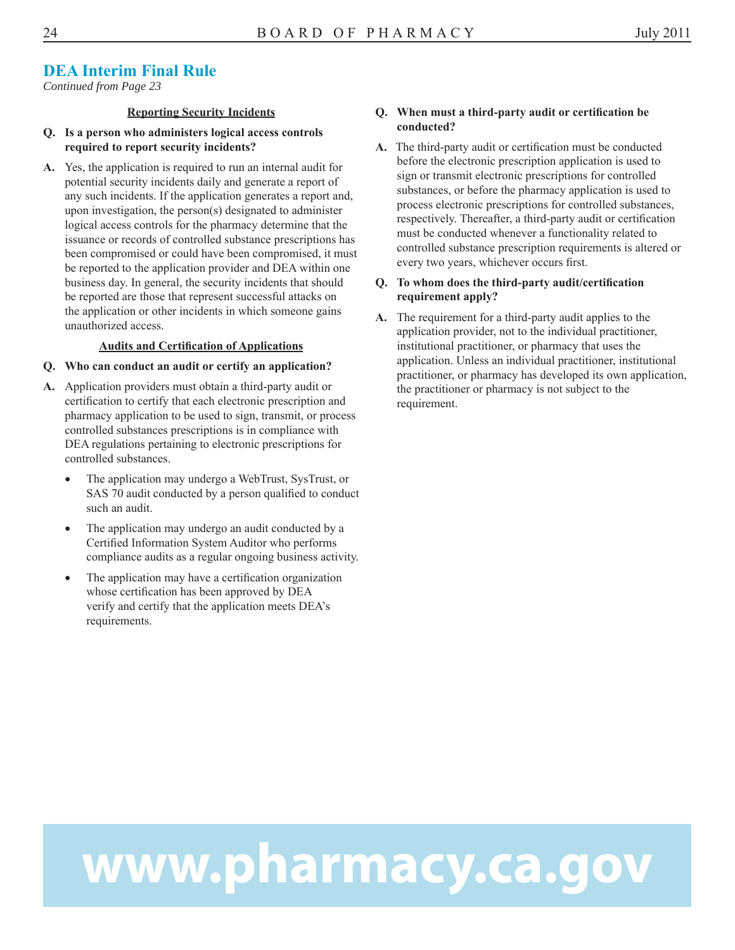#### **DEA Interim Final Rule**

*Continued from Page 23* 

#### **Reporting Security Incidents**

- **Q. Is a person who administers logical access controls required to report security incidents?**
- **A.** Yes, the application is required to run an internal audit for potential security incidents daily and generate a report of any such incidents. If the application generates a report and, upon investigation, the person(s) designated to administer logical access controls for the pharmacy determine that the issuance or records of controlled substance prescriptions has been compromised or could have been compromised, it must be reported to the application provider and DEA within one business day. In general, the security incidents that should be reported are those that represent successful attacks on the application or other incidents in which someone gains unauthorized access.

#### **Audits and Certifi cation of Applications**

#### **Q. Who can conduct an audit or certify an application?**

- **A.** Application providers must obtain a third-party audit or certification to certify that each electronic prescription and pharmacy application to be used to sign, transmit, or process controlled substances prescriptions is in compliance with DEA regulations pertaining to electronic prescriptions for controlled substances.
	- The application may undergo a WebTrust, SysTrust, or SAS 70 audit conducted by a person qualified to conduct such an audit.
	- The application may undergo an audit conducted by a Certified Information System Auditor who performs compliance audits as a regular ongoing business activity.
	- The application may have a certification organization whose certification has been approved by DEA verify and certify that the application meets DEA's requirements.

#### **Q. When must a third-party audit or certifi cation be conducted?**

A. The third-party audit or certification must be conducted before the electronic prescription application is used to sign or transmit electronic prescriptions for controlled substances, or before the pharmacy application is used to process electronic prescriptions for controlled substances, respectively. Thereafter, a third-party audit or certification must be conducted whenever a functionality related to controlled substance prescription requirements is altered or every two years, whichever occurs first.

#### **Q. To whom does the third-party audit/certification requirement apply?**

A. The requirement for a third-party audit applies to the application provider, not to the individual practitioner, institutional practitioner, or pharmacy that uses the application. Unless an individual practitioner, institutional practitioner, or pharmacy has developed its own application, the practitioner or pharmacy is not subject to the requirement.

# www.pharmacy.ca.gov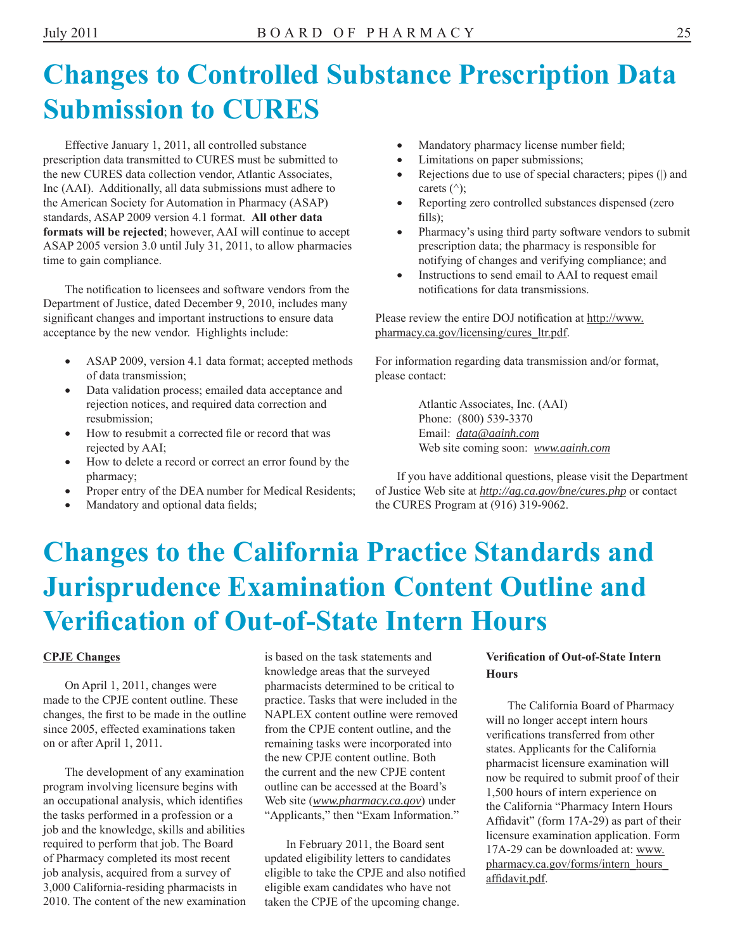### **Changes to Controlled Substance Prescription Data Submission to CURES**

Effective January 1, 2011, all controlled substance prescription data transmitted to CURES must be submitted to the new CURES data collection vendor, Atlantic Associates, Inc (AAI). Additionally, all data submissions must adhere to the American Society for Automation in Pharmacy (ASAP) standards, ASAP 2009 version 4.1 format. **All other data formats will be rejected**; however, AAI will continue to accept ASAP 2005 version 3.0 until July 31, 2011, to allow pharmacies time to gain compliance.

The notification to licensees and software vendors from the Department of Justice, dated December 9, 2010, includes many significant changes and important instructions to ensure data acceptance by the new vendor. Highlights include:

- ASAP 2009, version 4.1 data format; accepted methods of data transmission;
- Data validation process; emailed data acceptance and rejection notices, and required data correction and resubmission;
- How to resubmit a corrected file or record that was rejected by AAI;
- How to delete a record or correct an error found by the pharmacy;
- Proper entry of the DEA number for Medical Residents;
- Mandatory and optional data fields;
- Mandatory pharmacy license number field;
- Limitations on paper submissions;
- Rejections due to use of special characters; pipes (|) and carets  $(^\wedge)$ ;
- Reporting zero controlled substances dispensed (zero  $\text{fills}$ );
- Pharmacy's using third party software vendors to submit prescription data; the pharmacy is responsible for notifying of changes and verifying compliance; and
- Instructions to send email to AAI to request email notifications for data transmissions.

Please review the entire DOJ notification at http://www. pharmacy.ca.gov/licensing/cures\_ltr.pdf.

For information regarding data transmission and/or format, please contact:

> Atlantic Associates, Inc. (AAI) Phone: (800) 539-3370 Email: *data@aainh.com* Web site coming soon: *www.aainh.com*

If you have additional questions, please visit the Department of Justice Web site at *http://ag.ca.gov/bne/cures.php* or contact the CURES Program at (916) 319-9062.

# **Changes to the California Practice Standards and Jurisprudence Examination Content Outline and Verifi cation of Out-of-State Intern Hours**

#### **CPJE Changes**

On April 1, 2011, changes were made to the CPJE content outline. These changes, the first to be made in the outline since 2005, effected examinations taken on or after April 1, 2011.

The development of any examination program involving licensure begins with an occupational analysis, which identifies the tasks performed in a profession or a job and the knowledge, skills and abilities required to perform that job. The Board of Pharmacy completed its most recent job analysis, acquired from a survey of 3,000 California-residing pharmacists in 2010. The content of the new examination is based on the task statements and knowledge areas that the surveyed pharmacists determined to be critical to practice. Tasks that were included in the NAPLEX content outline were removed from the CPJE content outline, and the remaining tasks were incorporated into the new CPJE content outline. Both the current and the new CPJE content outline can be accessed at the Board's Web site (*www.pharmacy.ca.gov*) under "Applicants," then "Exam Information."

In February 2011, the Board sent updated eligibility letters to candidates eligible to take the CPJE and also notified eligible exam candidates who have not taken the CPJE of the upcoming change.

#### **Verifi cation of Out-of-State Intern Hours**

The California Board of Pharmacy will no longer accept intern hours verifications transferred from other states. Applicants for the California pharmacist licensure examination will now be required to submit proof of their 1,500 hours of intern experience on the California "Pharmacy Intern Hours Affidavit" (form  $17A-29$ ) as part of their licensure examination application. Form 17A-29 can be downloaded at: www. pharmacy.ca.gov/forms/intern\_hours\_ affidavit.pdf.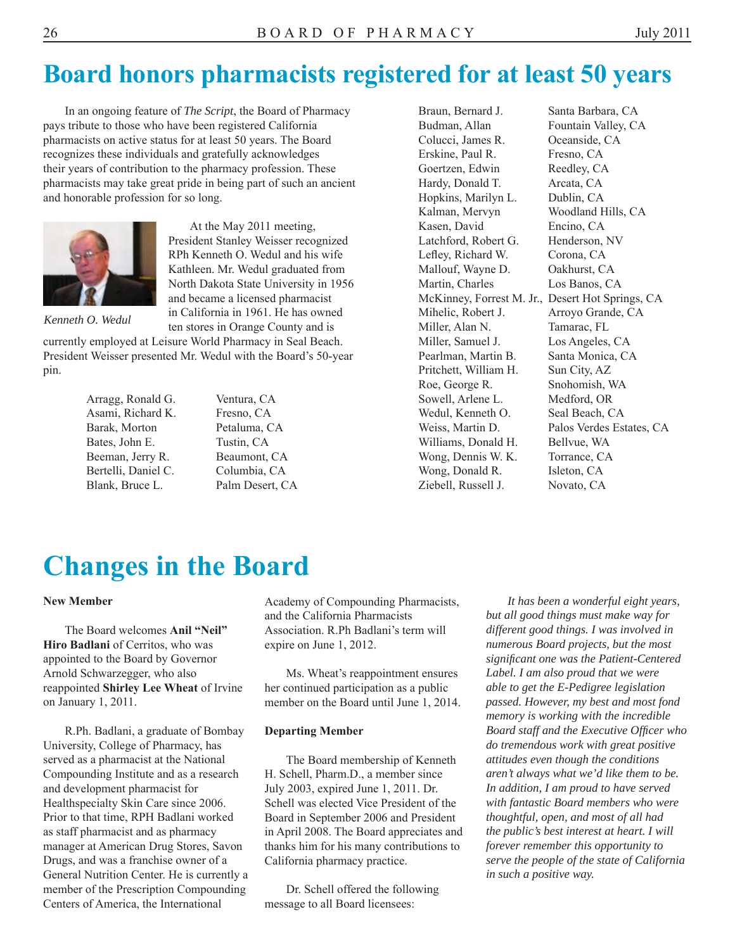### **Board honors pharmacists registered for at least 50 years**

In an ongoing feature of *The Script*, the Board of Pharmacy pays tribute to those who have been registered California pharmacists on active status for at least 50 years. The Board recognizes these individuals and gratefully acknowledges their years of contribution to the pharmacy profession. These pharmacists may take great pride in being part of such an ancient and honorable profession for so long.



At the May 2011 meeting, President Stanley Weisser recognized RPh Kenneth O. Wedul and his wife Kathleen. Mr. Wedul graduated from North Dakota State University in 1956 and became a licensed pharmacist in California in 1961. He has owned ten stores in Orange County and is

*Kenneth O. Wedul* 

currently employed at Leisure World Pharmacy in Seal Beach. President Weisser presented Mr. Wedul with the Board's 50-year pin.

| Arragg, Ronald G.   |
|---------------------|
| Asami, Richard K.   |
| Barak, Morton       |
| Bates, John E.      |
| Beeman, Jerry R.    |
| Bertelli, Daniel C. |
| Blank, Bruce L.     |

Ventura, CA Fresno, CA Petaluma, CA Tustin, CA Beaumont, CA Columbia, CA Palm Desert, CA Budman, Allan Fountain Valley, CA Colucci, James R. Oceanside, CA Erskine, Paul R. Fresno, CA Goertzen, Edwin Reedley, CA Hardy, Donald T. Arcata, CA Hopkins, Marilyn L. Dublin, CA Kalman, Mervyn Woodland Hills, CA Kasen, David Encino, CA Latchford, Robert G. Henderson, NV Lefley, Richard W. Corona, CA Mallouf, Wayne D. Oakhurst, CA Martin, Charles Los Banos, CA Mihelic, Robert J. Arroyo Grande, CA Miller, Alan N. Tamarac, FL Miller, Samuel J. Los Angeles, CA Pearlman, Martin B. Santa Monica, CA Pritchett, William H. Sun City, AZ Roe, George R. Snohomish, WA Sowell, Arlene L. Medford, OR Wedul, Kenneth O. Seal Beach, CA Williams, Donald H. Bellvue, WA Wong, Dennis W. K. Torrance, CA Wong, Donald R. **Isleton**, CA Ziebell, Russell J. Novato, CA

Braun, Bernard J. Santa Barbara, CA McKinney, Forrest M. Jr., Desert Hot Springs, CA Weiss, Martin D. Palos Verdes Estates, CA

### **Changes in the Board**

#### **New Member**

The Board welcomes **Anil "Neil" Hiro Badlani** of Cerritos, who was appointed to the Board by Governor Arnold Schwarzegger, who also reappointed **Shirley Lee Wheat** of Irvine on January 1, 2011.

R.Ph. Badlani, a graduate of Bombay University, College of Pharmacy, has served as a pharmacist at the National Compounding Institute and as a research and development pharmacist for Healthspecialty Skin Care since 2006. Prior to that time, RPH Badlani worked as staff pharmacist and as pharmacy manager at American Drug Stores, Savon Drugs, and was a franchise owner of a General Nutrition Center. He is currently a member of the Prescription Compounding Centers of America, the International

Academy of Compounding Pharmacists, and the California Pharmacists Association. R.Ph Badlani's term will expire on June 1, 2012.

Ms. Wheat's reappointment ensures her continued participation as a public member on the Board until June 1, 2014.

#### **Departing Member**

The Board membership of Kenneth H. Schell, Pharm.D., a member since July 2003, expired June 1, 2011. Dr. Schell was elected Vice President of the Board in September 2006 and President in April 2008. The Board appreciates and thanks him for his many contributions to California pharmacy practice.

Dr. Schell offered the following message to all Board licensees:

*It has been a wonderful eight years, but all good things must make way for different good things. I was involved in numerous Board projects, but the most signifi cant one was the Patient-Centered Label. I am also proud that we were able to get the E-Pedigree legislation passed. However, my best and most fond memory is working with the incredible Board staff and the Executive Officer who do tremendous work with great positive attitudes even though the conditions aren't always what we'd like them to be. In addition, I am proud to have served with fantastic Board members who were thoughtful, open, and most of all had the public's best interest at heart. I will forever remember this opportunity to serve the people of the state of California in such a positive way.*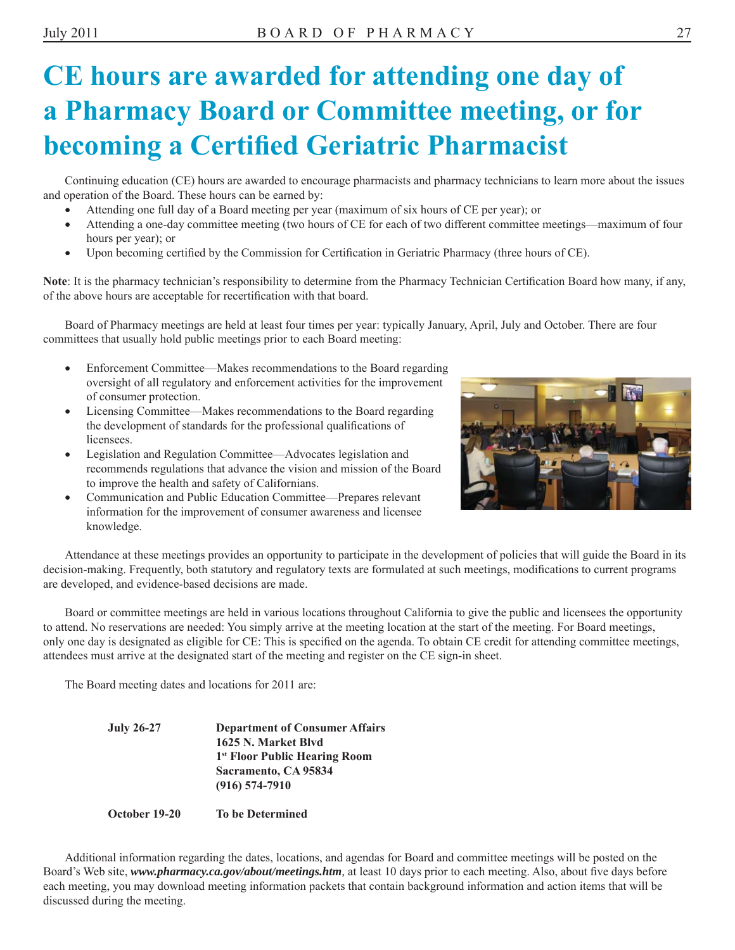# **CE hours are awarded for attending one day of a Pharmacy Board or Committee meeting, or for becoming a Certified Geriatric Pharmacist**

Continuing education (CE) hours are awarded to encourage pharmacists and pharmacy technicians to learn more about the issues and operation of the Board. These hours can be earned by:

- Attending one full day of a Board meeting per year (maximum of six hours of CE per year); or
- Attending a one-day committee meeting (two hours of CE for each of two different committee meetings—maximum of four hours per year); or
- Upon becoming certified by the Commission for Certification in Geriatric Pharmacy (three hours of CE).

**Note**: It is the pharmacy technician's responsibility to determine from the Pharmacy Technician Certification Board how many, if any, of the above hours are acceptable for recertification with that board.

Board of Pharmacy meetings are held at least four times per year: typically January, April, July and October. There are four committees that usually hold public meetings prior to each Board meeting:

- Enforcement Committee—Makes recommendations to the Board regarding oversight of all regulatory and enforcement activities for the improvement of consumer protection.
- Licensing Committee—Makes recommendations to the Board regarding the development of standards for the professional qualifications of licensees.
- Legislation and Regulation Committee—Advocates legislation and recommends regulations that advance the vision and mission of the Board to improve the health and safety of Californians.
- Communication and Public Education Committee—Prepares relevant information for the improvement of consumer awareness and licensee knowledge.



Attendance at these meetings provides an opportunity to participate in the development of policies that will guide the Board in its decision-making. Frequently, both statutory and regulatory texts are formulated at such meetings, modifications to current programs are developed, and evidence-based decisions are made.

Board or committee meetings are held in various locations throughout California to give the public and licensees the opportunity to attend. No reservations are needed: You simply arrive at the meeting location at the start of the meeting. For Board meetings, only one day is designated as eligible for CE: This is specified on the agenda. To obtain CE credit for attending committee meetings, attendees must arrive at the designated start of the meeting and register on the CE sign-in sheet.

The Board meeting dates and locations for 2011 are:

**July 26-27 Department of Consumer Affairs 1625 N. Market Blvd 1st Floor Public Hearing Room Sacramento, CA 95834 (916) 574-7910** 

#### **October 19-20 To be Determined**

Additional information regarding the dates, locations, and agendas for Board and committee meetings will be posted on the Board's Web site, *www.pharmacy.ca.gov/about/meetings.htm,* at least 10 days prior to each meeting. Also, about five days before each meeting, you may download meeting information packets that contain background information and action items that will be discussed during the meeting.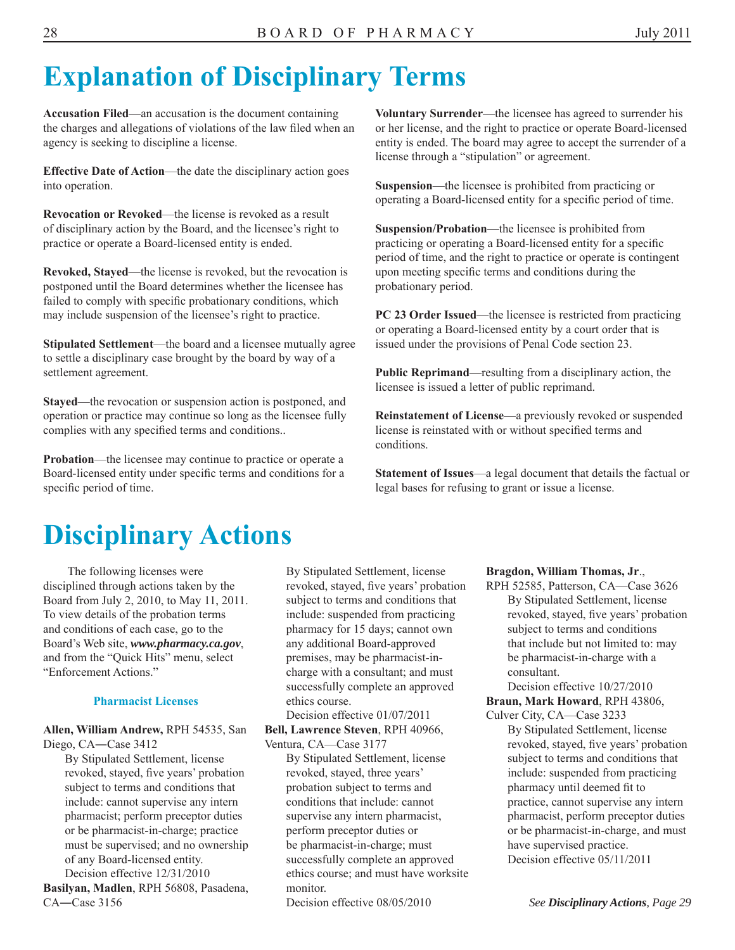# **Explanation of Disciplinary Terms**

**Accusation Filed**—an accusation is the document containing the charges and allegations of violations of the law filed when an agency is seeking to discipline a license.

**Effective Date of Action**—the date the disciplinary action goes into operation.

**Revocation or Revoked**—the license is revoked as a result of disciplinary action by the Board, and the licensee's right to practice or operate a Board-licensed entity is ended.

**Revoked, Stayed**—the license is revoked, but the revocation is postponed until the Board determines whether the licensee has failed to comply with specific probationary conditions, which may include suspension of the licensee's right to practice.

**Stipulated Settlement**—the board and a licensee mutually agree to settle a disciplinary case brought by the board by way of a settlement agreement.

**Stayed**—the revocation or suspension action is postponed, and operation or practice may continue so long as the licensee fully complies with any specified terms and conditions..

**Probation**—the licensee may continue to practice or operate a Board-licensed entity under specific terms and conditions for a specific period of time.

**Voluntary Surrender**—the licensee has agreed to surrender his or her license, and the right to practice or operate Board-licensed entity is ended. The board may agree to accept the surrender of a license through a "stipulation" or agreement.

**Suspension**—the licensee is prohibited from practicing or operating a Board-licensed entity for a specific period of time.

**Suspension/Probation**—the licensee is prohibited from practicing or operating a Board-licensed entity for a specific period of time, and the right to practice or operate is contingent upon meeting specific terms and conditions during the probationary period.

**PC 23 Order Issued**—the licensee is restricted from practicing or operating a Board-licensed entity by a court order that is issued under the provisions of Penal Code section 23.

**Public Reprimand**—resulting from a disciplinary action, the licensee is issued a letter of public reprimand.

**Reinstatement of License**—a previously revoked or suspended license is reinstated with or without specified terms and conditions.

**Statement of Issues**—a legal document that details the factual or legal bases for refusing to grant or issue a license.

# **Disciplinary Actions**

The following licenses were disciplined through actions taken by the Board from July 2, 2010, to May 11, 2011. To view details of the probation terms and conditions of each case, go to the Board's Web site, *www.pharmacy.ca.gov*, and from the "Quick Hits" menu, select "Enforcement Actions."

#### **Pharmacist Licenses**

**Allen, William Andrew,** RPH 54535, San Diego, CA―Case 3412

> By Stipulated Settlement, license revoked, stayed, five years' probation subject to terms and conditions that include: cannot supervise any intern pharmacist; perform preceptor duties or be pharmacist-in-charge; practice must be supervised; and no ownership of any Board-licensed entity.

Decision effective 12/31/2010 **Basilyan, Madlen**, RPH 56808, Pasadena, CA―Case 3156

By Stipulated Settlement, license revoked, stayed, five years' probation subject to terms and conditions that include: suspended from practicing pharmacy for 15 days; cannot own any additional Board-approved premises, may be pharmacist-incharge with a consultant; and must successfully complete an approved ethics course.

Decision effective 01/07/2011 **Bell, Lawrence Steven**, RPH 40966, Ventura, CA—Case 3177

By Stipulated Settlement, license revoked, stayed, three years' probation subject to terms and conditions that include: cannot supervise any intern pharmacist, perform preceptor duties or be pharmacist-in-charge; must successfully complete an approved ethics course; and must have worksite monitor.

Decision effective 08/05/2010

#### **Bragdon, William Thomas, Jr**.,

RPH 52585, Patterson, CA—Case 3626 By Stipulated Settlement, license revoked, stayed, five years' probation subject to terms and conditions that include but not limited to: may be pharmacist-in-charge with a consultant.

Decision effective 10/27/2010

**Braun, Mark Howard**, RPH 43806,

Culver City, CA—Case 3233

By Stipulated Settlement, license revoked, stayed, five years' probation subject to terms and conditions that include: suspended from practicing pharmacy until deemed fit to practice, cannot supervise any intern pharmacist, perform preceptor duties or be pharmacist-in-charge, and must have supervised practice. Decision effective 05/11/2011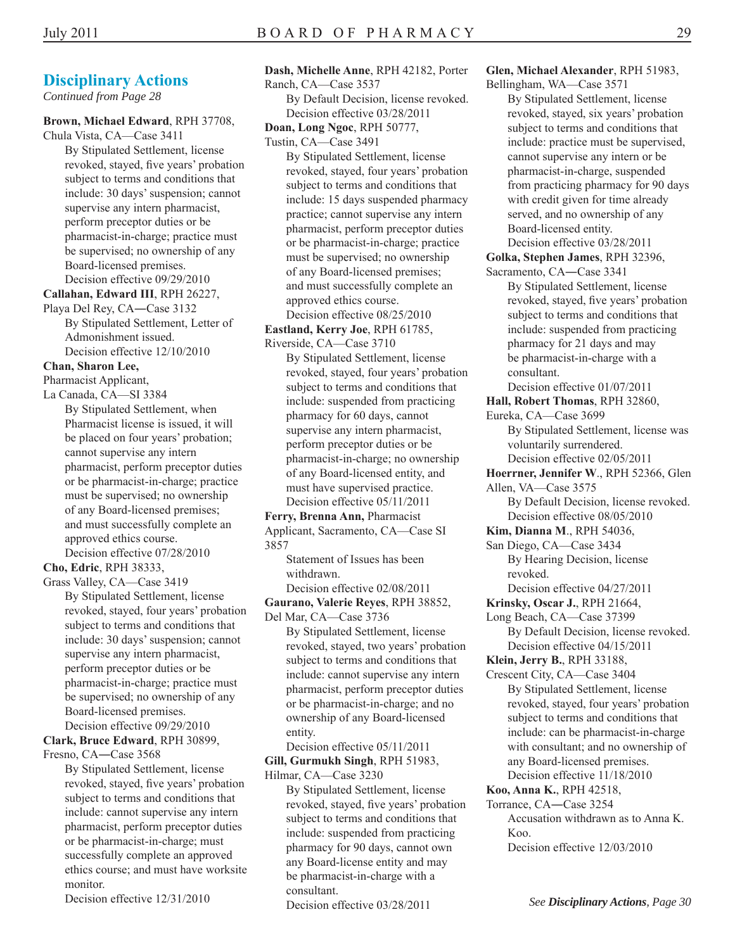*Continued from Page 28* 

#### **Brown, Michael Edward**, RPH 37708,

Chula Vista, CA—Case 3411 By Stipulated Settlement, license revoked, stayed, five years' probation subject to terms and conditions that include: 30 days' suspension; cannot supervise any intern pharmacist, perform preceptor duties or be pharmacist-in-charge; practice must be supervised; no ownership of any Board-licensed premises. Decision effective 09/29/2010

**Callahan, Edward III**, RPH 26227,

Playa Del Rey, CA―Case 3132 By Stipulated Settlement, Letter of Admonishment issued. Decision effective 12/10/2010

#### **Chan, Sharon Lee,**

Pharmacist Applicant,

La Canada, CA—SI 3384

By Stipulated Settlement, when Pharmacist license is issued, it will be placed on four years' probation; cannot supervise any intern pharmacist, perform preceptor duties or be pharmacist-in-charge; practice must be supervised; no ownership of any Board-licensed premises; and must successfully complete an approved ethics course. Decision effective 07/28/2010

**Cho, Edric**, RPH 38333,

Grass Valley, CA—Case 3419 By Stipulated Settlement, license revoked, stayed, four years' probation subject to terms and conditions that include: 30 days' suspension; cannot supervise any intern pharmacist, perform preceptor duties or be pharmacist-in-charge; practice must be supervised; no ownership of any Board-licensed premises. Decision effective 09/29/2010

**Clark, Bruce Edward**, RPH 30899, Fresno, CA―Case 3568

> By Stipulated Settlement, license revoked, stayed, five years' probation subject to terms and conditions that include: cannot supervise any intern pharmacist, perform preceptor duties or be pharmacist-in-charge; must successfully complete an approved ethics course; and must have worksite monitor.

Decision effective 12/31/2010

#### **Dash, Michelle Anne**, RPH 42182, Porter

Ranch, CA—Case 3537 By Default Decision, license revoked. Decision effective 03/28/2011

**Doan, Long Ngoc**, RPH 50777,

Tustin, CA—Case 3491

By Stipulated Settlement, license revoked, stayed, four years' probation subject to terms and conditions that include: 15 days suspended pharmacy practice; cannot supervise any intern pharmacist, perform preceptor duties or be pharmacist-in-charge; practice must be supervised; no ownership of any Board-licensed premises; and must successfully complete an approved ethics course. Decision effective 08/25/2010

**Eastland, Kerry Joe**, RPH 61785, Riverside, CA—Case 3710

By Stipulated Settlement, license revoked, stayed, four years' probation subject to terms and conditions that include: suspended from practicing pharmacy for 60 days, cannot supervise any intern pharmacist, perform preceptor duties or be pharmacist-in-charge; no ownership of any Board-licensed entity, and must have supervised practice. Decision effective 05/11/2011

**Ferry, Brenna Ann,** Pharmacist Applicant, Sacramento, CA—Case SI 3857

> Statement of Issues has been withdrawn.

Decision effective 02/08/2011 **Gaurano, Valerie Reyes**, RPH 38852,

Del Mar, CA—Case 3736 By Stipulated Settlement, license revoked, stayed, two years' probation subject to terms and conditions that include: cannot supervise any intern pharmacist, perform preceptor duties or be pharmacist-in-charge; and no ownership of any Board-licensed entity.

Decision effective 05/11/2011

**Gill, Gurmukh Singh**, RPH 51983, Hilmar, CA—Case 3230

By Stipulated Settlement, license revoked, stayed, five years' probation subject to terms and conditions that include: suspended from practicing pharmacy for 90 days, cannot own any Board-license entity and may be pharmacist-in-charge with a consultant. Decision effective 03/28/2011

**Glen, Michael Alexander**, RPH 51983, Bellingham, WA—Case 3571

By Stipulated Settlement, license revoked, stayed, six years' probation subject to terms and conditions that include: practice must be supervised, cannot supervise any intern or be pharmacist-in-charge, suspended from practicing pharmacy for 90 days with credit given for time already served, and no ownership of any Board-licensed entity.

Decision effective 03/28/2011 **Golka, Stephen James**, RPH 32396,

Sacramento, CA―Case 3341 By Stipulated Settlement, license revoked, stayed, five years' probation subject to terms and conditions that include: suspended from practicing pharmacy for 21 days and may be pharmacist-in-charge with a consultant.

Decision effective 01/07/2011

**Hall, Robert Thomas**, RPH 32860,

Eureka, CA—Case 3699 By Stipulated Settlement, license was voluntarily surrendered. Decision effective 02/05/2011

**Hoerrner, Jennifer W**., RPH 52366, Glen Allen, VA—Case 3575

By Default Decision, license revoked. Decision effective 08/05/2010

**Kim, Dianna M**., RPH 54036,

San Diego, CA—Case 3434 By Hearing Decision, license revoked.

Decision effective 04/27/2011

**Krinsky, Oscar J.**, RPH 21664,

Long Beach, CA—Case 37399 By Default Decision, license revoked. Decision effective 04/15/2011

**Klein, Jerry B.**, RPH 33188,

Crescent City, CA—Case 3404 By Stipulated Settlement, license revoked, stayed, four years' probation subject to terms and conditions that include: can be pharmacist-in-charge with consultant; and no ownership of any Board-licensed premises. Decision effective 11/18/2010

**Koo, Anna K.**, RPH 42518,

Torrance, CA―Case 3254

Accusation withdrawn as to Anna K. Koo.

Decision effective 12/03/2010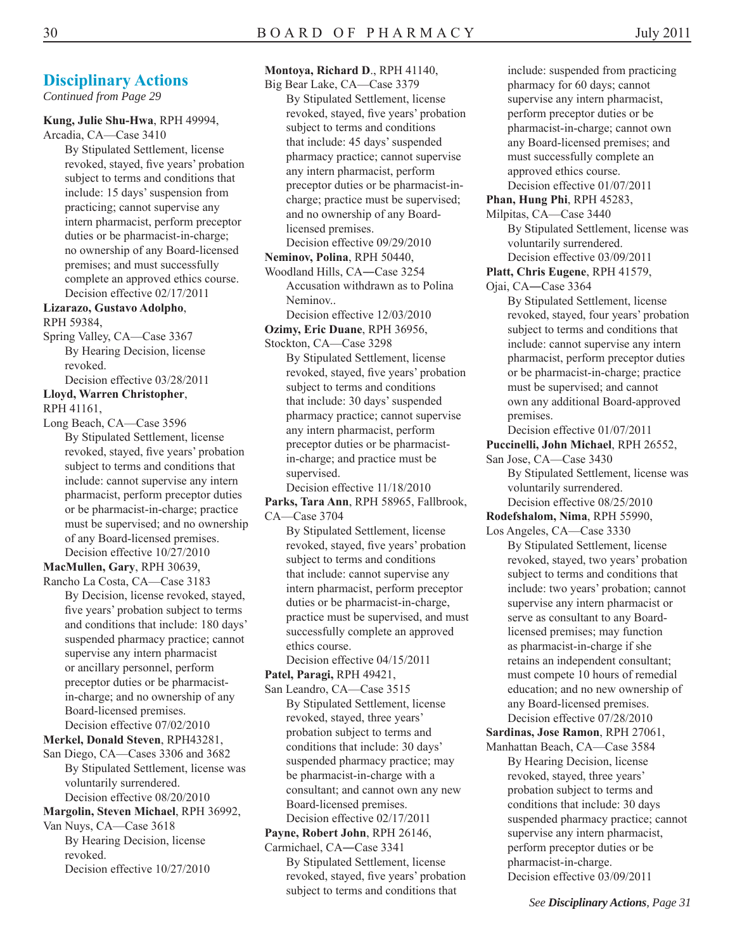*Continued from Page 29* 

#### **Kung, Julie Shu-Hwa**, RPH 49994,

Arcadia, CA—Case 3410

By Stipulated Settlement, license revoked, stayed, five years' probation subject to terms and conditions that include: 15 days' suspension from practicing; cannot supervise any intern pharmacist, perform preceptor duties or be pharmacist-in-charge; no ownership of any Board-licensed premises; and must successfully complete an approved ethics course. Decision effective 02/17/2011

#### **Lizarazo, Gustavo Adolpho**, RPH 59384,

Spring Valley, CA—Case 3367 By Hearing Decision, license revoked.

Decision effective 03/28/2011 **Lloyd, Warren Christopher**,

RPH 41161,

Long Beach, CA—Case 3596 By Stipulated Settlement, license revoked, stayed, five years' probation subject to terms and conditions that include: cannot supervise any intern pharmacist, perform preceptor duties or be pharmacist-in-charge; practice must be supervised; and no ownership of any Board-licensed premises. Decision effective 10/27/2010

#### **MacMullen, Gary**, RPH 30639,

Rancho La Costa, CA—Case 3183 By Decision, license revoked, stayed, five years' probation subject to terms and conditions that include: 180 days' suspended pharmacy practice; cannot supervise any intern pharmacist or ancillary personnel, perform preceptor duties or be pharmacistin-charge; and no ownership of any Board-licensed premises. Decision effective 07/02/2010

#### **Merkel, Donald Steven**, RPH43281,

San Diego, CA—Cases 3306 and 3682 By Stipulated Settlement, license was voluntarily surrendered. Decision effective 08/20/2010

#### **Margolin, Steven Michael**, RPH 36992,

Van Nuys, CA—Case 3618 By Hearing Decision, license revoked. Decision effective 10/27/2010

#### **Montoya, Richard D**., RPH 41140,

Big Bear Lake, CA—Case 3379 By Stipulated Settlement, license revoked, stayed, five years' probation subject to terms and conditions that include: 45 days' suspended pharmacy practice; cannot supervise any intern pharmacist, perform preceptor duties or be pharmacist-incharge; practice must be supervised; and no ownership of any Boardlicensed premises. Decision effective 09/29/2010

**Neminov, Polina**, RPH 50440,

Woodland Hills, CA―Case 3254 Accusation withdrawn as to Polina Neminov..

- Decision effective 12/03/2010 **Ozimy, Eric Duane**, RPH 36956,
- Stockton, CA—Case 3298

By Stipulated Settlement, license revoked, stayed, five years' probation subject to terms and conditions that include: 30 days' suspended pharmacy practice; cannot supervise any intern pharmacist, perform preceptor duties or be pharmacistin-charge; and practice must be supervised.

Decision effective 11/18/2010

**Parks, Tara Ann**, RPH 58965, Fallbrook, CA—Case 3704

By Stipulated Settlement, license revoked, stayed, five years' probation subject to terms and conditions that include: cannot supervise any intern pharmacist, perform preceptor duties or be pharmacist-in-charge, practice must be supervised, and must successfully complete an approved ethics course.

Decision effective 04/15/2011 **Patel, Paragi,** RPH 49421,

San Leandro, CA—Case 3515 By Stipulated Settlement, license revoked, stayed, three years' probation subject to terms and conditions that include: 30 days' suspended pharmacy practice; may be pharmacist-in-charge with a consultant; and cannot own any new Board-licensed premises.

Decision effective 02/17/2011

#### **Payne, Robert John**, RPH 26146,

Carmichael, CA―Case 3341 By Stipulated Settlement, license revoked, stayed, five years' probation subject to terms and conditions that

include: suspended from practicing pharmacy for 60 days; cannot supervise any intern pharmacist, perform preceptor duties or be pharmacist-in-charge; cannot own any Board-licensed premises; and must successfully complete an approved ethics course. Decision effective 01/07/2011

**Phan, Hung Phi**, RPH 45283,

Milpitas, CA—Case 3440 By Stipulated Settlement, license was voluntarily surrendered.

Decision effective 03/09/2011 **Platt, Chris Eugene**, RPH 41579,

Ojai, CA―Case 3364

By Stipulated Settlement, license revoked, stayed, four years' probation subject to terms and conditions that include: cannot supervise any intern pharmacist, perform preceptor duties or be pharmacist-in-charge; practice must be supervised; and cannot own any additional Board-approved premises.

Decision effective 01/07/2011

#### **Puccinelli, John Michael**, RPH 26552,

San Jose, CA—Case 3430 By Stipulated Settlement, license was voluntarily surrendered. Decision effective 08/25/2010

**Rodefshalom, Nima**, RPH 55990,

Los Angeles, CA—Case 3330

By Stipulated Settlement, license revoked, stayed, two years' probation subject to terms and conditions that include: two years' probation; cannot supervise any intern pharmacist or serve as consultant to any Boardlicensed premises; may function as pharmacist-in-charge if she retains an independent consultant; must compete 10 hours of remedial education; and no new ownership of any Board-licensed premises. Decision effective 07/28/2010

**Sardinas, Jose Ramon**, RPH 27061,

Manhattan Beach, CA—Case 3584 By Hearing Decision, license revoked, stayed, three years' probation subject to terms and conditions that include: 30 days suspended pharmacy practice; cannot supervise any intern pharmacist, perform preceptor duties or be pharmacist-in-charge. Decision effective 03/09/2011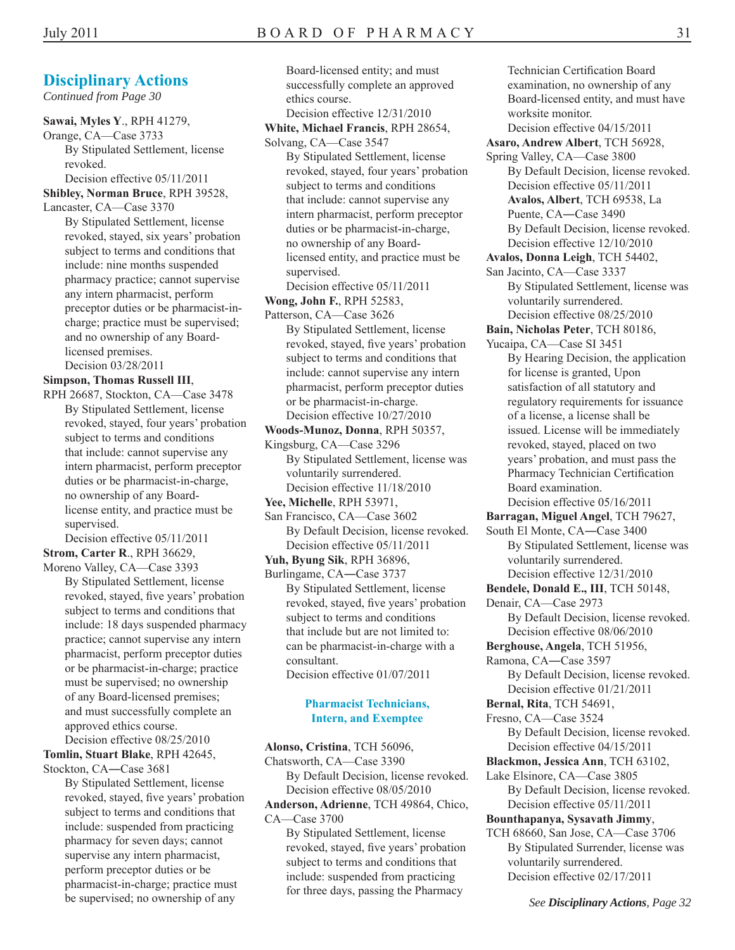*Continued from Page 30* 

**Sawai, Myles Y**., RPH 41279, Orange, CA—Case 3733 By Stipulated Settlement, license revoked. Decision effective 05/11/2011 **Shibley, Norman Bruce**, RPH 39528,

Lancaster, CA—Case 3370 By Stipulated Settlement, license revoked, stayed, six years' probation subject to terms and conditions that include: nine months suspended pharmacy practice; cannot supervise any intern pharmacist, perform preceptor duties or be pharmacist-incharge; practice must be supervised; and no ownership of any Boardlicensed premises.

Decision 03/28/2011

#### **Simpson, Thomas Russell III**,

RPH 26687, Stockton, CA—Case 3478 By Stipulated Settlement, license revoked, stayed, four years' probation subject to terms and conditions that include: cannot supervise any intern pharmacist, perform preceptor duties or be pharmacist-in-charge, no ownership of any Boardlicense entity, and practice must be supervised.

Decision effective 05/11/2011 **Strom, Carter R**., RPH 36629,

Moreno Valley, CA—Case 3393 By Stipulated Settlement, license revoked, stayed, five years' probation

subject to terms and conditions that include: 18 days suspended pharmacy practice; cannot supervise any intern pharmacist, perform preceptor duties or be pharmacist-in-charge; practice must be supervised; no ownership of any Board-licensed premises; and must successfully complete an approved ethics course.

Decision effective 08/25/2010 **Tomlin, Stuart Blake**, RPH 42645,

Stockton, CA―Case 3681

By Stipulated Settlement, license revoked, stayed, five years' probation subject to terms and conditions that include: suspended from practicing pharmacy for seven days; cannot supervise any intern pharmacist, perform preceptor duties or be pharmacist-in-charge; practice must be supervised; no ownership of any

Board-licensed entity; and must successfully complete an approved ethics course.

Decision effective 12/31/2010 **White, Michael Francis**, RPH 28654, Solvang, CA—Case 3547 By Stipulated Settlement, license

revoked, stayed, four years' probation subject to terms and conditions that include: cannot supervise any intern pharmacist, perform preceptor duties or be pharmacist-in-charge, no ownership of any Boardlicensed entity, and practice must be supervised.

Decision effective 05/11/2011

- **Wong, John F.**, RPH 52583,
- Patterson, CA—Case 3626 By Stipulated Settlement, license revoked, stayed, five years' probation subject to terms and conditions that include: cannot supervise any intern pharmacist, perform preceptor duties or be pharmacist-in-charge. Decision effective 10/27/2010

**Woods-Munoz, Donna**, RPH 50357,

Kingsburg, CA—Case 3296 By Stipulated Settlement, license was voluntarily surrendered. Decision effective 11/18/2010

**Yee, Michelle**, RPH 53971,

San Francisco, CA—Case 3602 By Default Decision, license revoked. Decision effective 05/11/2011

**Yuh, Byung Sik**, RPH 36896,

Burlingame, CA―Case 3737 By Stipulated Settlement, license revoked, stayed, five years' probation subject to terms and conditions that include but are not limited to: can be pharmacist-in-charge with a consultant. Decision effective 01/07/2011

#### **Pharmacist Technicians, Intern, and Exemptee**

**Alonso, Cristina**, TCH 56096,

Chatsworth, CA—Case 3390

By Default Decision, license revoked. Decision effective 08/05/2010 **Anderson, Adrienne**, TCH 49864, Chico,

CA—Case 3700

By Stipulated Settlement, license revoked, stayed, five years' probation subject to terms and conditions that include: suspended from practicing for three days, passing the Pharmacy

examination, no ownership of any Board-licensed entity, and must have worksite monitor. Decision effective 04/15/2011 **Asaro, Andrew Albert**, TCH 56928, Spring Valley, CA—Case 3800 By Default Decision, license revoked. Decision effective 05/11/2011 **Avalos, Albert**, TCH 69538, La Puente, CA―Case 3490 By Default Decision, license revoked. Decision effective 12/10/2010 **Avalos, Donna Leigh**, TCH 54402, San Jacinto, CA—Case 3337 By Stipulated Settlement, license was voluntarily surrendered. Decision effective 08/25/2010 **Bain, Nicholas Peter**, TCH 80186, Yucaipa, CA—Case SI 3451 By Hearing Decision, the application for license is granted, Upon satisfaction of all statutory and regulatory requirements for issuance of a license, a license shall be issued. License will be immediately revoked, stayed, placed on two years' probation, and must pass the Pharmacy Technician Certification Board examination. Decision effective 05/16/2011 **Barragan, Miguel Angel**, TCH 79627, South El Monte, CA―Case 3400 By Stipulated Settlement, license was voluntarily surrendered. Decision effective 12/31/2010 **Bendele, Donald E., III**, TCH 50148, Denair, CA—Case 2973 By Default Decision, license revoked. Decision effective 08/06/2010 **Berghouse, Angela**, TCH 51956, Ramona, CA―Case 3597 By Default Decision, license revoked. Decision effective 01/21/2011 **Bernal, Rita**, TCH 54691, Fresno, CA—Case 3524

Technician Certification Board

By Default Decision, license revoked. Decision effective 04/15/2011

**Blackmon, Jessica Ann**, TCH 63102,

Lake Elsinore, CA—Case 3805 By Default Decision, license revoked. Decision effective 05/11/2011

**Bounthapanya, Sysavath Jimmy**,

TCH 68660, San Jose, CA—Case 3706 By Stipulated Surrender, license was voluntarily surrendered. Decision effective 02/17/2011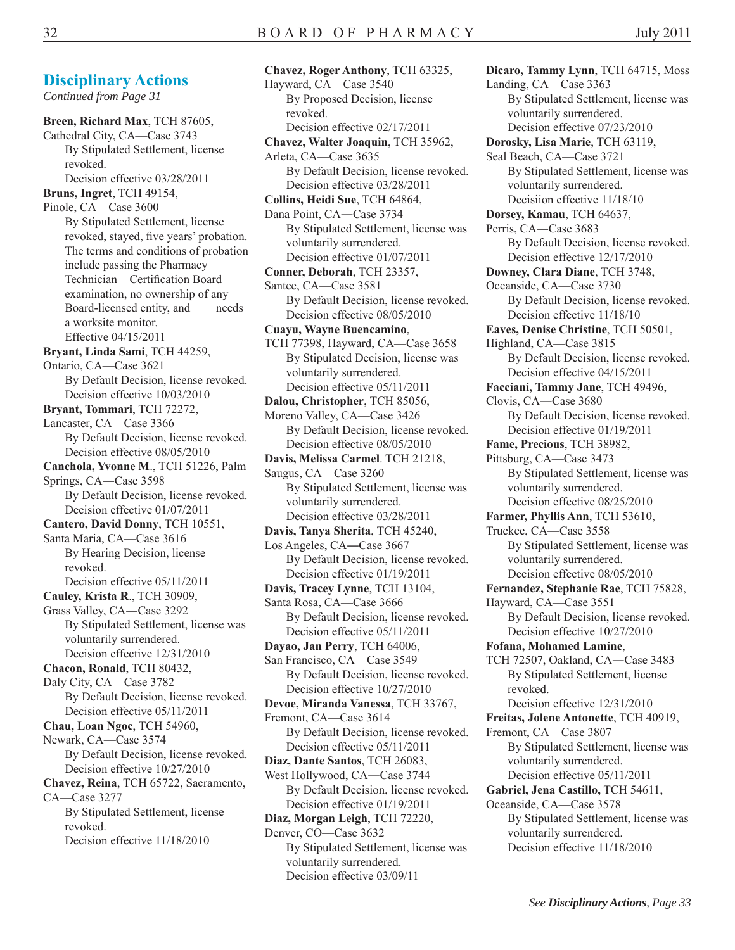**Chavez, Roger Anthony**, TCH 63325,

**Dicaro, Tammy Lynn**, TCH 64715, Moss Landing, CA—Case 3363 By Stipulated Settlement, license was voluntarily surrendered. Decision effective 07/23/2010 **Dorosky, Lisa Marie**, TCH 63119, Seal Beach, CA—Case 3721 By Stipulated Settlement, license was voluntarily surrendered. Decisiion effective 11/18/10 **Dorsey, Kamau**, TCH 64637, Perris, CA―Case 3683 By Default Decision, license revoked. Decision effective 12/17/2010 **Downey, Clara Diane**, TCH 3748, Oceanside, CA—Case 3730 By Default Decision, license revoked. Decision effective 11/18/10 **Eaves, Denise Christine**, TCH 50501, Highland, CA—Case 3815 By Default Decision, license revoked. Decision effective 04/15/2011 **Facciani, Tammy Jane**, TCH 49496, Clovis, CA―Case 3680 By Default Decision, license revoked. Decision effective 01/19/2011 **Fame, Precious**, TCH 38982, Pittsburg, CA—Case 3473 By Stipulated Settlement, license was voluntarily surrendered. Decision effective 08/25/2010 **Farmer, Phyllis Ann**, TCH 53610, Truckee, CA—Case 3558 By Stipulated Settlement, license was voluntarily surrendered. Decision effective 08/05/2010 **Fernandez, Stephanie Rae**, TCH 75828, Hayward, CA—Case 3551 By Default Decision, license revoked. Decision effective 10/27/2010 **Fofana, Mohamed Lamine**, TCH 72507, Oakland, CA―Case 3483 By Stipulated Settlement, license revoked. Decision effective 12/31/2010 **Freitas, Jolene Antonette**, TCH 40919, Fremont, CA—Case 3807 By Stipulated Settlement, license was voluntarily surrendered. Decision effective 05/11/2011 **Gabriel, Jena Castillo,** TCH 54611, Oceanside, CA—Case 3578 By Stipulated Settlement, license was voluntarily surrendered. Decision effective 11/18/2010

#### **Disciplinary Actions**

*Continued from Page 31*

**Breen, Richard Max**, TCH 87605, Cathedral City, CA—Case 3743 By Stipulated Settlement, license revoked. Decision effective 03/28/2011 **Bruns, Ingret**, TCH 49154, Pinole, CA—Case 3600 By Stipulated Settlement, license revoked, stayed, five years' probation. The terms and conditions of probation include passing the Pharmacy Technician Certification Board examination, no ownership of any Board-licensed entity, and needs a worksite monitor. Effective 04/15/2011 **Bryant, Linda Sami**, TCH 44259, Ontario, CA—Case 3621 By Default Decision, license revoked. Decision effective 10/03/2010 **Bryant, Tommari**, TCH 72272, Lancaster, CA—Case 3366 By Default Decision, license revoked. Decision effective 08/05/2010 **Canchola, Yvonne M**., TCH 51226, Palm Springs, CA―Case 3598 By Default Decision, license revoked. Decision effective 01/07/2011 **Cantero, David Donny**, TCH 10551, Santa Maria, CA—Case 3616 By Hearing Decision, license revoked. Decision effective 05/11/2011 **Cauley, Krista R**., TCH 30909, Grass Valley, CA―Case 3292 By Stipulated Settlement, license was voluntarily surrendered. Decision effective 12/31/2010 **Chacon, Ronald**, TCH 80432, Daly City, CA—Case 3782 By Default Decision, license revoked. Decision effective 05/11/2011 **Chau, Loan Ngoc**, TCH 54960, Newark, CA—Case 3574 By Default Decision, license revoked. Decision effective 10/27/2010 **Chavez, Reina**, TCH 65722, Sacramento, CA—Case 3277 By Stipulated Settlement, license revoked. Decision effective 11/18/2010

Hayward, CA—Case 3540 By Proposed Decision, license revoked. Decision effective 02/17/2011 **Chavez, Walter Joaquin**, TCH 35962, Arleta, CA—Case 3635 By Default Decision, license revoked. Decision effective 03/28/2011 **Collins, Heidi Sue**, TCH 64864, Dana Point, CA―Case 3734 By Stipulated Settlement, license was voluntarily surrendered. Decision effective 01/07/2011 **Conner, Deborah**, TCH 23357, Santee, CA—Case 3581 By Default Decision, license revoked. Decision effective 08/05/2010 **Cuayu, Wayne Buencamino**, TCH 77398, Hayward, CA—Case 3658 By Stipulated Decision, license was voluntarily surrendered. Decision effective 05/11/2011 **Dalou, Christopher**, TCH 85056, Moreno Valley, CA—Case 3426 By Default Decision, license revoked. Decision effective 08/05/2010 **Davis, Melissa Carmel**. TCH 21218, Saugus, CA—Case 3260 By Stipulated Settlement, license was voluntarily surrendered. Decision effective 03/28/2011 **Davis, Tanya Sherita**, TCH 45240, Los Angeles, CA―Case 3667 By Default Decision, license revoked. Decision effective 01/19/2011 **Davis, Tracey Lynne**, TCH 13104, Santa Rosa, CA—Case 3666 By Default Decision, license revoked. Decision effective 05/11/2011 **Dayao, Jan Perry**, TCH 64006, San Francisco, CA—Case 3549 By Default Decision, license revoked. Decision effective 10/27/2010 **Devoe, Miranda Vanessa**, TCH 33767, Fremont, CA—Case 3614 By Default Decision, license revoked. Decision effective 05/11/2011 **Diaz, Dante Santos**, TCH 26083, West Hollywood, CA―Case 3744 By Default Decision, license revoked. Decision effective 01/19/2011 **Diaz, Morgan Leigh**, TCH 72220, Denver, CO—Case 3632 By Stipulated Settlement, license was voluntarily surrendered. Decision effective 03/09/11

*See Disciplinary Actions, Page 33*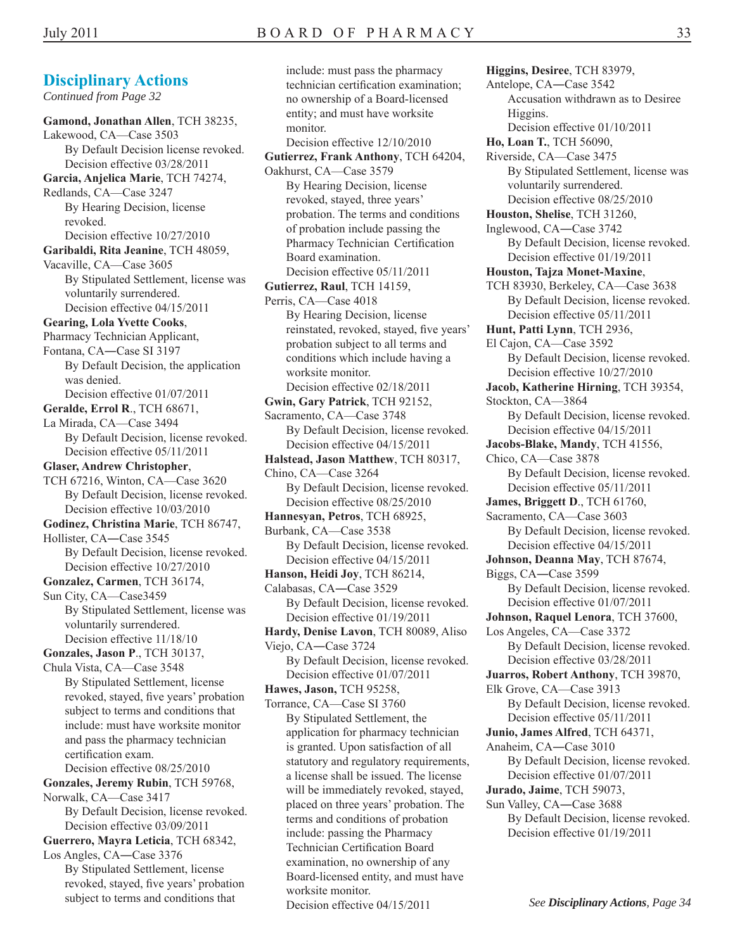#### **Disciplinary Actions**  *Continued from Page 32*  **Gamond, Jonathan Allen**, TCH 38235, Lakewood, CA—Case 3503 By Default Decision license revoked. Decision effective 03/28/2011 **Garcia, Anjelica Marie**, TCH 74274, Redlands, CA—Case 3247 By Hearing Decision, license revoked. Decision effective 10/27/2010 **Garibaldi, Rita Jeanine**, TCH 48059, Vacaville, CA—Case 3605 By Stipulated Settlement, license was voluntarily surrendered. Decision effective 04/15/2011 **Gearing, Lola Yvette Cooks**, Pharmacy Technician Applicant, Fontana, CA―Case SI 3197 By Default Decision, the application was denied. Decision effective 01/07/2011 **Geralde, Errol R**., TCH 68671, La Mirada, CA—Case 3494 By Default Decision, license revoked. Decision effective 05/11/2011 **Glaser, Andrew Christopher**, TCH 67216, Winton, CA—Case 3620 By Default Decision, license revoked. Decision effective 10/03/2010 **Godinez, Christina Marie**, TCH 86747,

Hollister, CA―Case 3545 By Default Decision, license revoked. Decision effective 10/27/2010

**Gonzalez, Carmen**, TCH 36174,

Sun City, CA—Case3459 By Stipulated Settlement, license was voluntarily surrendered. Decision effective 11/18/10

**Gonzales, Jason P**., TCH 30137,

Chula Vista, CA—Case 3548 By Stipulated Settlement, license revoked, stayed, five years' probation subject to terms and conditions that include: must have worksite monitor and pass the pharmacy technician certification exam. Decision effective 08/25/2010

**Gonzales, Jeremy Rubin**, TCH 59768, Norwalk, CA—Case 3417 By Default Decision, license revoked. Decision effective 03/09/2011

**Guerrero, Mayra Leticia**, TCH 68342,

Los Angles, CA―Case 3376 By Stipulated Settlement, license revoked, stayed, five years' probation subject to terms and conditions that

include: must pass the pharmacy technician certification examination; no ownership of a Board-licensed entity; and must have worksite monitor. Decision effective 12/10/2010 **Gutierrez, Frank Anthony**, TCH 64204, Oakhurst, CA—Case 3579 By Hearing Decision, license revoked, stayed, three years' probation. The terms and conditions of probation include passing the Pharmacy Technician Certification Board examination. Decision effective 05/11/2011 **Gutierrez, Raul**, TCH 14159, Perris, CA—Case 4018 By Hearing Decision, license reinstated, revoked, stayed, five years' probation subject to all terms and conditions which include having a worksite monitor. Decision effective 02/18/2011 **Gwin, Gary Patrick**, TCH 92152, Sacramento, CA—Case 3748 By Default Decision, license revoked. Decision effective 04/15/2011 **Halstead, Jason Matthew**, TCH 80317, Chino, CA—Case 3264 By Default Decision, license revoked. Decision effective 08/25/2010 **Hannesyan, Petros**, TCH 68925, Burbank, CA—Case 3538 By Default Decision, license revoked. Decision effective 04/15/2011 **Hanson, Heidi Joy**, TCH 86214, Calabasas, CA―Case 3529 By Default Decision, license revoked. Decision effective 01/19/2011 **Hardy, Denise Lavon**, TCH 80089, Aliso Viejo, CA―Case 3724 By Default Decision, license revoked. Decision effective 01/07/2011 **Hawes, Jason,** TCH 95258, Torrance, CA—Case SI 3760 By Stipulated Settlement, the application for pharmacy technician is granted. Upon satisfaction of all statutory and regulatory requirements, a license shall be issued. The license will be immediately revoked, stayed, placed on three years' probation. The terms and conditions of probation include: passing the Pharmacy Technician Certification Board examination, no ownership of any Board-licensed entity, and must have worksite monitor.

Decision effective 04/15/2011

**Higgins, Desiree**, TCH 83979, Antelope, CA―Case 3542 Accusation withdrawn as to Desiree Higgins. Decision effective 01/10/2011 **Ho, Loan T.**, TCH 56090, Riverside, CA—Case 3475 By Stipulated Settlement, license was voluntarily surrendered. Decision effective 08/25/2010 **Houston, Shelise**, TCH 31260, Inglewood, CA―Case 3742 By Default Decision, license revoked. Decision effective 01/19/2011 **Houston, Tajza Monet-Maxine**, TCH 83930, Berkeley, CA—Case 3638 By Default Decision, license revoked. Decision effective 05/11/2011 **Hunt, Patti Lynn**, TCH 2936, El Cajon, CA—Case 3592 By Default Decision, license revoked. Decision effective 10/27/2010 **Jacob, Katherine Hirning**, TCH 39354, Stockton, CA—3864 By Default Decision, license revoked. Decision effective 04/15/2011 **Jacobs-Blake, Mandy**, TCH 41556, Chico, CA—Case 3878 By Default Decision, license revoked. Decision effective 05/11/2011 **James, Briggett D**., TCH 61760, Sacramento, CA—Case 3603 By Default Decision, license revoked. Decision effective 04/15/2011 **Johnson, Deanna May**, TCH 87674, Biggs, CA―Case 3599 By Default Decision, license revoked. Decision effective 01/07/2011 **Johnson, Raquel Lenora**, TCH 37600, Los Angeles, CA—Case 3372 By Default Decision, license revoked. Decision effective 03/28/2011 **Juarros, Robert Anthony**, TCH 39870, Elk Grove, CA—Case 3913 By Default Decision, license revoked. Decision effective 05/11/2011 **Junio, James Alfred**, TCH 64371, Anaheim, CA―Case 3010 By Default Decision, license revoked. Decision effective 01/07/2011 **Jurado, Jaime**, TCH 59073, Sun Valley, CA―Case 3688 By Default Decision, license revoked. Decision effective 01/19/2011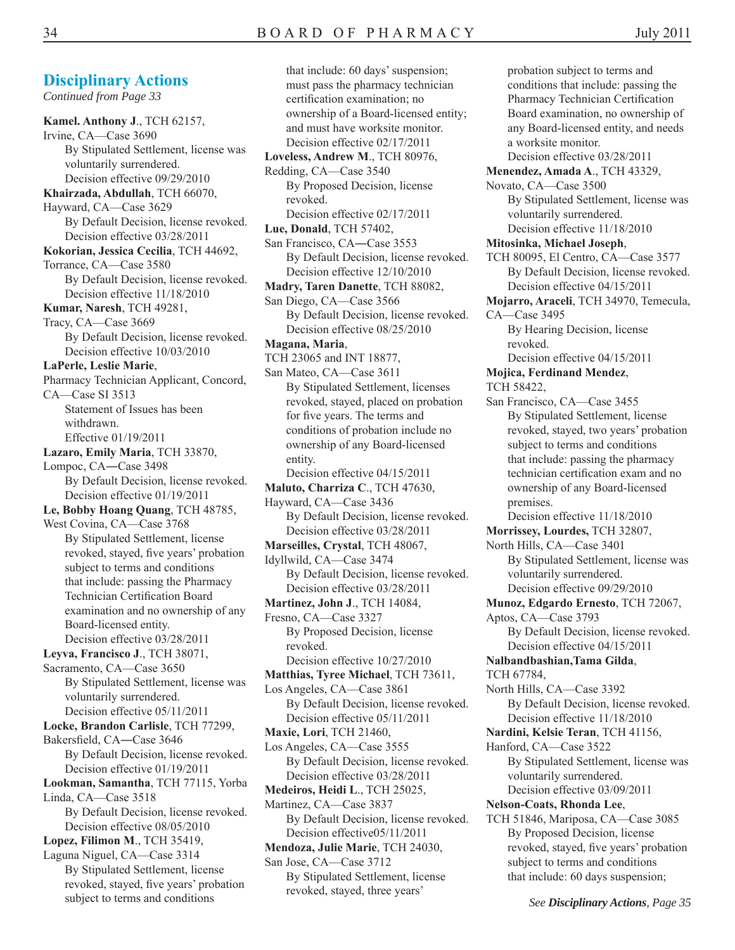*Continued from Page 33*

**Kamel. Anthony J**., TCH 62157, Irvine, CA—Case 3690 By Stipulated Settlement, license was voluntarily surrendered. Decision effective 09/29/2010 **Khairzada, Abdullah**, TCH 66070, Hayward, CA—Case 3629 By Default Decision, license revoked. Decision effective 03/28/2011 **Kokorian, Jessica Cecilia**, TCH 44692, Torrance, CA—Case 3580 By Default Decision, license revoked. Decision effective 11/18/2010 **Kumar, Naresh**, TCH 49281, Tracy, CA—Case 3669 By Default Decision, license revoked. Decision effective 10/03/2010 **LaPerle, Leslie Marie**, Pharmacy Technician Applicant, Concord, CA—Case SI 3513 Statement of Issues has been withdrawn. Effective 01/19/2011 **Lazaro, Emily Maria**, TCH 33870, Lompoc, CA―Case 3498 By Default Decision, license revoked. Decision effective 01/19/2011 **Le, Bobby Hoang Quang**, TCH 48785, West Covina, CA—Case 3768 By Stipulated Settlement, license revoked, stayed, five years' probation subject to terms and conditions that include: passing the Pharmacy Technician Certification Board examination and no ownership of any Board-licensed entity. Decision effective 03/28/2011 **Leyva, Francisco J**., TCH 38071, Sacramento, CA—Case 3650 By Stipulated Settlement, license was voluntarily surrendered. Decision effective 05/11/2011 **Locke, Brandon Carlisle**, TCH 77299, Bakersfield, CA-Case 3646 By Default Decision, license revoked. Decision effective 01/19/2011 **Lookman, Samantha**, TCH 77115, Yorba Linda, CA—Case 3518 By Default Decision, license revoked. Decision effective 08/05/2010 **Lopez, Filimon M**., TCH 35419, Laguna Niguel, CA—Case 3314 By Stipulated Settlement, license revoked, stayed, five years' probation subject to terms and conditions

that include: 60 days' suspension; must pass the pharmacy technician certification examination; no ownership of a Board-licensed entity; and must have worksite monitor. Decision effective 02/17/2011 **Loveless, Andrew M**., TCH 80976, Redding, CA—Case 3540 By Proposed Decision, license revoked. Decision effective 02/17/2011 **Lue, Donald**, TCH 57402, San Francisco, CA―Case 3553 By Default Decision, license revoked. Decision effective 12/10/2010 **Madry, Taren Danette**, TCH 88082, San Diego, CA—Case 3566 By Default Decision, license revoked. Decision effective 08/25/2010 **Magana, Maria**, TCH 23065 and INT 18877, San Mateo, CA—Case 3611 By Stipulated Settlement, licenses revoked, stayed, placed on probation for five years. The terms and conditions of probation include no ownership of any Board-licensed entity. Decision effective 04/15/2011 **Maluto, Charriza C**., TCH 47630, Hayward, CA—Case 3436 By Default Decision, license revoked. Decision effective 03/28/2011 **Marseilles, Crystal**, TCH 48067, Idyllwild, CA—Case 3474 By Default Decision, license revoked. Decision effective 03/28/2011 **Martinez, John J**., TCH 14084, Fresno, CA—Case 3327 By Proposed Decision, license revoked. Decision effective 10/27/2010 **Matthias, Tyree Michael**, TCH 73611, Los Angeles, CA—Case 3861 By Default Decision, license revoked. Decision effective 05/11/2011 **Maxie, Lori**, TCH 21460, Los Angeles, CA—Case 3555 By Default Decision, license revoked. Decision effective 03/28/2011 **Medeiros, Heidi L**., TCH 25025, Martinez, CA—Case 3837 By Default Decision, license revoked. Decision effective05/11/2011 **Mendoza, Julie Marie**, TCH 24030, San Jose, CA—Case 3712 By Stipulated Settlement, license revoked, stayed, three years'

probation subject to terms and conditions that include: passing the Pharmacy Technician Certification Board examination, no ownership of any Board-licensed entity, and needs a worksite monitor. Decision effective 03/28/2011 **Menendez, Amada A**., TCH 43329, Novato, CA—Case 3500 By Stipulated Settlement, license was voluntarily surrendered. Decision effective 11/18/2010 **Mitosinka, Michael Joseph**, TCH 80095, El Centro, CA—Case 3577 By Default Decision, license revoked. Decision effective 04/15/2011 **Mojarro, Araceli**, TCH 34970, Temecula, CA—Case 3495 By Hearing Decision, license revoked. Decision effective 04/15/2011 **Mojica, Ferdinand Mendez**, TCH 58422, San Francisco, CA—Case 3455 By Stipulated Settlement, license revoked, stayed, two years' probation subject to terms and conditions that include: passing the pharmacy technician certification exam and no ownership of any Board-licensed premises. Decision effective 11/18/2010 **Morrissey, Lourdes,** TCH 32807, North Hills, CA—Case 3401 By Stipulated Settlement, license was voluntarily surrendered. Decision effective 09/29/2010 **Munoz, Edgardo Ernesto**, TCH 72067, Aptos, CA—Case 3793 By Default Decision, license revoked. Decision effective 04/15/2011 **Nalbandbashian,Tama Gilda**, TCH 67784, North Hills, CA—Case 3392 By Default Decision, license revoked. Decision effective 11/18/2010 **Nardini, Kelsie Teran**, TCH 41156, Hanford, CA—Case 3522 By Stipulated Settlement, license was voluntarily surrendered. Decision effective 03/09/2011 **Nelson-Coats, Rhonda Lee**, TCH 51846, Mariposa, CA—Case 3085 By Proposed Decision, license revoked, stayed, five years' probation subject to terms and conditions

that include: 60 days suspension;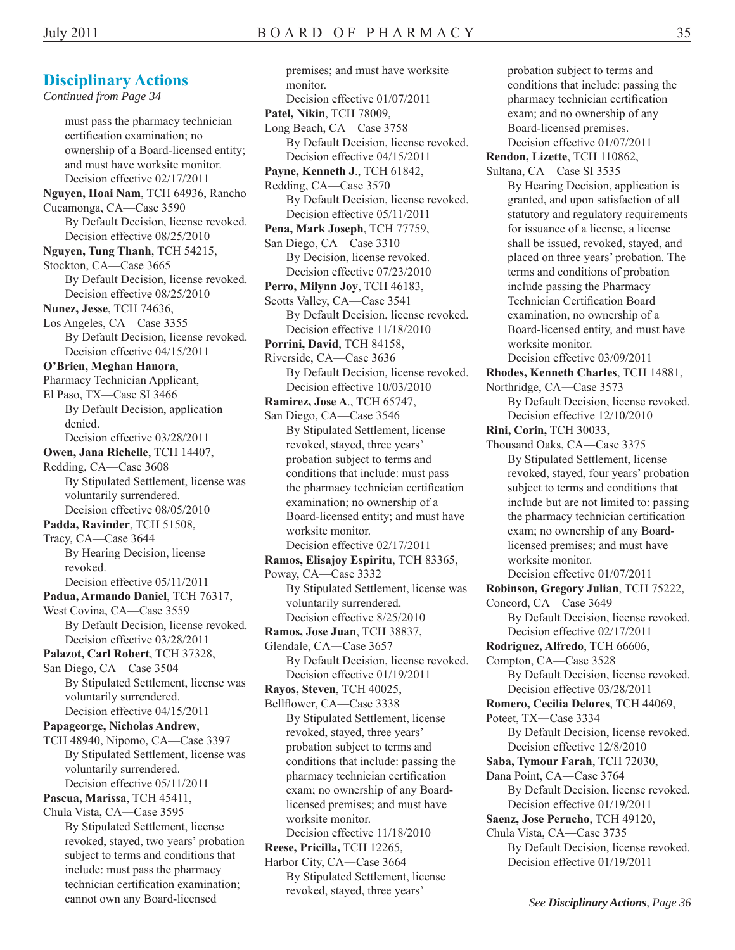#### *Continued from Page 34*  must pass the pharmacy technician certification examination; no ownership of a Board-licensed entity; and must have worksite monitor. Decision effective 02/17/2011 **Nguyen, Hoai Nam**, TCH 64936, Rancho Cucamonga, CA—Case 3590 By Default Decision, license revoked. Decision effective 08/25/2010 **Nguyen, Tung Thanh**, TCH 54215, Stockton, CA—Case 3665 By Default Decision, license revoked. Decision effective 08/25/2010 **Nunez, Jesse**, TCH 74636, Los Angeles, CA—Case 3355 By Default Decision, license revoked. Decision effective 04/15/2011 **O'Brien, Meghan Hanora**, Pharmacy Technician Applicant, El Paso, TX—Case SI 3466 By Default Decision, application denied. Decision effective 03/28/2011 **Owen, Jana Richelle**, TCH 14407, Redding, CA—Case 3608 By Stipulated Settlement, license was voluntarily surrendered. Decision effective 08/05/2010 **Padda, Ravinder**, TCH 51508, Tracy, CA—Case 3644 By Hearing Decision, license revoked. Decision effective 05/11/2011 **Padua, Armando Daniel**, TCH 76317, West Covina, CA—Case 3559 By Default Decision, license revoked. Decision effective 03/28/2011 **Palazot, Carl Robert**, TCH 37328, San Diego, CA—Case 3504 By Stipulated Settlement, license was voluntarily surrendered. Decision effective 04/15/2011 **Papageorge, Nicholas Andrew**, TCH 48940, Nipomo, CA—Case 3397 By Stipulated Settlement, license was voluntarily surrendered. Decision effective 05/11/2011 **Pascua, Marissa**, TCH 45411, Chula Vista, CA―Case 3595 By Stipulated Settlement, license revoked, stayed, two years' probation subject to terms and conditions that include: must pass the pharmacy technician certification examination; cannot own any Board-licensed

premises; and must have worksite monitor. Decision effective 01/07/2011 **Patel, Nikin**, TCH 78009, Long Beach, CA—Case 3758 By Default Decision, license revoked. Decision effective 04/15/2011 **Payne, Kenneth J**., TCH 61842, Redding, CA—Case 3570 By Default Decision, license revoked. Decision effective 05/11/2011 **Pena, Mark Joseph**, TCH 77759, San Diego, CA—Case 3310 By Decision, license revoked. Decision effective 07/23/2010 **Perro, Milynn Joy**, TCH 46183, Scotts Valley, CA—Case 3541 By Default Decision, license revoked. Decision effective 11/18/2010 **Porrini, David**, TCH 84158, Riverside, CA—Case 3636 By Default Decision, license revoked. Decision effective 10/03/2010 **Ramirez, Jose A**., TCH 65747, San Diego, CA—Case 3546 By Stipulated Settlement, license revoked, stayed, three years' probation subject to terms and conditions that include: must pass the pharmacy technician certification examination; no ownership of a Board-licensed entity; and must have worksite monitor. Decision effective 02/17/2011 **Ramos, Elisajoy Espiritu**, TCH 83365, Poway, CA—Case 3332 By Stipulated Settlement, license was voluntarily surrendered. Decision effective 8/25/2010 **Ramos, Jose Juan**, TCH 38837, Glendale, CA―Case 3657 By Default Decision, license revoked. Decision effective 01/19/2011 **Rayos, Steven**, TCH 40025, Bellflower, CA—Case 3338 By Stipulated Settlement, license revoked, stayed, three years' probation subject to terms and conditions that include: passing the pharmacy technician certification exam; no ownership of any Boardlicensed premises; and must have worksite monitor. Decision effective 11/18/2010 **Reese, Pricilla,** TCH 12265, Harbor City, CA―Case 3664 By Stipulated Settlement, license revoked, stayed, three years'

conditions that include: passing the pharmacy technician certification exam; and no ownership of any Board-licensed premises. Decision effective 01/07/2011 **Rendon, Lizette**, TCH 110862, Sultana, CA—Case SI 3535 By Hearing Decision, application is granted, and upon satisfaction of all statutory and regulatory requirements for issuance of a license, a license shall be issued, revoked, stayed, and placed on three years' probation. The terms and conditions of probation include passing the Pharmacy Technician Certification Board examination, no ownership of a Board-licensed entity, and must have worksite monitor. Decision effective 03/09/2011 **Rhodes, Kenneth Charles**, TCH 14881, Northridge, CA―Case 3573 By Default Decision, license revoked. Decision effective 12/10/2010 **Rini, Corin,** TCH 30033, Thousand Oaks, CA―Case 3375 By Stipulated Settlement, license revoked, stayed, four years' probation subject to terms and conditions that include but are not limited to: passing the pharmacy technician certification exam; no ownership of any Boardlicensed premises; and must have worksite monitor. Decision effective 01/07/2011 **Robinson, Gregory Julian**, TCH 75222, Concord, CA—Case 3649 By Default Decision, license revoked. Decision effective 02/17/2011 **Rodriguez, Alfredo**, TCH 66606, Compton, CA—Case 3528 By Default Decision, license revoked. Decision effective 03/28/2011 **Romero, Cecilia Delores**, TCH 44069, Poteet, TX―Case 3334 By Default Decision, license revoked. Decision effective 12/8/2010 **Saba, Tymour Farah**, TCH 72030, Dana Point, CA―Case 3764 By Default Decision, license revoked. Decision effective 01/19/2011 **Saenz, Jose Perucho**, TCH 49120, Chula Vista, CA―Case 3735 By Default Decision, license revoked.

probation subject to terms and

Decision effective 01/19/2011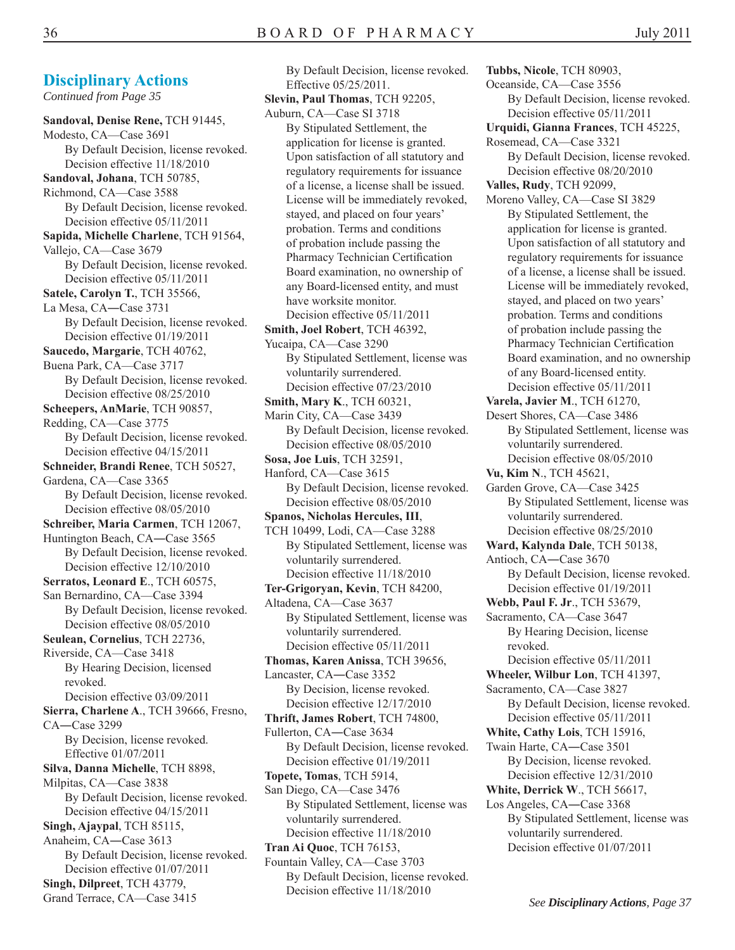**Tubbs, Nicole**, TCH 80903, Oceanside, CA—Case 3556 By Default Decision, license revoked. Decision effective 05/11/2011 **Urquidi, Gianna Frances**, TCH 45225, Rosemead, CA—Case 3321 By Default Decision, license revoked. Decision effective 08/20/2010 **Valles, Rudy**, TCH 92099, Moreno Valley, CA—Case SI 3829 By Stipulated Settlement, the application for license is granted. Upon satisfaction of all statutory and regulatory requirements for issuance of a license, a license shall be issued. License will be immediately revoked, stayed, and placed on two years' probation. Terms and conditions of probation include passing the Pharmacy Technician Certification Board examination, and no ownership of any Board-licensed entity. Decision effective 05/11/2011 **Varela, Javier M**., TCH 61270, Desert Shores, CA—Case 3486 By Stipulated Settlement, license was voluntarily surrendered. Decision effective 08/05/2010 **Vu, Kim N**., TCH 45621, Garden Grove, CA—Case 3425 By Stipulated Settlement, license was voluntarily surrendered. Decision effective 08/25/2010 **Ward, Kalynda Dale**, TCH 50138, Antioch, CA―Case 3670 By Default Decision, license revoked. Decision effective 01/19/2011 **Webb, Paul F. Jr**., TCH 53679, Sacramento, CA—Case 3647 By Hearing Decision, license revoked. Decision effective 05/11/2011 **Wheeler, Wilbur Lon**, TCH 41397, Sacramento, CA—Case 3827 By Default Decision, license revoked. Decision effective 05/11/2011 **White, Cathy Lois**, TCH 15916, Twain Harte, CA―Case 3501 By Decision, license revoked. Decision effective 12/31/2010 **White, Derrick W**., TCH 56617, Los Angeles, CA―Case 3368 By Stipulated Settlement, license was voluntarily surrendered. Decision effective 01/07/2011

#### **Disciplinary Actions**

*Continued from Page 35* 

**Sandoval, Denise Rene,** TCH 91445, Modesto, CA—Case 3691 By Default Decision, license revoked. Decision effective 11/18/2010 **Sandoval, Johana**, TCH 50785, Richmond, CA—Case 3588 By Default Decision, license revoked. Decision effective 05/11/2011 **Sapida, Michelle Charlene**, TCH 91564, Vallejo, CA—Case 3679 By Default Decision, license revoked. Decision effective 05/11/2011 **Satele, Carolyn T.**, TCH 35566, La Mesa, CA―Case 3731 By Default Decision, license revoked. Decision effective 01/19/2011 **Saucedo, Margarie**, TCH 40762, Buena Park, CA—Case 3717 By Default Decision, license revoked. Decision effective 08/25/2010 **Scheepers, AnMarie**, TCH 90857, Redding, CA—Case 3775 By Default Decision, license revoked. Decision effective 04/15/2011 **Schneider, Brandi Renee**, TCH 50527, Gardena, CA—Case 3365 By Default Decision, license revoked. Decision effective 08/05/2010 **Schreiber, Maria Carmen**, TCH 12067, Huntington Beach, CA―Case 3565 By Default Decision, license revoked. Decision effective 12/10/2010 **Serratos, Leonard E**., TCH 60575, San Bernardino, CA—Case 3394 By Default Decision, license revoked. Decision effective 08/05/2010 **Seulean, Cornelius**, TCH 22736, Riverside, CA—Case 3418 By Hearing Decision, licensed revoked. Decision effective 03/09/2011 **Sierra, Charlene A**., TCH 39666, Fresno, CA―Case 3299 By Decision, license revoked. Effective 01/07/2011 **Silva, Danna Michelle**, TCH 8898, Milpitas, CA—Case 3838 By Default Decision, license revoked. Decision effective 04/15/2011 **Singh, Ajaypal**, TCH 85115, Anaheim, CA―Case 3613 By Default Decision, license revoked. Decision effective 01/07/2011 **Singh, Dilpreet**, TCH 43779, Grand Terrace, CA—Case 3415

By Default Decision, license revoked. Effective 05/25/2011. **Slevin, Paul Thomas**, TCH 92205, Auburn, CA—Case SI 3718 By Stipulated Settlement, the application for license is granted. Upon satisfaction of all statutory and regulatory requirements for issuance of a license, a license shall be issued. License will be immediately revoked, stayed, and placed on four years' probation. Terms and conditions of probation include passing the Pharmacy Technician Certification Board examination, no ownership of any Board-licensed entity, and must have worksite monitor. Decision effective 05/11/2011 **Smith, Joel Robert**, TCH 46392, Yucaipa, CA—Case 3290 By Stipulated Settlement, license was voluntarily surrendered. Decision effective 07/23/2010 **Smith, Mary K**., TCH 60321, Marin City, CA—Case 3439 By Default Decision, license revoked. Decision effective 08/05/2010 **Sosa, Joe Luis**, TCH 32591, Hanford, CA—Case 3615 By Default Decision, license revoked. Decision effective 08/05/2010 **Spanos, Nicholas Hercules, III**, TCH 10499, Lodi, CA—Case 3288 By Stipulated Settlement, license was voluntarily surrendered. Decision effective 11/18/2010 **Ter-Grigoryan, Kevin**, TCH 84200, Altadena, CA—Case 3637 By Stipulated Settlement, license was voluntarily surrendered. Decision effective 05/11/2011 **Thomas, Karen Anissa**, TCH 39656, Lancaster, CA―Case 3352 By Decision, license revoked. Decision effective 12/17/2010 **Thrift, James Robert**, TCH 74800, Fullerton, CA―Case 3634 By Default Decision, license revoked. Decision effective 01/19/2011 **Topete, Tomas**, TCH 5914, San Diego, CA—Case 3476 By Stipulated Settlement, license was voluntarily surrendered. Decision effective 11/18/2010 **Tran Ai Quoc**, TCH 76153, Fountain Valley, CA—Case 3703 By Default Decision, license revoked. Decision effective 11/18/2010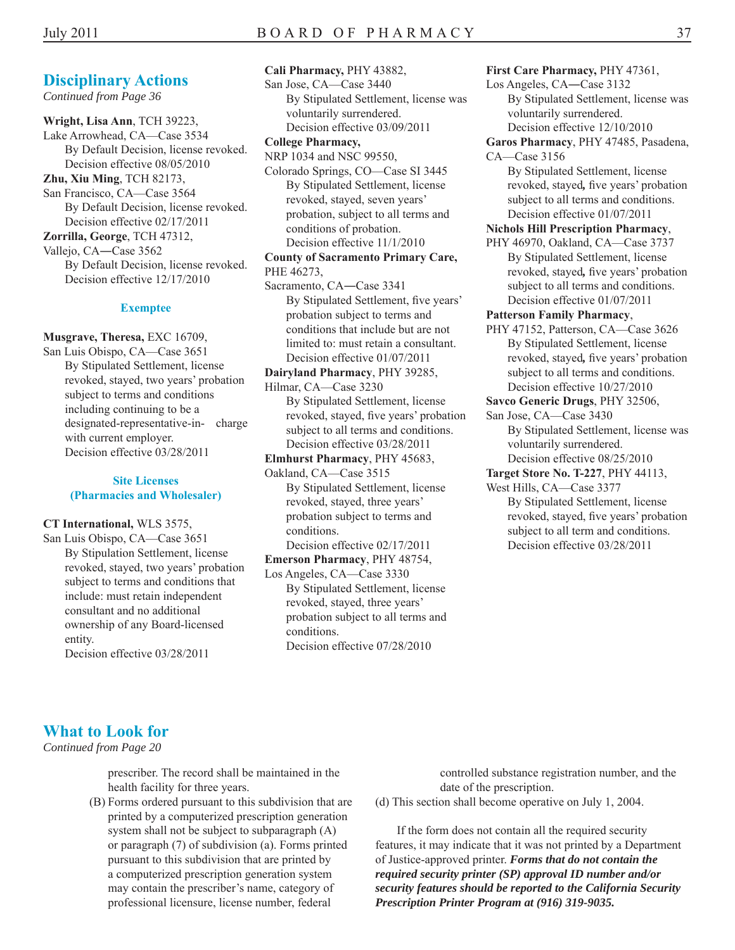*Continued from Page 36* 

**Wright, Lisa Ann**, TCH 39223, Lake Arrowhead, CA—Case 3534 By Default Decision, license revoked. Decision effective 08/05/2010 **Zhu, Xiu Ming**, TCH 82173, San Francisco, CA—Case 3564 By Default Decision, license revoked. Decision effective 02/17/2011 **Zorrilla, George**, TCH 47312, Vallejo, CA―Case 3562 By Default Decision, license revoked. Decision effective 12/17/2010

#### **Exemptee**

**Musgrave, Theresa,** EXC 16709, San Luis Obispo, CA—Case 3651 By Stipulated Settlement, license revoked, stayed, two years' probation subject to terms and conditions including continuing to be a designated-representative-in- charge with current employer. Decision effective 03/28/2011

#### **Site Licenses (Pharmacies and Wholesaler)**

#### **CT International,** WLS 3575,

San Luis Obispo, CA—Case 3651 By Stipulation Settlement, license revoked, stayed, two years' probation subject to terms and conditions that include: must retain independent consultant and no additional ownership of any Board-licensed entity.

Decision effective 03/28/2011

**Cali Pharmacy,** PHY 43882, San Jose, CA—Case 3440 By Stipulated Settlement, license was voluntarily surrendered. Decision effective 03/09/2011 **College Pharmacy,**  NRP 1034 and NSC 99550, Colorado Springs, CO—Case SI 3445 By Stipulated Settlement, license revoked, stayed, seven years' probation, subject to all terms and conditions of probation. Decision effective 11/1/2010 **County of Sacramento Primary Care,**  PHE 46273, Sacramento, CA―Case 3341 By Stipulated Settlement, five years' probation subject to terms and conditions that include but are not limited to: must retain a consultant. Decision effective 01/07/2011 **Dairyland Pharmacy**, PHY 39285, Hilmar, CA—Case 3230 By Stipulated Settlement, license revoked, stayed, five years' probation subject to all terms and conditions. Decision effective 03/28/2011 **Elmhurst Pharmacy**, PHY 45683, Oakland, CA—Case 3515

By Stipulated Settlement, license revoked, stayed, three years' probation subject to terms and conditions.

Decision effective 02/17/2011

**Emerson Pharmacy**, PHY 48754, Los Angeles, CA—Case 3330

By Stipulated Settlement, license revoked, stayed, three years' probation subject to all terms and conditions. Decision effective 07/28/2010

#### **First Care Pharmacy,** PHY 47361,

- Los Angeles, CA―Case 3132 By Stipulated Settlement, license was voluntarily surrendered. Decision effective 12/10/2010
- **Garos Pharmacy**, PHY 47485, Pasadena,

CA—Case 3156 By Stipulated Settlement, license revoked, stayed*,* five years' probation subject to all terms and conditions. Decision effective 01/07/2011

#### **Nichols Hill Prescription Pharmacy**,

PHY 46970, Oakland, CA—Case 3737 By Stipulated Settlement, license revoked, stayed*,* five years' probation subject to all terms and conditions. Decision effective 01/07/2011

#### **Patterson Family Pharmacy**,

- PHY 47152, Patterson, CA—Case 3626 By Stipulated Settlement, license revoked, stayed*,* five years' probation subject to all terms and conditions. Decision effective 10/27/2010
- **Savco Generic Drugs**, PHY 32506,
- San Jose, CA—Case 3430 By Stipulated Settlement, license was voluntarily surrendered. Decision effective 08/25/2010
- **Target Store No. T-227**, PHY 44113,

West Hills, CA—Case 3377

By Stipulated Settlement, license revoked, stayed, five years' probation subject to all term and conditions. Decision effective 03/28/2011

### **What to Look for**

*Continued from Page 20* 

health facility for three years.  $\theta$  and the prescription of the prescription.

(B) Forms ordered pursuant to this subdivision that are (d) This section shall become operative on July 1, 2004. printed by a computerized prescription generation system shall not be subject to subparagraph (A) If the form does not contain all the required security professional licensure, license number, federal *Prescription Printer Program at (916) 319-9035.* 

prescriber. The record shall be maintained in the controlled substance registration number, and the

or paragraph (7) of subdivision (a). Forms printed features, it may indicate that it was not printed by a Department pursuant to this subdivision that are printed by of Justice-approved printer. *Forms that do not contain the*  a computerized prescription generation system *required security printer (SP) approval ID number and/or*  may contain the prescriber's name, category of *security features should be reported to the California Security*